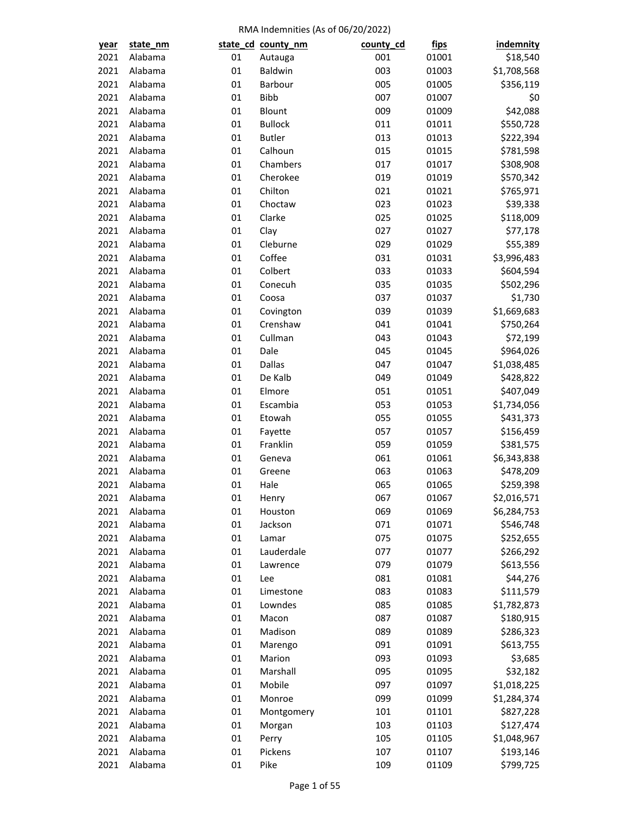| year | state_nm |    | state_cd_county_nm | county_cd | <u>fips</u> | <b>indemnity</b> |
|------|----------|----|--------------------|-----------|-------------|------------------|
| 2021 | Alabama  | 01 | Autauga            | 001       | 01001       | \$18,540         |
| 2021 | Alabama  | 01 | Baldwin            | 003       | 01003       | \$1,708,568      |
| 2021 | Alabama  | 01 | Barbour            | 005       | 01005       | \$356,119        |
| 2021 | Alabama  | 01 | <b>Bibb</b>        | 007       | 01007       | \$0              |
| 2021 | Alabama  | 01 | Blount             | 009       | 01009       | \$42,088         |
| 2021 | Alabama  | 01 | <b>Bullock</b>     | 011       | 01011       | \$550,728        |
| 2021 | Alabama  | 01 | <b>Butler</b>      | 013       | 01013       | \$222,394        |
| 2021 | Alabama  | 01 | Calhoun            | 015       | 01015       | \$781,598        |
| 2021 | Alabama  | 01 | Chambers           | 017       | 01017       | \$308,908        |
| 2021 | Alabama  | 01 | Cherokee           | 019       | 01019       | \$570,342        |
| 2021 | Alabama  | 01 | Chilton            | 021       | 01021       | \$765,971        |
| 2021 | Alabama  | 01 | Choctaw            | 023       | 01023       | \$39,338         |
| 2021 | Alabama  | 01 | Clarke             | 025       | 01025       | \$118,009        |
| 2021 | Alabama  | 01 | Clay               | 027       | 01027       | \$77,178         |
| 2021 | Alabama  | 01 | Cleburne           | 029       | 01029       | \$55,389         |
| 2021 | Alabama  | 01 | Coffee             | 031       | 01031       | \$3,996,483      |
| 2021 | Alabama  | 01 | Colbert            | 033       | 01033       | \$604,594        |
| 2021 | Alabama  | 01 | Conecuh            | 035       | 01035       | \$502,296        |
| 2021 | Alabama  | 01 | Coosa              | 037       | 01037       | \$1,730          |
| 2021 | Alabama  | 01 | Covington          | 039       | 01039       | \$1,669,683      |
| 2021 | Alabama  | 01 | Crenshaw           | 041       | 01041       | \$750,264        |
| 2021 | Alabama  | 01 | Cullman            | 043       | 01043       | \$72,199         |
| 2021 | Alabama  | 01 | Dale               | 045       | 01045       | \$964,026        |
| 2021 | Alabama  | 01 | <b>Dallas</b>      | 047       | 01047       | \$1,038,485      |
| 2021 | Alabama  | 01 | De Kalb            | 049       | 01049       | \$428,822        |
| 2021 | Alabama  | 01 |                    | 051       |             |                  |
|      | Alabama  | 01 | Elmore             |           | 01051       | \$407,049        |
| 2021 | Alabama  |    | Escambia           | 053       | 01053       | \$1,734,056      |
| 2021 |          | 01 | Etowah             | 055       | 01055       | \$431,373        |
| 2021 | Alabama  | 01 | Fayette            | 057       | 01057       | \$156,459        |
| 2021 | Alabama  | 01 | Franklin           | 059       | 01059       | \$381,575        |
| 2021 | Alabama  | 01 | Geneva             | 061       | 01061       | \$6,343,838      |
| 2021 | Alabama  | 01 | Greene             | 063       | 01063       | \$478,209        |
| 2021 | Alabama  | 01 | Hale               | 065       | 01065       | \$259,398        |
| 2021 | Alabama  | 01 | Henry              | 067       | 01067       | \$2,016,571      |
| 2021 | Alabama  | 01 | Houston            | 069       | 01069       | \$6,284,753      |
| 2021 | Alabama  | 01 | Jackson            | 071       | 01071       | \$546,748        |
| 2021 | Alabama  | 01 | Lamar              | 075       | 01075       | \$252,655        |
| 2021 | Alabama  | 01 | Lauderdale         | 077       | 01077       | \$266,292        |
| 2021 | Alabama  | 01 | Lawrence           | 079       | 01079       | \$613,556        |
| 2021 | Alabama  | 01 | Lee                | 081       | 01081       | \$44,276         |
| 2021 | Alabama  | 01 | Limestone          | 083       | 01083       | \$111,579        |
| 2021 | Alabama  | 01 | Lowndes            | 085       | 01085       | \$1,782,873      |
| 2021 | Alabama  | 01 | Macon              | 087       | 01087       | \$180,915        |
| 2021 | Alabama  | 01 | Madison            | 089       | 01089       | \$286,323        |
| 2021 | Alabama  | 01 | Marengo            | 091       | 01091       | \$613,755        |
| 2021 | Alabama  | 01 | Marion             | 093       | 01093       | \$3,685          |
| 2021 | Alabama  | 01 | Marshall           | 095       | 01095       | \$32,182         |
| 2021 | Alabama  | 01 | Mobile             | 097       | 01097       | \$1,018,225      |
| 2021 | Alabama  | 01 | Monroe             | 099       | 01099       | \$1,284,374      |
| 2021 | Alabama  | 01 | Montgomery         | 101       | 01101       | \$827,228        |
| 2021 | Alabama  | 01 | Morgan             | 103       | 01103       | \$127,474        |
| 2021 | Alabama  | 01 | Perry              | 105       | 01105       | \$1,048,967      |
| 2021 | Alabama  | 01 | Pickens            | 107       | 01107       | \$193,146        |
| 2021 | Alabama  | 01 | Pike               | 109       | 01109       | \$799,725        |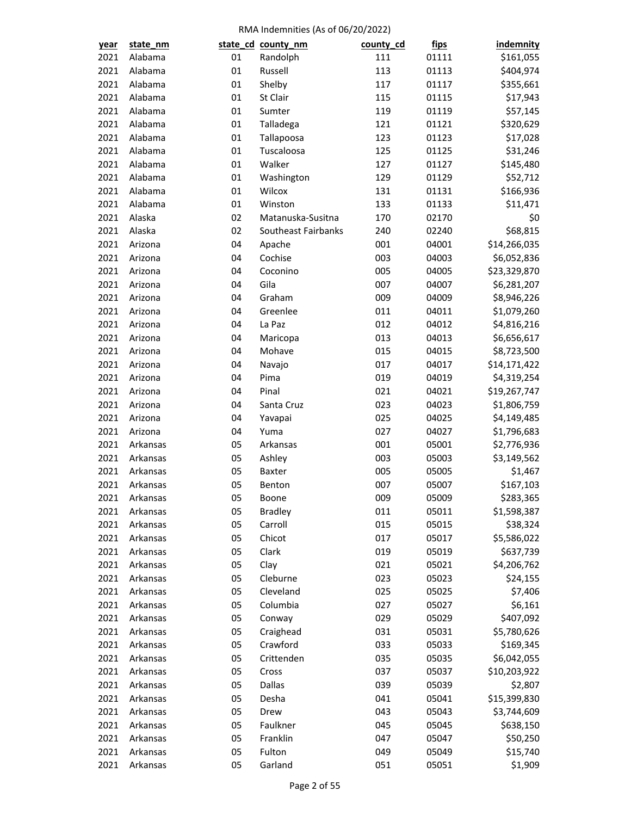| year | state_nm |    | state_cd_county_nm  | county_cd | <u>fips</u> | indemnity    |
|------|----------|----|---------------------|-----------|-------------|--------------|
| 2021 | Alabama  | 01 | Randolph            | 111       | 01111       | \$161,055    |
| 2021 | Alabama  | 01 | Russell             | 113       | 01113       | \$404,974    |
| 2021 | Alabama  | 01 | Shelby              | 117       | 01117       | \$355,661    |
| 2021 | Alabama  | 01 | St Clair            | 115       | 01115       | \$17,943     |
| 2021 | Alabama  | 01 | Sumter              | 119       | 01119       | \$57,145     |
| 2021 | Alabama  | 01 | Talladega           | 121       | 01121       | \$320,629    |
| 2021 | Alabama  | 01 | Tallapoosa          | 123       | 01123       | \$17,028     |
| 2021 | Alabama  | 01 | Tuscaloosa          | 125       | 01125       | \$31,246     |
| 2021 | Alabama  | 01 | Walker              | 127       | 01127       | \$145,480    |
| 2021 | Alabama  | 01 | Washington          | 129       | 01129       | \$52,712     |
| 2021 | Alabama  | 01 | Wilcox              | 131       | 01131       | \$166,936    |
| 2021 | Alabama  | 01 | Winston             | 133       | 01133       | \$11,471     |
| 2021 | Alaska   | 02 | Matanuska-Susitna   | 170       | 02170       | \$0          |
| 2021 | Alaska   | 02 | Southeast Fairbanks | 240       | 02240       | \$68,815     |
| 2021 | Arizona  | 04 | Apache              | 001       | 04001       | \$14,266,035 |
| 2021 | Arizona  | 04 | Cochise             | 003       | 04003       | \$6,052,836  |
| 2021 | Arizona  | 04 | Coconino            | 005       | 04005       | \$23,329,870 |
| 2021 | Arizona  | 04 | Gila                | 007       | 04007       | \$6,281,207  |
| 2021 | Arizona  | 04 | Graham              | 009       | 04009       | \$8,946,226  |
| 2021 | Arizona  | 04 | Greenlee            | 011       | 04011       | \$1,079,260  |
| 2021 | Arizona  | 04 | La Paz              | 012       | 04012       | \$4,816,216  |
| 2021 | Arizona  | 04 | Maricopa            | 013       | 04013       | \$6,656,617  |
| 2021 | Arizona  | 04 | Mohave              | 015       | 04015       | \$8,723,500  |
| 2021 | Arizona  | 04 | Navajo              | 017       | 04017       | \$14,171,422 |
| 2021 | Arizona  | 04 | Pima                | 019       | 04019       | \$4,319,254  |
| 2021 | Arizona  | 04 | Pinal               | 021       | 04021       | \$19,267,747 |
| 2021 | Arizona  | 04 | Santa Cruz          | 023       | 04023       | \$1,806,759  |
| 2021 | Arizona  | 04 | Yavapai             | 025       | 04025       | \$4,149,485  |
| 2021 | Arizona  | 04 | Yuma                | 027       | 04027       | \$1,796,683  |
| 2021 | Arkansas | 05 | Arkansas            | 001       | 05001       | \$2,776,936  |
| 2021 | Arkansas | 05 | Ashley              | 003       | 05003       | \$3,149,562  |
| 2021 | Arkansas | 05 | Baxter              | 005       | 05005       | \$1,467      |
| 2021 | Arkansas | 05 | Benton              | 007       | 05007       | \$167,103    |
| 2021 | Arkansas | 05 | Boone               | 009       | 05009       | \$283,365    |
| 2021 | Arkansas | 05 | <b>Bradley</b>      | 011       | 05011       | \$1,598,387  |
| 2021 | Arkansas | 05 | Carroll             | 015       | 05015       | \$38,324     |
| 2021 | Arkansas | 05 | Chicot              | 017       | 05017       | \$5,586,022  |
| 2021 | Arkansas | 05 | Clark               | 019       | 05019       | \$637,739    |
| 2021 | Arkansas | 05 | Clay                | 021       | 05021       | \$4,206,762  |
| 2021 | Arkansas | 05 | Cleburne            | 023       | 05023       | \$24,155     |
| 2021 | Arkansas | 05 | Cleveland           | 025       | 05025       | \$7,406      |
| 2021 | Arkansas | 05 | Columbia            | 027       | 05027       | \$6,161      |
| 2021 | Arkansas | 05 | Conway              | 029       | 05029       | \$407,092    |
| 2021 | Arkansas | 05 | Craighead           | 031       | 05031       | \$5,780,626  |
| 2021 | Arkansas | 05 | Crawford            | 033       | 05033       | \$169,345    |
| 2021 | Arkansas | 05 | Crittenden          | 035       | 05035       | \$6,042,055  |
| 2021 | Arkansas | 05 | Cross               | 037       | 05037       | \$10,203,922 |
| 2021 | Arkansas | 05 | Dallas              | 039       | 05039       | \$2,807      |
| 2021 | Arkansas | 05 | Desha               | 041       |             |              |
|      |          | 05 |                     | 043       | 05041       | \$15,399,830 |
| 2021 | Arkansas |    | Drew<br>Faulkner    |           | 05043       | \$3,744,609  |
| 2021 | Arkansas | 05 |                     | 045       | 05045       | \$638,150    |
| 2021 | Arkansas | 05 | Franklin            | 047       | 05047       | \$50,250     |
| 2021 | Arkansas | 05 | Fulton              | 049       | 05049       | \$15,740     |
| 2021 | Arkansas | 05 | Garland             | 051       | 05051       | \$1,909      |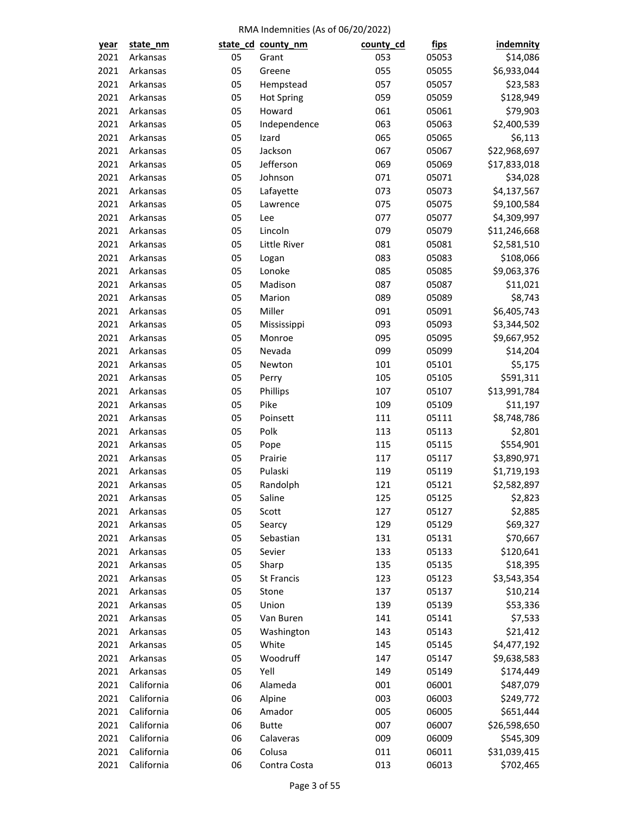| year         | state_nm             |          | state_cd_county_nm  | county_cd | <u>fips</u>    | indemnity           |
|--------------|----------------------|----------|---------------------|-----------|----------------|---------------------|
| 2021         | Arkansas             | 05       | Grant               | 053       | 05053          | \$14,086            |
| 2021         | Arkansas             | 05       | Greene              | 055       | 05055          | \$6,933,044         |
| 2021         | Arkansas             | 05       | Hempstead           | 057       | 05057          | \$23,583            |
| 2021         | Arkansas             | 05       | <b>Hot Spring</b>   | 059       | 05059          | \$128,949           |
| 2021         | Arkansas             | 05       | Howard              | 061       | 05061          | \$79,903            |
| 2021         | Arkansas             | 05       | Independence        | 063       | 05063          | \$2,400,539         |
| 2021         | Arkansas             | 05       | Izard               | 065       | 05065          | \$6,113             |
| 2021         | Arkansas             | 05       | Jackson             | 067       | 05067          | \$22,968,697        |
| 2021         | Arkansas             | 05       | Jefferson           | 069       | 05069          | \$17,833,018        |
| 2021         | Arkansas             | 05       | Johnson             | 071       | 05071          | \$34,028            |
| 2021         | Arkansas             | 05       | Lafayette           | 073       | 05073          | \$4,137,567         |
| 2021         | Arkansas             | 05       | Lawrence            | 075       | 05075          | \$9,100,584         |
| 2021         | Arkansas             | 05       | Lee                 | 077       | 05077          | \$4,309,997         |
| 2021         | Arkansas             | 05       | Lincoln             | 079       | 05079          | \$11,246,668        |
| 2021         | Arkansas             | 05       | Little River        | 081       | 05081          | \$2,581,510         |
| 2021         | Arkansas             | 05       | Logan               | 083       | 05083          | \$108,066           |
| 2021         | Arkansas             | 05       | Lonoke              | 085       | 05085          | \$9,063,376         |
| 2021         | Arkansas             | 05       | Madison             | 087       | 05087          | \$11,021            |
| 2021         | Arkansas             | 05       | Marion              | 089       | 05089          | \$8,743             |
| 2021         | Arkansas             | 05       | Miller              | 091       | 05091          | \$6,405,743         |
| 2021         | Arkansas             | 05       | Mississippi         | 093       | 05093          | \$3,344,502         |
| 2021         | Arkansas             | 05       | Monroe              | 095       | 05095          | \$9,667,952         |
| 2021         | Arkansas             | 05       | Nevada              | 099       | 05099          | \$14,204            |
| 2021         | Arkansas             | 05       | Newton              | 101       | 05101          | \$5,175             |
| 2021         | Arkansas             | 05       | Perry               | 105       | 05105          | \$591,311           |
| 2021         | Arkansas             | 05       | Phillips            | 107       | 05107          | \$13,991,784        |
| 2021         | Arkansas             | 05       | Pike                | 109       | 05109          | \$11,197            |
| 2021         | Arkansas             | 05       | Poinsett            | 111       | 05111          | \$8,748,786         |
| 2021         | Arkansas             | 05       | Polk                | 113       | 05113          | \$2,801             |
| 2021         | Arkansas             | 05       | Pope                | 115       | 05115          | \$554,901           |
| 2021         | Arkansas             | 05       | Prairie             | 117       | 05117          | \$3,890,971         |
| 2021         | Arkansas             | 05       | Pulaski             | 119       | 05119          | \$1,719,193         |
| 2021         | Arkansas             | 05       | Randolph            | 121       | 05121          | \$2,582,897         |
|              | Arkansas             | 05       | Saline              | 125       | 05125          | \$2,823             |
| 2021<br>2021 |                      |          |                     | 127       |                |                     |
| 2021         | Arkansas<br>Arkansas | 05<br>05 | Scott               | 129       | 05127<br>05129 | \$2,885<br>\$69,327 |
| 2021         | Arkansas             | 05       | Searcy<br>Sebastian | 131       |                | \$70,667            |
|              |                      | 05       | Sevier              | 133       | 05131          | \$120,641           |
| 2021         | Arkansas             |          |                     |           | 05133          |                     |
| 2021         | Arkansas             | 05       | Sharp               | 135       | 05135          | \$18,395            |
| 2021         | Arkansas<br>Arkansas | 05       | St Francis          | 123       | 05123          | \$3,543,354         |
| 2021         |                      | 05       | Stone               | 137       | 05137          | \$10,214            |
| 2021         | Arkansas             | 05       | Union               | 139       | 05139          | \$53,336            |
| 2021         | Arkansas             | 05       | Van Buren           | 141       | 05141          | \$7,533             |
| 2021         | Arkansas             | 05       | Washington          | 143       | 05143          | \$21,412            |
| 2021         | Arkansas             | 05       | White               | 145       | 05145          | \$4,477,192         |
| 2021         | Arkansas             | 05       | Woodruff            | 147       | 05147          | \$9,638,583         |
| 2021         | Arkansas             | 05       | Yell                | 149       | 05149          | \$174,449           |
| 2021         | California           | 06       | Alameda             | 001       | 06001          | \$487,079           |
| 2021         | California           | 06       | Alpine              | 003       | 06003          | \$249,772           |
| 2021         | California           | 06       | Amador              | 005       | 06005          | \$651,444           |
| 2021         | California           | 06       | <b>Butte</b>        | 007       | 06007          | \$26,598,650        |
| 2021         | California           | 06       | Calaveras           | 009       | 06009          | \$545,309           |
| 2021         | California           | 06       | Colusa              | 011       | 06011          | \$31,039,415        |
| 2021         | California           | 06       | Contra Costa        | 013       | 06013          | \$702,465           |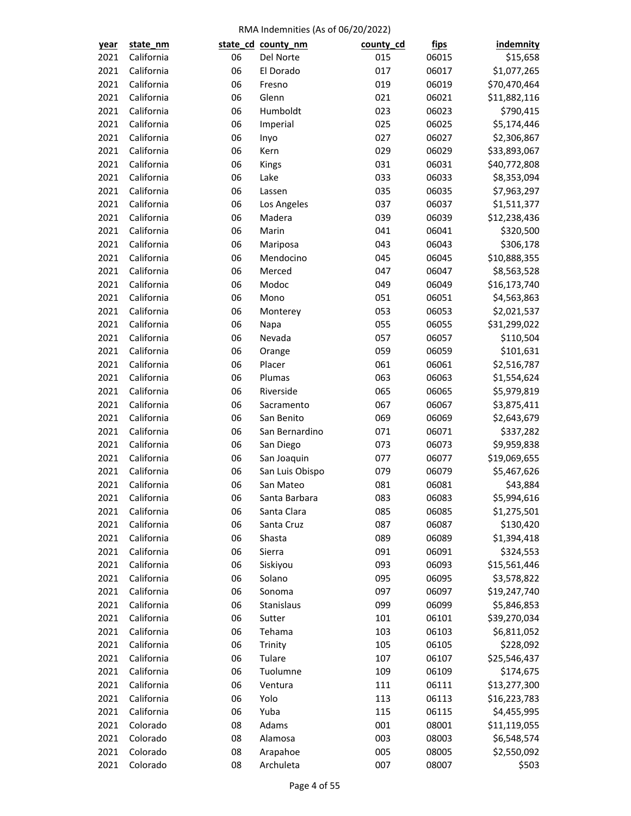| year | state_nm   |    | state_cd_county_nm | county_cd | <u>fips</u>    | indemnity                    |
|------|------------|----|--------------------|-----------|----------------|------------------------------|
| 2021 | California | 06 | Del Norte          | 015       | 06015          | \$15,658                     |
| 2021 | California | 06 | El Dorado          | 017       | 06017          | \$1,077,265                  |
| 2021 | California | 06 | Fresno             | 019       | 06019          | \$70,470,464                 |
| 2021 | California | 06 | Glenn              | 021       | 06021          | \$11,882,116                 |
| 2021 | California | 06 | Humboldt           | 023       | 06023          | \$790,415                    |
| 2021 | California | 06 | Imperial           | 025       | 06025          | \$5,174,446                  |
| 2021 | California | 06 | Inyo               | 027       | 06027          | \$2,306,867                  |
| 2021 | California | 06 | Kern               | 029       | 06029          | \$33,893,067                 |
| 2021 | California | 06 | Kings              | 031       | 06031          | \$40,772,808                 |
| 2021 | California | 06 | Lake               | 033       | 06033          | \$8,353,094                  |
| 2021 | California | 06 | Lassen             | 035       | 06035          | \$7,963,297                  |
| 2021 | California | 06 | Los Angeles        | 037       | 06037          | \$1,511,377                  |
| 2021 | California | 06 | Madera             | 039       | 06039          | \$12,238,436                 |
| 2021 | California | 06 | Marin              | 041       | 06041          | \$320,500                    |
| 2021 | California | 06 | Mariposa           | 043       | 06043          | \$306,178                    |
| 2021 | California | 06 | Mendocino          | 045       | 06045          | \$10,888,355                 |
| 2021 | California | 06 | Merced             | 047       | 06047          | \$8,563,528                  |
| 2021 | California | 06 | Modoc              | 049       | 06049          | \$16,173,740                 |
| 2021 | California | 06 | Mono               | 051       | 06051          | \$4,563,863                  |
| 2021 | California | 06 | Monterey           | 053       | 06053          | \$2,021,537                  |
| 2021 | California | 06 | Napa               | 055       | 06055          | \$31,299,022                 |
| 2021 | California | 06 | Nevada             | 057       | 06057          | \$110,504                    |
| 2021 | California | 06 | Orange             | 059       | 06059          | \$101,631                    |
| 2021 | California | 06 | Placer             | 061       | 06061          | \$2,516,787                  |
| 2021 | California | 06 | Plumas             | 063       | 06063          | \$1,554,624                  |
| 2021 | California | 06 | Riverside          | 065       | 06065          | \$5,979,819                  |
| 2021 | California | 06 | Sacramento         | 067       | 06067          | \$3,875,411                  |
| 2021 | California | 06 | San Benito         | 069       | 06069          | \$2,643,679                  |
| 2021 | California | 06 | San Bernardino     | 071       | 06071          | \$337,282                    |
| 2021 | California | 06 | San Diego          | 073       | 06073          | \$9,959,838                  |
| 2021 | California | 06 | San Joaquin        | 077       | 06077          | \$19,069,655                 |
| 2021 | California | 06 | San Luis Obispo    | 079       | 06079          | \$5,467,626                  |
| 2021 | California | 06 | San Mateo          | 081       | 06081          | \$43,884                     |
| 2021 | California | 06 | Santa Barbara      | 083       | 06083          | \$5,994,616                  |
| 2021 | California | 06 | Santa Clara        | 085       | 06085          | \$1,275,501                  |
| 2021 | California | 06 | Santa Cruz         | 087       | 06087          | \$130,420                    |
| 2021 | California | 06 | Shasta             | 089       | 06089          | \$1,394,418                  |
| 2021 | California | 06 | Sierra             | 091       | 06091          | \$324,553                    |
| 2021 | California | 06 | Siskiyou           | 093       | 06093          | \$15,561,446                 |
| 2021 | California | 06 | Solano             | 095       | 06095          | \$3,578,822                  |
| 2021 | California | 06 | Sonoma             | 097       | 06097          | \$19,247,740                 |
| 2021 | California | 06 | Stanislaus         | 099       | 06099          | \$5,846,853                  |
| 2021 | California | 06 | Sutter             | 101       | 06101          | \$39,270,034                 |
| 2021 | California | 06 | Tehama             | 103       | 06103          | \$6,811,052                  |
| 2021 | California | 06 | Trinity            | 105       | 06105          | \$228,092                    |
| 2021 | California | 06 | Tulare             | 107       | 06107          | \$25,546,437                 |
| 2021 | California | 06 | Tuolumne           | 109       | 06109          | \$174,675                    |
| 2021 | California | 06 | Ventura            | 111       |                |                              |
| 2021 | California | 06 | Yolo               | 113       | 06111<br>06113 | \$13,277,300<br>\$16,223,783 |
|      | California |    |                    |           |                |                              |
| 2021 |            | 06 | Yuba               | 115       | 06115          | \$4,455,995                  |
| 2021 | Colorado   | 08 | Adams              | 001       | 08001          | \$11,119,055                 |
| 2021 | Colorado   | 08 | Alamosa            | 003       | 08003          | \$6,548,574                  |
| 2021 | Colorado   | 08 | Arapahoe           | 005       | 08005          | \$2,550,092                  |
| 2021 | Colorado   | 08 | Archuleta          | 007       | 08007          | \$503                        |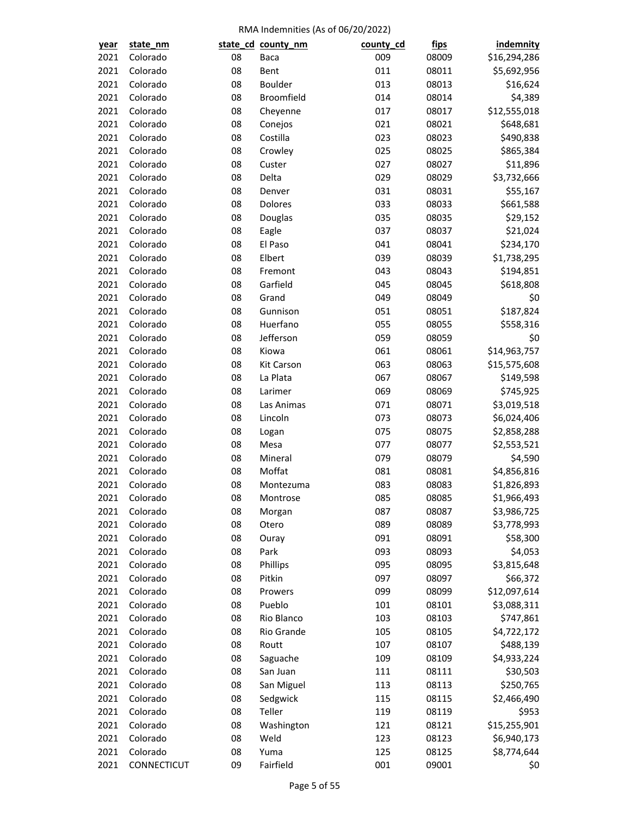| <u>year</u> | state_nm    |    | state_cd_county_nm | county_cd | <u>fips</u> | <b>indemnity</b> |
|-------------|-------------|----|--------------------|-----------|-------------|------------------|
| 2021        | Colorado    | 08 | Baca               | 009       | 08009       | \$16,294,286     |
| 2021        | Colorado    | 08 | Bent               | 011       | 08011       | \$5,692,956      |
| 2021        | Colorado    | 08 | <b>Boulder</b>     | 013       | 08013       | \$16,624         |
| 2021        | Colorado    | 08 | Broomfield         | 014       | 08014       | \$4,389          |
| 2021        | Colorado    | 08 | Cheyenne           | 017       | 08017       | \$12,555,018     |
| 2021        | Colorado    | 08 | Conejos            | 021       | 08021       | \$648,681        |
| 2021        | Colorado    | 08 | Costilla           | 023       | 08023       | \$490,838        |
| 2021        | Colorado    | 08 | Crowley            | 025       | 08025       | \$865,384        |
| 2021        | Colorado    | 08 | Custer             | 027       | 08027       | \$11,896         |
| 2021        | Colorado    | 08 | Delta              | 029       | 08029       | \$3,732,666      |
| 2021        | Colorado    | 08 | Denver             | 031       | 08031       | \$55,167         |
| 2021        | Colorado    | 08 | Dolores            | 033       | 08033       | \$661,588        |
| 2021        | Colorado    | 08 | Douglas            | 035       | 08035       | \$29,152         |
| 2021        | Colorado    | 08 | Eagle              | 037       | 08037       | \$21,024         |
| 2021        | Colorado    | 08 | El Paso            | 041       | 08041       | \$234,170        |
| 2021        | Colorado    | 08 | Elbert             | 039       | 08039       | \$1,738,295      |
| 2021        | Colorado    | 08 | Fremont            | 043       | 08043       | \$194,851        |
| 2021        | Colorado    | 08 | Garfield           | 045       | 08045       | \$618,808        |
| 2021        | Colorado    | 08 | Grand              | 049       | 08049       | \$0              |
| 2021        | Colorado    | 08 | Gunnison           | 051       | 08051       | \$187,824        |
| 2021        | Colorado    | 08 | Huerfano           | 055       | 08055       | \$558,316        |
| 2021        | Colorado    | 08 | Jefferson          | 059       | 08059       | \$0              |
| 2021        | Colorado    | 08 | Kiowa              | 061       | 08061       | \$14,963,757     |
| 2021        | Colorado    | 08 | Kit Carson         | 063       | 08063       | \$15,575,608     |
| 2021        | Colorado    | 08 | La Plata           | 067       | 08067       | \$149,598        |
| 2021        | Colorado    | 08 | Larimer            | 069       | 08069       | \$745,925        |
| 2021        | Colorado    | 08 | Las Animas         | 071       | 08071       | \$3,019,518      |
| 2021        | Colorado    | 08 | Lincoln            | 073       | 08073       | \$6,024,406      |
| 2021        | Colorado    | 08 | Logan              | 075       | 08075       | \$2,858,288      |
| 2021        | Colorado    | 08 | Mesa               | 077       | 08077       | \$2,553,521      |
| 2021        | Colorado    | 08 | Mineral            | 079       | 08079       | \$4,590          |
| 2021        | Colorado    | 08 | Moffat             | 081       | 08081       | \$4,856,816      |
| 2021        | Colorado    | 08 | Montezuma          | 083       | 08083       | \$1,826,893      |
| 2021        | Colorado    | 08 | Montrose           | 085       | 08085       | \$1,966,493      |
| 2021        | Colorado    | 08 | Morgan             | 087       | 08087       | \$3,986,725      |
| 2021        | Colorado    | 08 | Otero              | 089       | 08089       | \$3,778,993      |
| 2021        | Colorado    | 08 | Ouray              | 091       | 08091       | \$58,300         |
| 2021        | Colorado    | 08 | Park               | 093       | 08093       | \$4,053          |
| 2021        | Colorado    | 08 | Phillips           | 095       | 08095       | \$3,815,648      |
| 2021        | Colorado    | 08 | Pitkin             | 097       | 08097       | \$66,372         |
| 2021        | Colorado    | 08 | Prowers            | 099       | 08099       | \$12,097,614     |
| 2021        | Colorado    | 08 | Pueblo             | 101       | 08101       |                  |
|             |             |    | Rio Blanco         |           |             | \$3,088,311      |
| 2021        | Colorado    | 08 |                    | 103       | 08103       | \$747,861        |
| 2021        | Colorado    | 08 | Rio Grande         | 105       | 08105       | \$4,722,172      |
| 2021        | Colorado    | 08 | Routt              | 107       | 08107       | \$488,139        |
| 2021        | Colorado    | 08 | Saguache           | 109       | 08109       | \$4,933,224      |
| 2021        | Colorado    | 08 | San Juan           | 111       | 08111       | \$30,503         |
| 2021        | Colorado    | 08 | San Miguel         | 113       | 08113       | \$250,765        |
| 2021        | Colorado    | 08 | Sedgwick           | 115       | 08115       | \$2,466,490      |
| 2021        | Colorado    | 08 | Teller             | 119       | 08119       | \$953            |
| 2021        | Colorado    | 08 | Washington         | 121       | 08121       | \$15,255,901     |
| 2021        | Colorado    | 08 | Weld               | 123       | 08123       | \$6,940,173      |
| 2021        | Colorado    | 08 | Yuma               | 125       | 08125       | \$8,774,644      |
| 2021        | CONNECTICUT | 09 | Fairfield          | 001       | 09001       | \$0              |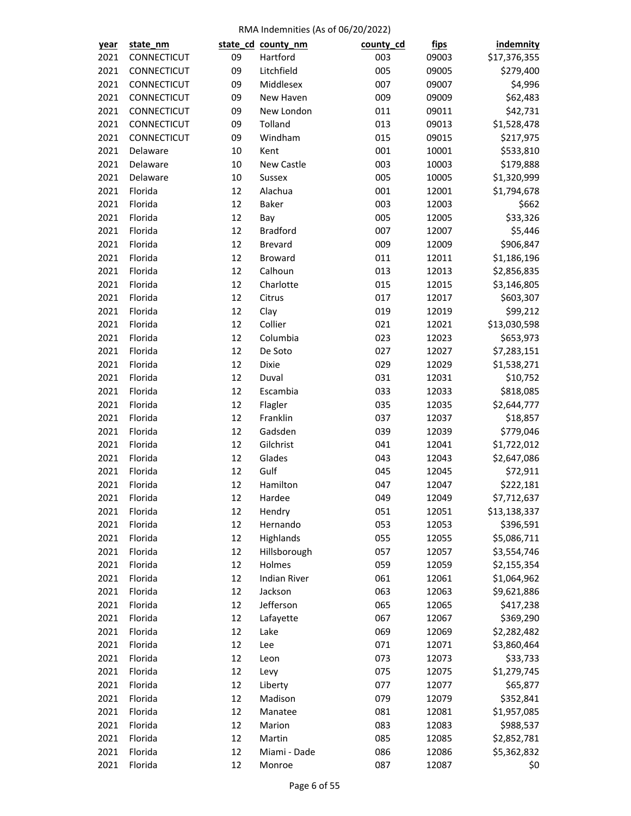| <u>year</u> | state_nm    |          | state_cd_county_nm  | county_cd | <u>fips</u> | indemnity    |
|-------------|-------------|----------|---------------------|-----------|-------------|--------------|
| 2021        | CONNECTICUT | 09       | Hartford            | 003       | 09003       | \$17,376,355 |
| 2021        | CONNECTICUT | 09       | Litchfield          | 005       | 09005       | \$279,400    |
| 2021        | CONNECTICUT | 09       | Middlesex           | 007       | 09007       | \$4,996      |
| 2021        | CONNECTICUT | 09       | New Haven           | 009       | 09009       | \$62,483     |
| 2021        | CONNECTICUT | 09       | New London          | 011       | 09011       | \$42,731     |
| 2021        | CONNECTICUT | 09       | Tolland             | 013       | 09013       | \$1,528,478  |
| 2021        | CONNECTICUT | 09       | Windham             | 015       | 09015       | \$217,975    |
| 2021        | Delaware    | 10       | Kent                | 001       | 10001       | \$533,810    |
| 2021        | Delaware    | 10       | New Castle          | 003       | 10003       | \$179,888    |
| 2021        | Delaware    | 10       | Sussex              | 005       | 10005       | \$1,320,999  |
| 2021        | Florida     | 12       | Alachua             | 001       | 12001       | \$1,794,678  |
| 2021        | Florida     | 12       | Baker               | 003       | 12003       | \$662        |
| 2021        | Florida     | 12       | Bay                 | 005       | 12005       | \$33,326     |
| 2021        | Florida     | 12       | <b>Bradford</b>     | 007       | 12007       | \$5,446      |
| 2021        | Florida     | 12       | <b>Brevard</b>      | 009       | 12009       | \$906,847    |
| 2021        | Florida     | 12       | Broward             | 011       | 12011       | \$1,186,196  |
| 2021        | Florida     | 12       | Calhoun             | 013       | 12013       | \$2,856,835  |
| 2021        | Florida     | 12       | Charlotte           | 015       | 12015       | \$3,146,805  |
| 2021        | Florida     | 12       | Citrus              | 017       | 12017       | \$603,307    |
| 2021        | Florida     | 12       | Clay                | 019       | 12019       | \$99,212     |
| 2021        | Florida     | 12       | Collier             | 021       | 12021       | \$13,030,598 |
| 2021        | Florida     | 12       | Columbia            | 023       | 12023       | \$653,973    |
| 2021        | Florida     | 12       | De Soto             | 027       | 12027       | \$7,283,151  |
| 2021        | Florida     | 12       | Dixie               | 029       | 12029       | \$1,538,271  |
| 2021        | Florida     | 12       | Duval               | 031       | 12031       | \$10,752     |
| 2021        | Florida     | 12       | Escambia            | 033       | 12033       | \$818,085    |
| 2021        | Florida     | 12       | Flagler             | 035       | 12035       | \$2,644,777  |
| 2021        | Florida     | 12       | Franklin            | 037       | 12037       | \$18,857     |
| 2021        | Florida     | 12       | Gadsden             | 039       | 12039       | \$779,046    |
| 2021        | Florida     | 12       | Gilchrist           | 041       | 12041       | \$1,722,012  |
| 2021        | Florida     | 12       | Glades              | 043       | 12043       | \$2,647,086  |
| 2021        | Florida     | 12       | Gulf                | 045       | 12045       | \$72,911     |
| 2021        | Florida     | 12       | Hamilton            | 047       | 12047       | \$222,181    |
| 2021        | Florida     | 12       | Hardee              | 049       | 12049       | \$7,712,637  |
| 2021        | Florida     | 12       | Hendry              | 051       | 12051       | \$13,138,337 |
| 2021        | Florida     | 12       | Hernando            | 053       | 12053       | \$396,591    |
| 2021        | Florida     | 12       | Highlands           | 055       | 12055       | \$5,086,711  |
| 2021        | Florida     | 12       | Hillsborough        | 057       | 12057       | \$3,554,746  |
|             | Florida     | 12       | Holmes              | 059       |             |              |
| 2021        | Florida     |          | <b>Indian River</b> |           | 12059       | \$2,155,354  |
| 2021        | Florida     | 12       |                     | 061       | 12061       | \$1,064,962  |
| 2021        | Florida     | 12<br>12 | Jackson             | 063       | 12063       | \$9,621,886  |
| 2021        |             |          | Jefferson           | 065       | 12065       | \$417,238    |
| 2021        | Florida     | 12       | Lafayette           | 067       | 12067       | \$369,290    |
| 2021        | Florida     | 12       | Lake                | 069       | 12069       | \$2,282,482  |
| 2021        | Florida     | 12       | Lee                 | 071       | 12071       | \$3,860,464  |
| 2021        | Florida     | 12       | Leon                | 073       | 12073       | \$33,733     |
| 2021        | Florida     | 12       | Levy                | 075       | 12075       | \$1,279,745  |
| 2021        | Florida     | 12       | Liberty             | 077       | 12077       | \$65,877     |
| 2021        | Florida     | 12       | Madison             | 079       | 12079       | \$352,841    |
| 2021        | Florida     | 12       | Manatee             | 081       | 12081       | \$1,957,085  |
| 2021        | Florida     | 12       | Marion              | 083       | 12083       | \$988,537    |
| 2021        | Florida     | 12       | Martin              | 085       | 12085       | \$2,852,781  |
| 2021        | Florida     | 12       | Miami - Dade        | 086       | 12086       | \$5,362,832  |
| 2021        | Florida     | 12       | Monroe              | 087       | 12087       | \$0          |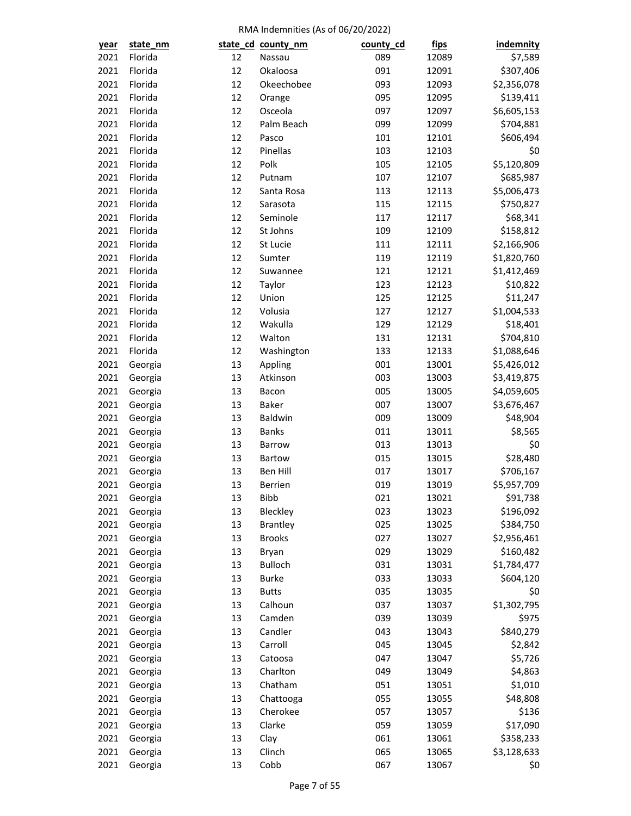| year         | state_nm           |          | state_cd_county_nm          | county_cd | <u>fips</u>    | indemnity                |
|--------------|--------------------|----------|-----------------------------|-----------|----------------|--------------------------|
| 2021         | Florida            | 12       | Nassau                      | 089       | 12089          | \$7,589                  |
| 2021         | Florida            | 12       | Okaloosa                    | 091       | 12091          | \$307,406                |
| 2021         | Florida            | 12       | Okeechobee                  | 093       | 12093          | \$2,356,078              |
| 2021         | Florida            | 12       | Orange                      | 095       | 12095          | \$139,411                |
| 2021         | Florida            | 12       | Osceola                     | 097       | 12097          | \$6,605,153              |
| 2021         | Florida            | 12       | Palm Beach                  | 099       | 12099          | \$704,881                |
| 2021         | Florida            | 12       | Pasco                       | 101       | 12101          | \$606,494                |
| 2021         | Florida            | 12       | Pinellas                    | 103       | 12103          | \$0                      |
| 2021         | Florida            | 12       | Polk                        | 105       | 12105          | \$5,120,809              |
| 2021         | Florida            | 12       | Putnam                      | 107       | 12107          | \$685,987                |
| 2021         | Florida            | 12       | Santa Rosa                  | 113       | 12113          | \$5,006,473              |
| 2021         | Florida            | 12       | Sarasota                    | 115       | 12115          | \$750,827                |
| 2021         | Florida            | 12       | Seminole                    | 117       | 12117          | \$68,341                 |
| 2021         | Florida            | 12       | St Johns                    | 109       | 12109          | \$158,812                |
| 2021         | Florida            | 12       | St Lucie                    | 111       | 12111          | \$2,166,906              |
| 2021         | Florida            | 12       | Sumter                      | 119       | 12119          | \$1,820,760              |
| 2021         | Florida            | 12       | Suwannee                    | 121       | 12121          | \$1,412,469              |
| 2021         | Florida            | 12       | Taylor                      | 123       | 12123          | \$10,822                 |
| 2021         | Florida            | 12       | Union                       | 125       | 12125          | \$11,247                 |
| 2021         | Florida            | 12       | Volusia                     | 127       | 12127          | \$1,004,533              |
| 2021         | Florida            | 12       | Wakulla                     | 129       | 12129          | \$18,401                 |
| 2021         | Florida            | 12       | Walton                      | 131       | 12131          | \$704,810                |
| 2021         | Florida            | 12       | Washington                  | 133       | 12133          | \$1,088,646              |
| 2021         | Georgia            | 13       | Appling                     | 001       | 13001          | \$5,426,012              |
| 2021         | Georgia            | 13       | Atkinson                    | 003       | 13003          | \$3,419,875              |
| 2021         | Georgia            | 13       | Bacon                       | 005       | 13005          | \$4,059,605              |
| 2021         | Georgia            | 13       | <b>Baker</b>                | 007       | 13007          | \$3,676,467              |
| 2021         | Georgia            | 13       | Baldwin                     | 009       | 13009          | \$48,904                 |
| 2021         | Georgia            | 13       | <b>Banks</b>                | 011       | 13011          | \$8,565                  |
| 2021         | Georgia            | 13       | <b>Barrow</b>               | 013       | 13013          | \$0                      |
| 2021         | Georgia            | 13       | Bartow                      | 015       | 13015          | \$28,480                 |
| 2021         | Georgia            | 13       | Ben Hill                    | 017       | 13017          | \$706,167                |
| 2021         | Georgia            | 13       | <b>Berrien</b>              | 019       | 13019          | \$5,957,709              |
|              | Georgia            | 13       | <b>Bibb</b>                 | 021       |                | \$91,738                 |
| 2021         |                    |          |                             | 023       | 13021<br>13023 |                          |
| 2021<br>2021 | Georgia            | 13<br>13 | Bleckley<br><b>Brantley</b> | 025       | 13025          | \$196,092                |
| 2021         | Georgia<br>Georgia | 13       | <b>Brooks</b>               | 027       | 13027          | \$384,750                |
| 2021         |                    | 13       |                             | 029       |                | \$2,956,461<br>\$160,482 |
|              | Georgia            |          | Bryan                       |           | 13029          |                          |
| 2021         | Georgia            | 13       | <b>Bulloch</b>              | 031       | 13031          | \$1,784,477              |
| 2021         | Georgia            | 13       | <b>Burke</b>                | 033       | 13033          | \$604,120                |
| 2021         | Georgia            | 13       | <b>Butts</b>                | 035       | 13035          | \$0                      |
| 2021         | Georgia            | 13       | Calhoun                     | 037       | 13037          | \$1,302,795              |
| 2021         | Georgia            | 13       | Camden                      | 039       | 13039          | \$975                    |
| 2021         | Georgia            | 13       | Candler                     | 043       | 13043          | \$840,279                |
| 2021         | Georgia            | 13       | Carroll                     | 045       | 13045          | \$2,842                  |
| 2021         | Georgia            | 13       | Catoosa                     | 047       | 13047          | \$5,726                  |
| 2021         | Georgia            | 13       | Charlton                    | 049       | 13049          | \$4,863                  |
| 2021         | Georgia            | 13       | Chatham                     | 051       | 13051          | \$1,010                  |
| 2021         | Georgia            | 13       | Chattooga                   | 055       | 13055          | \$48,808                 |
| 2021         | Georgia            | 13       | Cherokee                    | 057       | 13057          | \$136                    |
| 2021         | Georgia            | 13       | Clarke                      | 059       | 13059          | \$17,090                 |
| 2021         | Georgia            | 13       | Clay                        | 061       | 13061          | \$358,233                |
| 2021         | Georgia            | 13       | Clinch                      | 065       | 13065          | \$3,128,633              |
| 2021         | Georgia            | 13       | Cobb                        | 067       | 13067          | \$0                      |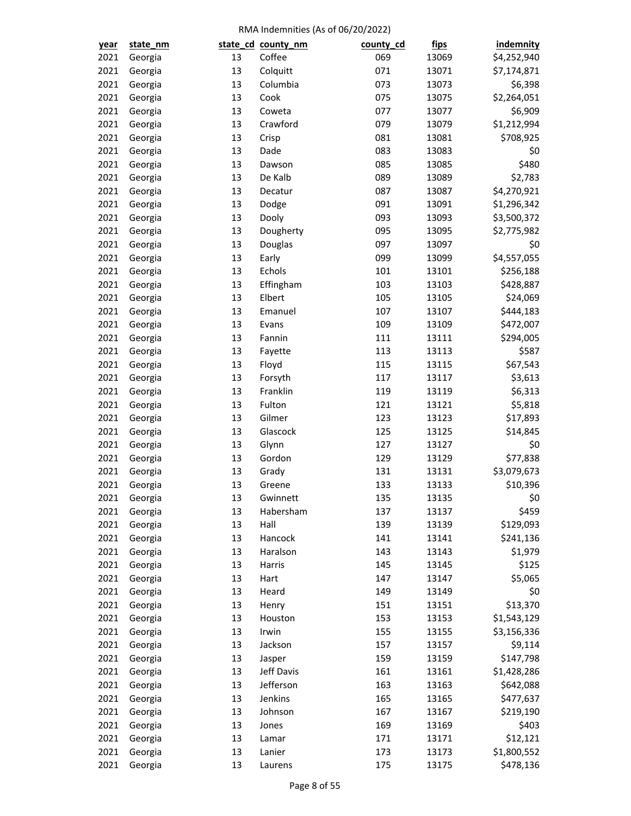| year         | state_nm |          | state_cd_county_nm   | county_cd | <u>fips</u> | indemnity          |
|--------------|----------|----------|----------------------|-----------|-------------|--------------------|
| 2021         | Georgia  | 13       | Coffee               | 069       | 13069       | \$4,252,940        |
| 2021         | Georgia  | 13       | Colquitt             | 071       | 13071       | \$7,174,871        |
| 2021         | Georgia  | 13       | Columbia             | 073       | 13073       | \$6,398            |
| 2021         | Georgia  | 13       | Cook                 | 075       | 13075       | \$2,264,051        |
| 2021         | Georgia  | 13       | Coweta               | 077       | 13077       | \$6,909            |
| 2021         | Georgia  | 13       | Crawford             | 079       | 13079       | \$1,212,994        |
| 2021         | Georgia  | 13       | Crisp                | 081       | 13081       | \$708,925          |
| 2021         | Georgia  | 13       | Dade                 | 083       | 13083       | \$0                |
| 2021         | Georgia  | 13       | Dawson               | 085       | 13085       | \$480              |
| 2021         | Georgia  | 13       | De Kalb              | 089       | 13089       | \$2,783            |
| 2021         | Georgia  | 13       | Decatur              | 087       | 13087       | \$4,270,921        |
| 2021         | Georgia  | 13       | Dodge                | 091       | 13091       | \$1,296,342        |
| 2021         | Georgia  | 13       | Dooly                | 093       | 13093       | \$3,500,372        |
| 2021         | Georgia  | 13       | Dougherty            | 095       | 13095       | \$2,775,982        |
| 2021         | Georgia  | 13       | Douglas              | 097       | 13097       | \$0                |
| 2021         | Georgia  | 13       | Early                | 099       | 13099       | \$4,557,055        |
| 2021         | Georgia  | 13       | Echols               | 101       | 13101       | \$256,188          |
| 2021         | Georgia  | 13       | Effingham            | 103       | 13103       | \$428,887          |
| 2021         | Georgia  | 13       | Elbert               | 105       | 13105       | \$24,069           |
| 2021         | Georgia  | 13       | Emanuel              | 107       | 13107       | \$444,183          |
| 2021         | Georgia  | 13       | Evans                | 109       | 13109       | \$472,007          |
| 2021         | Georgia  | 13       | Fannin               | 111       | 13111       | \$294,005          |
| 2021         | Georgia  | 13       | Fayette              | 113       | 13113       | \$587              |
| 2021         | Georgia  | 13       | Floyd                | 115       | 13115       | \$67,543           |
| 2021         | Georgia  | 13       | Forsyth              | 117       | 13117       | \$3,613            |
| 2021         | Georgia  | 13       | Franklin             | 119       | 13119       | \$6,313            |
| 2021         | Georgia  | 13       | Fulton               | 121       | 13121       | \$5,818            |
| 2021         | Georgia  | 13       | Gilmer               | 123       | 13123       | \$17,893           |
| 2021         | Georgia  | 13       | Glascock             | 125       | 13125       | \$14,845           |
| 2021         | Georgia  | 13       | Glynn                | 127       | 13127       | \$0                |
| 2021         | Georgia  | 13       | Gordon               | 129       | 13129       | \$77,838           |
| 2021         | Georgia  | 13       | Grady                | 131       | 13131       | \$3,079,673        |
| 2021         | Georgia  | 13       | Greene               | 133       | 13133       | \$10,396           |
| 2021         | Georgia  | 13       | Gwinnett             | 135       | 13135       | \$0                |
| 2021         | Georgia  | 13       | Habersham            | 137       | 13137       | \$459              |
| 2021         | Georgia  | 13       | Hall                 | 139       | 13139       | \$129,093          |
| 2021         | Georgia  | 13       | Hancock              | 141       | 13141       | \$241,136          |
| 2021         | Georgia  | 13       | Haralson             | 143       | 13143       | \$1,979            |
| 2021         | Georgia  | 13       | Harris               | 145       | 13145       | \$125              |
| 2021         | Georgia  | 13       | Hart                 | 147       | 13147       | \$5,065            |
| 2021         | Georgia  | 13       | Heard                | 149       | 13149       | \$0                |
| 2021         | Georgia  | 13       | Henry                | 151       | 13151       | \$13,370           |
| 2021         | Georgia  | 13       | Houston              | 153       | 13153       | \$1,543,129        |
| 2021         | Georgia  | 13       | Irwin                | 155       | 13155       | \$3,156,336        |
| 2021         | Georgia  | 13       | Jackson              | 157       | 13157       | \$9,114            |
| 2021         | Georgia  | 13       |                      | 159       | 13159       | \$147,798          |
| 2021         |          | 13       | Jasper<br>Jeff Davis | 161       | 13161       | \$1,428,286        |
|              | Georgia  |          | Jefferson            | 163       |             |                    |
| 2021<br>2021 | Georgia  | 13<br>13 | Jenkins              | 165       | 13163       | \$642,088          |
|              | Georgia  | 13       |                      |           | 13165       | \$477,637          |
| 2021         | Georgia  |          | Johnson              | 167       | 13167       | \$219,190<br>\$403 |
| 2021         | Georgia  | 13       | Jones                | 169       | 13169       |                    |
| 2021         | Georgia  | 13       | Lamar                | 171       | 13171       | \$12,121           |
| 2021         | Georgia  | 13       | Lanier               | 173       | 13173       | \$1,800,552        |
| 2021         | Georgia  | 13       | Laurens              | 175       | 13175       | \$478,136          |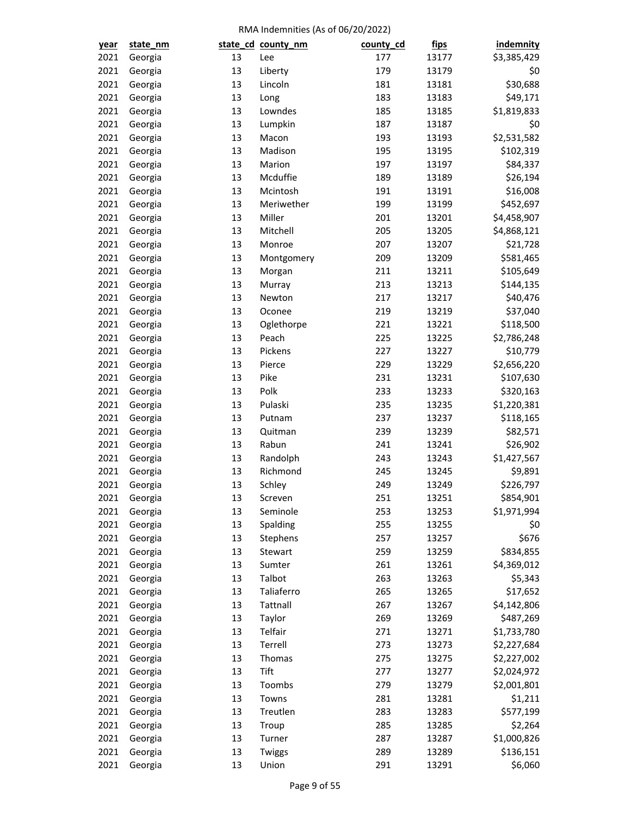| year | state_nm |    | state_cd_county_nm | county_cd | <u>fips</u> | <b>indemnity</b> |
|------|----------|----|--------------------|-----------|-------------|------------------|
| 2021 | Georgia  | 13 | Lee                | 177       | 13177       | \$3,385,429      |
| 2021 | Georgia  | 13 | Liberty            | 179       | 13179       | \$0              |
| 2021 | Georgia  | 13 | Lincoln            | 181       | 13181       | \$30,688         |
| 2021 | Georgia  | 13 | Long               | 183       | 13183       | \$49,171         |
| 2021 | Georgia  | 13 | Lowndes            | 185       | 13185       | \$1,819,833      |
| 2021 | Georgia  | 13 | Lumpkin            | 187       | 13187       | \$0              |
| 2021 | Georgia  | 13 | Macon              | 193       | 13193       | \$2,531,582      |
| 2021 | Georgia  | 13 | Madison            | 195       | 13195       | \$102,319        |
| 2021 | Georgia  | 13 | Marion             | 197       | 13197       | \$84,337         |
| 2021 | Georgia  | 13 | Mcduffie           | 189       | 13189       | \$26,194         |
| 2021 | Georgia  | 13 | Mcintosh           | 191       | 13191       | \$16,008         |
| 2021 | Georgia  | 13 | Meriwether         | 199       | 13199       | \$452,697        |
| 2021 | Georgia  | 13 | Miller             | 201       | 13201       | \$4,458,907      |
| 2021 | Georgia  | 13 | Mitchell           | 205       | 13205       | \$4,868,121      |
| 2021 | Georgia  | 13 | Monroe             | 207       | 13207       | \$21,728         |
| 2021 | Georgia  | 13 | Montgomery         | 209       | 13209       | \$581,465        |
| 2021 | Georgia  | 13 | Morgan             | 211       | 13211       | \$105,649        |
| 2021 | Georgia  | 13 | Murray             | 213       | 13213       | \$144,135        |
| 2021 | Georgia  | 13 | Newton             | 217       | 13217       | \$40,476         |
| 2021 | Georgia  | 13 | Oconee             | 219       | 13219       | \$37,040         |
| 2021 | Georgia  | 13 | Oglethorpe         | 221       | 13221       | \$118,500        |
| 2021 | Georgia  | 13 | Peach              | 225       | 13225       | \$2,786,248      |
| 2021 | Georgia  | 13 | Pickens            | 227       | 13227       | \$10,779         |
| 2021 | Georgia  | 13 | Pierce             | 229       | 13229       | \$2,656,220      |
| 2021 | Georgia  | 13 | Pike               | 231       | 13231       | \$107,630        |
| 2021 | Georgia  | 13 | Polk               | 233       | 13233       | \$320,163        |
| 2021 | Georgia  | 13 | Pulaski            | 235       | 13235       | \$1,220,381      |
| 2021 | Georgia  | 13 | Putnam             | 237       | 13237       | \$118,165        |
| 2021 | Georgia  | 13 | Quitman            | 239       | 13239       | \$82,571         |
| 2021 | Georgia  | 13 | Rabun              | 241       | 13241       | \$26,902         |
| 2021 | Georgia  | 13 | Randolph           | 243       | 13243       | \$1,427,567      |
| 2021 | Georgia  | 13 | Richmond           | 245       | 13245       | \$9,891          |
| 2021 | Georgia  | 13 | Schley             | 249       | 13249       | \$226,797        |
| 2021 | Georgia  | 13 | Screven            | 251       | 13251       | \$854,901        |
| 2021 | Georgia  | 13 | Seminole           | 253       | 13253       | \$1,971,994      |
| 2021 | Georgia  | 13 | Spalding           | 255       | 13255       | \$0              |
| 2021 | Georgia  | 13 | Stephens           | 257       | 13257       | \$676            |
| 2021 | Georgia  | 13 | Stewart            | 259       | 13259       | \$834,855        |
| 2021 | Georgia  | 13 | Sumter             | 261       | 13261       | \$4,369,012      |
| 2021 | Georgia  | 13 | Talbot             | 263       | 13263       | \$5,343          |
| 2021 | Georgia  | 13 | Taliaferro         | 265       | 13265       | \$17,652         |
| 2021 | Georgia  | 13 | Tattnall           | 267       | 13267       | \$4,142,806      |
| 2021 | Georgia  | 13 | Taylor             | 269       | 13269       | \$487,269        |
| 2021 | Georgia  | 13 | Telfair            | 271       | 13271       | \$1,733,780      |
| 2021 | Georgia  | 13 | Terrell            | 273       | 13273       | \$2,227,684      |
| 2021 | Georgia  | 13 | Thomas             | 275       | 13275       | \$2,227,002      |
| 2021 | Georgia  | 13 | Tift               | 277       | 13277       | \$2,024,972      |
| 2021 | Georgia  | 13 | Toombs             | 279       | 13279       | \$2,001,801      |
| 2021 | Georgia  | 13 | Towns              | 281       | 13281       | \$1,211          |
| 2021 | Georgia  | 13 | Treutlen           | 283       | 13283       | \$577,199        |
| 2021 | Georgia  | 13 | Troup              | 285       | 13285       | \$2,264          |
| 2021 | Georgia  | 13 | Turner             | 287       | 13287       | \$1,000,826      |
| 2021 | Georgia  | 13 | Twiggs             | 289       | 13289       | \$136,151        |
| 2021 | Georgia  | 13 | Union              | 291       | 13291       | \$6,060          |
|      |          |    |                    |           |             |                  |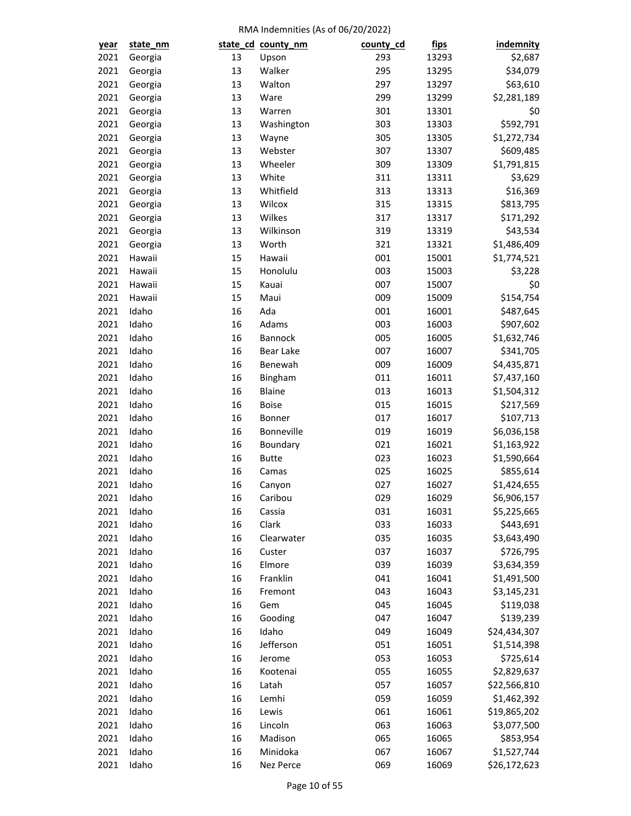| year | state_nm |    | state_cd_county_nm | county_cd | <u>fips</u> | indemnity    |
|------|----------|----|--------------------|-----------|-------------|--------------|
| 2021 | Georgia  | 13 | Upson              | 293       | 13293       | \$2,687      |
| 2021 | Georgia  | 13 | Walker             | 295       | 13295       | \$34,079     |
| 2021 | Georgia  | 13 | Walton             | 297       | 13297       | \$63,610     |
| 2021 | Georgia  | 13 | Ware               | 299       | 13299       | \$2,281,189  |
| 2021 | Georgia  | 13 | Warren             | 301       | 13301       | \$0          |
| 2021 | Georgia  | 13 | Washington         | 303       | 13303       | \$592,791    |
| 2021 | Georgia  | 13 | Wayne              | 305       | 13305       | \$1,272,734  |
| 2021 | Georgia  | 13 | Webster            | 307       | 13307       | \$609,485    |
| 2021 | Georgia  | 13 | Wheeler            | 309       | 13309       | \$1,791,815  |
| 2021 | Georgia  | 13 | White              | 311       | 13311       | \$3,629      |
| 2021 | Georgia  | 13 | Whitfield          | 313       | 13313       | \$16,369     |
| 2021 | Georgia  | 13 | Wilcox             | 315       | 13315       | \$813,795    |
| 2021 | Georgia  | 13 | Wilkes             | 317       | 13317       | \$171,292    |
| 2021 | Georgia  | 13 | Wilkinson          | 319       | 13319       | \$43,534     |
| 2021 | Georgia  | 13 | Worth              | 321       | 13321       | \$1,486,409  |
| 2021 | Hawaii   | 15 | Hawaii             | 001       | 15001       | \$1,774,521  |
| 2021 | Hawaii   | 15 | Honolulu           | 003       | 15003       | \$3,228      |
| 2021 | Hawaii   | 15 | Kauai              | 007       | 15007       | \$0          |
| 2021 | Hawaii   | 15 | Maui               | 009       | 15009       | \$154,754    |
| 2021 | Idaho    | 16 | Ada                | 001       | 16001       | \$487,645    |
| 2021 | Idaho    | 16 | Adams              | 003       | 16003       | \$907,602    |
| 2021 | Idaho    | 16 | Bannock            | 005       | 16005       | \$1,632,746  |
| 2021 | Idaho    | 16 | <b>Bear Lake</b>   | 007       | 16007       | \$341,705    |
| 2021 | Idaho    | 16 | Benewah            | 009       | 16009       | \$4,435,871  |
| 2021 | Idaho    | 16 | Bingham            | 011       | 16011       | \$7,437,160  |
| 2021 | Idaho    | 16 | <b>Blaine</b>      | 013       | 16013       | \$1,504,312  |
| 2021 | Idaho    | 16 | Boise              | 015       | 16015       | \$217,569    |
| 2021 | Idaho    | 16 | Bonner             | 017       | 16017       | \$107,713    |
| 2021 | Idaho    | 16 | Bonneville         | 019       | 16019       | \$6,036,158  |
| 2021 | Idaho    | 16 | Boundary           | 021       | 16021       | \$1,163,922  |
| 2021 | Idaho    | 16 | <b>Butte</b>       | 023       | 16023       | \$1,590,664  |
| 2021 | Idaho    | 16 | Camas              | 025       | 16025       | \$855,614    |
| 2021 | Idaho    | 16 | Canyon             | 027       | 16027       | \$1,424,655  |
| 2021 | Idaho    | 16 | Caribou            | 029       | 16029       | \$6,906,157  |
| 2021 | Idaho    | 16 | Cassia             | 031       | 16031       | \$5,225,665  |
| 2021 | Idaho    | 16 | Clark              | 033       | 16033       | \$443,691    |
| 2021 | Idaho    | 16 | Clearwater         | 035       | 16035       | \$3,643,490  |
| 2021 | Idaho    | 16 | Custer             | 037       | 16037       | \$726,795    |
| 2021 | Idaho    | 16 | Elmore             | 039       | 16039       | \$3,634,359  |
| 2021 | Idaho    | 16 | Franklin           | 041       | 16041       | \$1,491,500  |
| 2021 | Idaho    | 16 | Fremont            | 043       | 16043       | \$3,145,231  |
| 2021 | Idaho    | 16 | Gem                | 045       | 16045       | \$119,038    |
| 2021 | Idaho    | 16 | Gooding            | 047       | 16047       | \$139,239    |
| 2021 | Idaho    | 16 | Idaho              | 049       | 16049       | \$24,434,307 |
| 2021 | Idaho    | 16 | Jefferson          | 051       | 16051       | \$1,514,398  |
| 2021 | Idaho    | 16 | Jerome             | 053       | 16053       | \$725,614    |
| 2021 | Idaho    | 16 | Kootenai           | 055       | 16055       | \$2,829,637  |
| 2021 | Idaho    | 16 | Latah              | 057       | 16057       | \$22,566,810 |
| 2021 | Idaho    | 16 | Lemhi              | 059       | 16059       | \$1,462,392  |
| 2021 | Idaho    | 16 | Lewis              | 061       | 16061       | \$19,865,202 |
| 2021 | Idaho    | 16 | Lincoln            | 063       | 16063       | \$3,077,500  |
| 2021 | Idaho    | 16 | Madison            | 065       | 16065       | \$853,954    |
| 2021 | Idaho    | 16 | Minidoka           | 067       | 16067       | \$1,527,744  |
| 2021 | Idaho    | 16 | Nez Perce          | 069       | 16069       | \$26,172,623 |
|      |          |    |                    |           |             |              |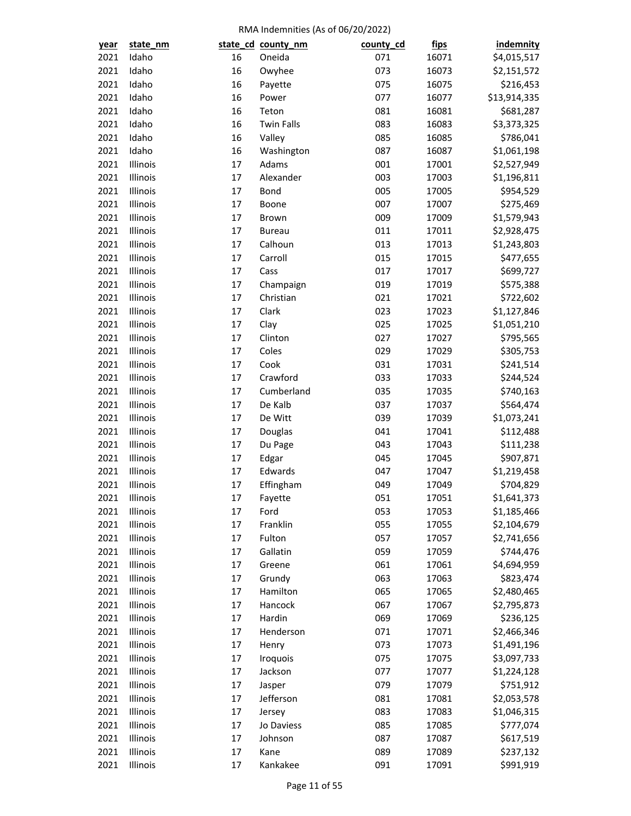| year | state_nm             |          | state_cd_county_nm | county_cd  | <u>fips</u> | indemnity                |
|------|----------------------|----------|--------------------|------------|-------------|--------------------------|
| 2021 | Idaho                | 16       | Oneida             | 071        | 16071       | \$4,015,517              |
| 2021 | Idaho                | 16       | Owyhee             | 073        | 16073       | \$2,151,572              |
| 2021 | Idaho                | 16       | Payette            | 075        | 16075       | \$216,453                |
| 2021 | Idaho                | 16       | Power              | 077        | 16077       | \$13,914,335             |
| 2021 | Idaho                | 16       | Teton              | 081        | 16081       | \$681,287                |
| 2021 | Idaho                | 16       | <b>Twin Falls</b>  | 083        | 16083       | \$3,373,325              |
| 2021 | Idaho                | 16       | Valley             | 085        | 16085       | \$786,041                |
| 2021 | Idaho                | 16       | Washington         | 087        | 16087       | \$1,061,198              |
| 2021 | Illinois             | 17       | Adams              | 001        | 17001       | \$2,527,949              |
| 2021 | Illinois             | 17       | Alexander          | 003        | 17003       | \$1,196,811              |
| 2021 | Illinois             | 17       | Bond               | 005        | 17005       | \$954,529                |
| 2021 | Illinois             | 17       | Boone              | 007        | 17007       | \$275,469                |
| 2021 | Illinois             | 17       | Brown              | 009        | 17009       | \$1,579,943              |
| 2021 | Illinois             | 17       | <b>Bureau</b>      | 011        | 17011       | \$2,928,475              |
| 2021 | Illinois             | 17       | Calhoun            | 013        | 17013       | \$1,243,803              |
| 2021 | Illinois             | 17       | Carroll            | 015        | 17015       | \$477,655                |
| 2021 | Illinois             | 17       | Cass               | 017        | 17017       | \$699,727                |
| 2021 | Illinois             | 17       | Champaign          | 019        | 17019       | \$575,388                |
| 2021 | Illinois             | 17       | Christian          | 021        | 17021       | \$722,602                |
| 2021 | Illinois             | 17       | Clark              | 023        | 17023       | \$1,127,846              |
| 2021 | Illinois             | 17       | Clay               | 025        | 17025       | \$1,051,210              |
| 2021 | Illinois             | 17       | Clinton            | 027        | 17027       | \$795,565                |
| 2021 | Illinois             | 17       | Coles              | 029        | 17029       | \$305,753                |
| 2021 | Illinois             | 17       | Cook               | 031        | 17031       | \$241,514                |
| 2021 | Illinois             | 17       | Crawford           | 033        | 17033       | \$244,524                |
| 2021 | Illinois             | 17       | Cumberland         | 035        | 17035       |                          |
| 2021 | Illinois             | 17       | De Kalb            | 037        | 17037       | \$740,163                |
| 2021 | Illinois             | 17       | De Witt            | 039        | 17039       | \$564,474                |
| 2021 | Illinois             | 17       |                    | 041        | 17041       | \$1,073,241              |
| 2021 | Illinois             | 17       | Douglas            |            |             | \$112,488                |
| 2021 | Illinois             | 17       | Du Page            | 043<br>045 | 17043       | \$111,238<br>\$907,871   |
|      |                      |          | Edgar              |            | 17045       |                          |
| 2021 | Illinois<br>Illinois | 17<br>17 | Edwards            | 047        | 17047       | \$1,219,458<br>\$704,829 |
| 2021 |                      |          | Effingham          | 049        | 17049       |                          |
| 2021 | Illinois             | 17       | Fayette            | 051        | 17051       | \$1,641,373              |
| 2021 | Illinois             | 17       | Ford               | 053        | 17053       | \$1,185,466              |
| 2021 | Illinois             | 17       | Franklin           | 055        | 17055       | \$2,104,679              |
| 2021 | Illinois             | 17       | Fulton             | 057        | 17057       | \$2,741,656              |
| 2021 | Illinois             | 17       | Gallatin           | 059        | 17059       | \$744,476                |
| 2021 | Illinois             | 17       | Greene             | 061        | 17061       | \$4,694,959              |
| 2021 | Illinois             | 17       | Grundy             | 063        | 17063       | \$823,474                |
| 2021 | Illinois             | 17       | Hamilton           | 065        | 17065       | \$2,480,465              |
| 2021 | Illinois             | 17       | Hancock            | 067        | 17067       | \$2,795,873              |
| 2021 | Illinois             | 17       | Hardin             | 069        | 17069       | \$236,125                |
| 2021 | Illinois             | 17       | Henderson          | 071        | 17071       | \$2,466,346              |
| 2021 | Illinois             | 17       | Henry              | 073        | 17073       | \$1,491,196              |
| 2021 | Illinois             | 17       | Iroquois           | 075        | 17075       | \$3,097,733              |
| 2021 | Illinois             | 17       | Jackson            | 077        | 17077       | \$1,224,128              |
| 2021 | Illinois             | 17       | Jasper             | 079        | 17079       | \$751,912                |
| 2021 | Illinois             | 17       | Jefferson          | 081        | 17081       | \$2,053,578              |
| 2021 | Illinois             | 17       | Jersey             | 083        | 17083       | \$1,046,315              |
| 2021 | Illinois             | 17       | Jo Daviess         | 085        | 17085       | \$777,074                |
| 2021 | Illinois             | 17       | Johnson            | 087        | 17087       | \$617,519                |
| 2021 | Illinois             | 17       | Kane               | 089        | 17089       | \$237,132                |
| 2021 | Illinois             | 17       | Kankakee           | 091        | 17091       | \$991,919                |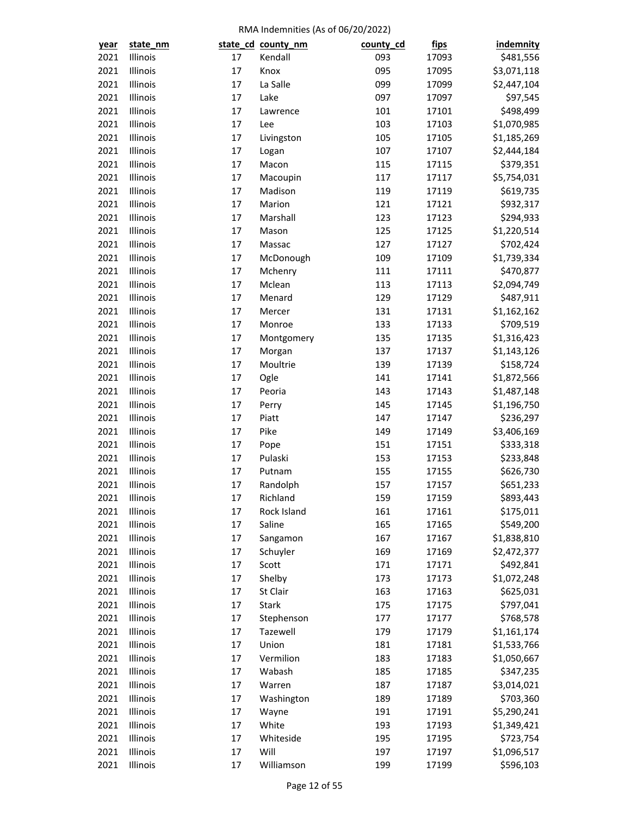| year | state_nm |    | state_cd_county_nm   | county_cd | <u>fips</u> | <b>indemnity</b> |
|------|----------|----|----------------------|-----------|-------------|------------------|
| 2021 | Illinois | 17 | Kendall              | 093       | 17093       | \$481,556        |
| 2021 | Illinois | 17 | Knox                 | 095       | 17095       | \$3,071,118      |
| 2021 | Illinois | 17 | La Salle             | 099       | 17099       | \$2,447,104      |
| 2021 | Illinois | 17 | Lake                 | 097       | 17097       | \$97,545         |
| 2021 | Illinois | 17 | Lawrence             | 101       | 17101       | \$498,499        |
| 2021 | Illinois | 17 | Lee                  | 103       | 17103       | \$1,070,985      |
| 2021 | Illinois | 17 | Livingston           | 105       | 17105       | \$1,185,269      |
| 2021 | Illinois | 17 | Logan                | 107       | 17107       | \$2,444,184      |
| 2021 | Illinois | 17 | Macon                | 115       | 17115       | \$379,351        |
| 2021 | Illinois | 17 | Macoupin             | 117       | 17117       | \$5,754,031      |
| 2021 | Illinois | 17 | Madison              | 119       | 17119       | \$619,735        |
| 2021 | Illinois | 17 | Marion               | 121       | 17121       | \$932,317        |
| 2021 | Illinois | 17 | Marshall             | 123       | 17123       | \$294,933        |
| 2021 | Illinois | 17 | Mason                | 125       | 17125       | \$1,220,514      |
| 2021 | Illinois | 17 | Massac               | 127       | 17127       | \$702,424        |
| 2021 | Illinois | 17 | McDonough            | 109       | 17109       | \$1,739,334      |
| 2021 | Illinois | 17 | Mchenry              | 111       | 17111       | \$470,877        |
| 2021 | Illinois | 17 | Mclean               | 113       | 17113       | \$2,094,749      |
| 2021 | Illinois | 17 | Menard               | 129       | 17129       | \$487,911        |
| 2021 | Illinois | 17 | Mercer               | 131       | 17131       | \$1,162,162      |
| 2021 | Illinois | 17 | Monroe               | 133       | 17133       | \$709,519        |
| 2021 | Illinois | 17 | Montgomery           | 135       | 17135       | \$1,316,423      |
| 2021 | Illinois | 17 | Morgan               | 137       | 17137       | \$1,143,126      |
| 2021 | Illinois | 17 | Moultrie             | 139       | 17139       | \$158,724        |
| 2021 | Illinois | 17 | Ogle                 | 141       | 17141       | \$1,872,566      |
| 2021 | Illinois | 17 | Peoria               | 143       | 17143       | \$1,487,148      |
| 2021 | Illinois | 17 | Perry                | 145       | 17145       | \$1,196,750      |
| 2021 | Illinois | 17 | Piatt                | 147       | 17147       | \$236,297        |
| 2021 | Illinois | 17 | Pike                 | 149       | 17149       | \$3,406,169      |
| 2021 | Illinois | 17 | Pope                 | 151       | 17151       | \$333,318        |
| 2021 | Illinois | 17 | Pulaski              | 153       | 17153       | \$233,848        |
| 2021 | Illinois | 17 | Putnam               | 155       | 17155       | \$626,730        |
| 2021 | Illinois | 17 | Randolph             | 157       | 17157       | \$651,233        |
| 2021 | Illinois | 17 | Richland             | 159       | 17159       | \$893,443        |
| 2021 | Illinois | 17 | Rock Island          | 161       | 17161       | \$175,011        |
| 2021 | Illinois | 17 | Saline               | 165       | 17165       | \$549,200        |
| 2021 | Illinois | 17 |                      | 167       |             |                  |
| 2021 | Illinois | 17 | Sangamon<br>Schuyler | 169       | 17167       | \$1,838,810      |
|      |          |    |                      |           | 17169       | \$2,472,377      |
| 2021 | Illinois | 17 | Scott                | 171       | 17171       | \$492,841        |
| 2021 | Illinois | 17 | Shelby               | 173       | 17173       | \$1,072,248      |
| 2021 | Illinois | 17 | St Clair             | 163       | 17163       | \$625,031        |
| 2021 | Illinois | 17 | Stark                | 175       | 17175       | \$797,041        |
| 2021 | Illinois | 17 | Stephenson           | 177       | 17177       | \$768,578        |
| 2021 | Illinois | 17 | Tazewell             | 179       | 17179       | \$1,161,174      |
| 2021 | Illinois | 17 | Union                | 181       | 17181       | \$1,533,766      |
| 2021 | Illinois | 17 | Vermilion            | 183       | 17183       | \$1,050,667      |
| 2021 | Illinois | 17 | Wabash               | 185       | 17185       | \$347,235        |
| 2021 | Illinois | 17 | Warren               | 187       | 17187       | \$3,014,021      |
| 2021 | Illinois | 17 | Washington           | 189       | 17189       | \$703,360        |
| 2021 | Illinois | 17 | Wayne                | 191       | 17191       | \$5,290,241      |
| 2021 | Illinois | 17 | White                | 193       | 17193       | \$1,349,421      |
| 2021 | Illinois | 17 | Whiteside            | 195       | 17195       | \$723,754        |
| 2021 | Illinois | 17 | Will                 | 197       | 17197       | \$1,096,517      |
| 2021 | Illinois | 17 | Williamson           | 199       | 17199       | \$596,103        |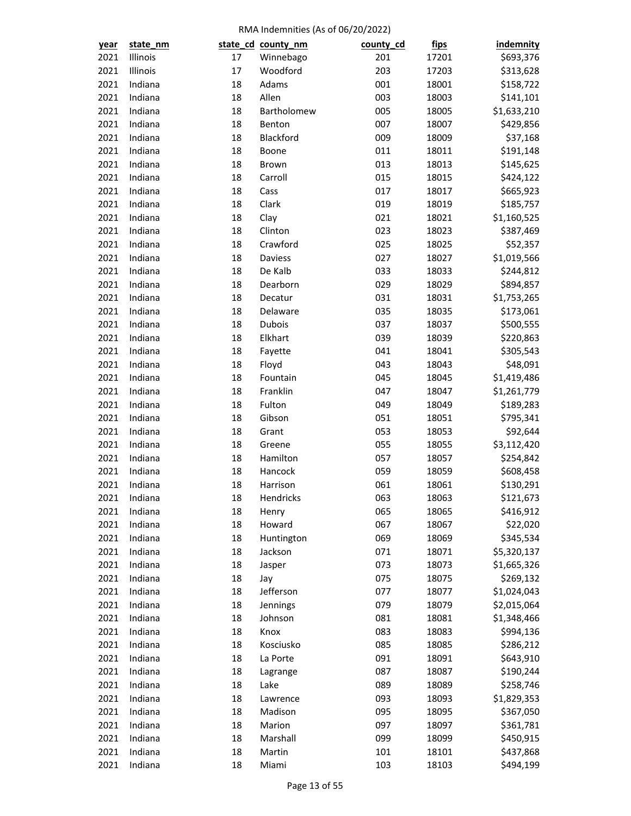| year | state_nm |    | state_cd_county_nm | county_cd  | <u>fips</u>    | <b>indemnity</b>       |
|------|----------|----|--------------------|------------|----------------|------------------------|
| 2021 | Illinois | 17 | Winnebago          | 201        | 17201          | \$693,376              |
| 2021 | Illinois | 17 | Woodford           | 203        | 17203          | \$313,628              |
| 2021 | Indiana  | 18 | Adams              | 001        | 18001          | \$158,722              |
| 2021 | Indiana  | 18 | Allen              | 003        | 18003          | \$141,101              |
| 2021 | Indiana  | 18 | Bartholomew        | 005        | 18005          | \$1,633,210            |
| 2021 | Indiana  | 18 | Benton             | 007        | 18007          | \$429,856              |
| 2021 | Indiana  | 18 | Blackford          | 009        | 18009          | \$37,168               |
| 2021 | Indiana  | 18 | Boone              | 011        | 18011          | \$191,148              |
| 2021 | Indiana  | 18 | Brown              | 013        | 18013          | \$145,625              |
| 2021 | Indiana  | 18 | Carroll            | 015        | 18015          | \$424,122              |
| 2021 | Indiana  | 18 | Cass               | 017        | 18017          | \$665,923              |
| 2021 | Indiana  | 18 | Clark              | 019        | 18019          | \$185,757              |
| 2021 | Indiana  | 18 | Clay               | 021        | 18021          | \$1,160,525            |
| 2021 | Indiana  | 18 | Clinton            | 023        | 18023          | \$387,469              |
| 2021 | Indiana  | 18 | Crawford           | 025        | 18025          | \$52,357               |
| 2021 | Indiana  | 18 | Daviess            | 027        | 18027          | \$1,019,566            |
| 2021 | Indiana  | 18 | De Kalb            | 033        | 18033          | \$244,812              |
| 2021 | Indiana  | 18 | Dearborn           | 029        | 18029          | \$894,857              |
| 2021 | Indiana  | 18 | Decatur            | 031        | 18031          | \$1,753,265            |
| 2021 | Indiana  | 18 | Delaware           | 035        | 18035          | \$173,061              |
| 2021 | Indiana  | 18 | Dubois             | 037        | 18037          | \$500,555              |
| 2021 | Indiana  | 18 | Elkhart            | 039        | 18039          | \$220,863              |
| 2021 | Indiana  | 18 | Fayette            | 041        | 18041          | \$305,543              |
| 2021 | Indiana  | 18 | Floyd              | 043        | 18043          | \$48,091               |
| 2021 | Indiana  | 18 | Fountain           | 045        | 18045          | \$1,419,486            |
| 2021 | Indiana  | 18 | Franklin           | 047        | 18047          | \$1,261,779            |
| 2021 | Indiana  | 18 | Fulton             | 049        | 18049          | \$189,283              |
| 2021 | Indiana  | 18 | Gibson             | 051        | 18051          | \$795,341              |
| 2021 | Indiana  | 18 | Grant              | 053        | 18053          | \$92,644               |
| 2021 | Indiana  | 18 | Greene             | 055        | 18055          | \$3,112,420            |
| 2021 | Indiana  | 18 | Hamilton           | 057        | 18057          | \$254,842              |
| 2021 | Indiana  | 18 | Hancock            | 059        |                |                        |
| 2021 | Indiana  | 18 | Harrison           | 061        | 18059<br>18061 | \$608,458<br>\$130,291 |
| 2021 | Indiana  | 18 |                    | 063        | 18063          | \$121,673              |
|      |          |    | Hendricks          |            |                |                        |
| 2021 | Indiana  | 18 | Henry              | 065<br>067 | 18065          | \$416,912              |
| 2021 | Indiana  | 18 | Howard             |            | 18067          | \$22,020               |
| 2021 | Indiana  | 18 | Huntington         | 069        | 18069          | \$345,534              |
| 2021 | Indiana  | 18 | Jackson            | 071        | 18071          | \$5,320,137            |
| 2021 | Indiana  | 18 | Jasper             | 073        | 18073          | \$1,665,326            |
| 2021 | Indiana  | 18 | Jay                | 075        | 18075          | \$269,132              |
| 2021 | Indiana  | 18 | Jefferson          | 077        | 18077          | \$1,024,043            |
| 2021 | Indiana  | 18 | Jennings           | 079        | 18079          | \$2,015,064            |
| 2021 | Indiana  | 18 | Johnson            | 081        | 18081          | \$1,348,466            |
| 2021 | Indiana  | 18 | Knox               | 083        | 18083          | \$994,136              |
| 2021 | Indiana  | 18 | Kosciusko          | 085        | 18085          | \$286,212              |
| 2021 | Indiana  | 18 | La Porte           | 091        | 18091          | \$643,910              |
| 2021 | Indiana  | 18 | Lagrange           | 087        | 18087          | \$190,244              |
| 2021 | Indiana  | 18 | Lake               | 089        | 18089          | \$258,746              |
| 2021 | Indiana  | 18 | Lawrence           | 093        | 18093          | \$1,829,353            |
| 2021 | Indiana  | 18 | Madison            | 095        | 18095          | \$367,050              |
| 2021 | Indiana  | 18 | Marion             | 097        | 18097          | \$361,781              |
| 2021 | Indiana  | 18 | Marshall           | 099        | 18099          | \$450,915              |
| 2021 | Indiana  | 18 | Martin             | 101        | 18101          | \$437,868              |
| 2021 | Indiana  | 18 | Miami              | 103        | 18103          | \$494,199              |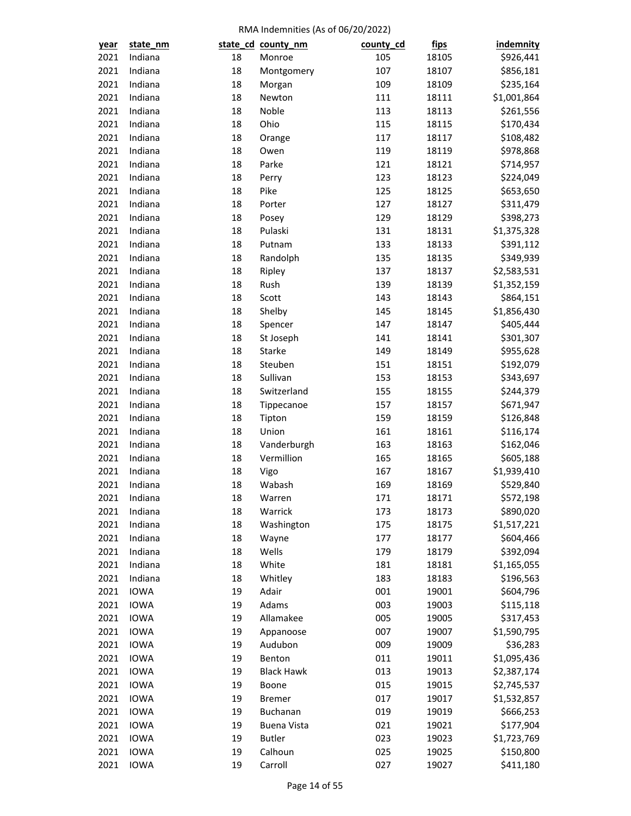| year | state_nm    |          | state_cd_county_nm       | county_cd | <u>fips</u>    | indemnity                  |
|------|-------------|----------|--------------------------|-----------|----------------|----------------------------|
| 2021 | Indiana     | 18       | Monroe                   | 105       | 18105          | \$926,441                  |
| 2021 | Indiana     | 18       | Montgomery               | 107       | 18107          | \$856,181                  |
| 2021 | Indiana     | 18       | Morgan                   | 109       | 18109          | \$235,164                  |
| 2021 | Indiana     | 18       | Newton                   | 111       | 18111          | \$1,001,864                |
| 2021 | Indiana     | 18       | Noble                    | 113       | 18113          | \$261,556                  |
| 2021 | Indiana     | 18       | Ohio                     | 115       | 18115          | \$170,434                  |
| 2021 | Indiana     | 18       | Orange                   | 117       | 18117          | \$108,482                  |
| 2021 | Indiana     | 18       | Owen                     | 119       | 18119          | \$978,868                  |
| 2021 | Indiana     | 18       | Parke                    | 121       | 18121          | \$714,957                  |
| 2021 | Indiana     | 18       | Perry                    | 123       | 18123          | \$224,049                  |
| 2021 | Indiana     | 18       | Pike                     | 125       | 18125          | \$653,650                  |
| 2021 | Indiana     | 18       | Porter                   | 127       | 18127          | \$311,479                  |
| 2021 | Indiana     | 18       | Posey                    | 129       | 18129          | \$398,273                  |
| 2021 | Indiana     | 18       | Pulaski                  | 131       | 18131          | \$1,375,328                |
| 2021 | Indiana     | 18       | Putnam                   | 133       | 18133          | \$391,112                  |
| 2021 | Indiana     | 18       | Randolph                 | 135       | 18135          | \$349,939                  |
| 2021 | Indiana     | 18       | Ripley                   | 137       | 18137          | \$2,583,531                |
| 2021 | Indiana     | 18       | Rush                     | 139       | 18139          | \$1,352,159                |
| 2021 | Indiana     | 18       | Scott                    | 143       | 18143          | \$864,151                  |
| 2021 | Indiana     | 18       | Shelby                   | 145       | 18145          | \$1,856,430                |
| 2021 | Indiana     | 18       | Spencer                  | 147       | 18147          | \$405,444                  |
| 2021 | Indiana     | 18       | St Joseph                | 141       | 18141          | \$301,307                  |
| 2021 | Indiana     | 18       | Starke                   | 149       | 18149          | \$955,628                  |
| 2021 | Indiana     | 18       | Steuben                  | 151       | 18151          | \$192,079                  |
| 2021 | Indiana     | 18       | Sullivan                 | 153       | 18153          | \$343,697                  |
| 2021 | Indiana     | 18       | Switzerland              | 155       | 18155          | \$244,379                  |
| 2021 | Indiana     | 18       | Tippecanoe               | 157       | 18157          | \$671,947                  |
| 2021 | Indiana     | 18       | Tipton                   | 159       | 18159          | \$126,848                  |
| 2021 | Indiana     | 18       | Union                    | 161       | 18161          | \$116,174                  |
| 2021 | Indiana     | 18       | Vanderburgh              | 163       | 18163          | \$162,046                  |
| 2021 | Indiana     | 18       | Vermillion               | 165       | 18165          | \$605,188                  |
| 2021 | Indiana     | 18       | Vigo                     | 167       | 18167          | \$1,939,410                |
| 2021 | Indiana     | 18       | Wabash                   | 169       | 18169          | \$529,840                  |
| 2021 | Indiana     | 18       | Warren                   | 171       | 18171          | \$572,198                  |
| 2021 | Indiana     | 18       | Warrick                  | 173       | 18173          | \$890,020                  |
| 2021 | Indiana     | 18       | Washington               | 175       | 18175          | \$1,517,221                |
| 2021 | Indiana     | 18       | Wayne                    | 177       | 18177          | \$604,466                  |
| 2021 | Indiana     | 18       | Wells                    | 179       | 18179          | \$392,094                  |
| 2021 | Indiana     | 18       | White                    | 181       | 18181          | \$1,165,055                |
| 2021 | Indiana     | 18       | Whitley                  | 183       | 18183          | \$196,563                  |
| 2021 | <b>IOWA</b> | 19       | Adair                    | 001       | 19001          | \$604,796                  |
| 2021 | <b>IOWA</b> | 19       | Adams                    | 003       | 19003          | \$115,118                  |
| 2021 | <b>IOWA</b> | 19       | Allamakee                | 005       | 19005          | \$317,453                  |
| 2021 | <b>IOWA</b> | 19       | Appanoose                | 007       | 19007          | \$1,590,795                |
| 2021 | <b>IOWA</b> | 19       | Audubon                  | 009       | 19009          | \$36,283                   |
| 2021 | <b>IOWA</b> | 19       | Benton                   | 011       | 19011          | \$1,095,436                |
| 2021 | <b>IOWA</b> | 19       | <b>Black Hawk</b>        | 013       | 19013          | \$2,387,174                |
| 2021 | <b>IOWA</b> | 19       |                          | 015       | 19015          |                            |
| 2021 | <b>IOWA</b> | 19       | Boone<br><b>Bremer</b>   | 017       | 19017          | \$2,745,537<br>\$1,532,857 |
| 2021 | <b>IOWA</b> | 19       | Buchanan                 | 019       |                | \$666,253                  |
| 2021 | <b>IOWA</b> | 19       | <b>Buena Vista</b>       | 021       | 19019<br>19021 | \$177,904                  |
|      |             |          |                          |           |                |                            |
| 2021 | <b>IOWA</b> | 19<br>19 | <b>Butler</b><br>Calhoun | 023       | 19023          | \$1,723,769                |
| 2021 | <b>IOWA</b> | 19       | Carroll                  | 025       | 19025          | \$150,800                  |
| 2021 | <b>IOWA</b> |          |                          | 027       | 19027          | \$411,180                  |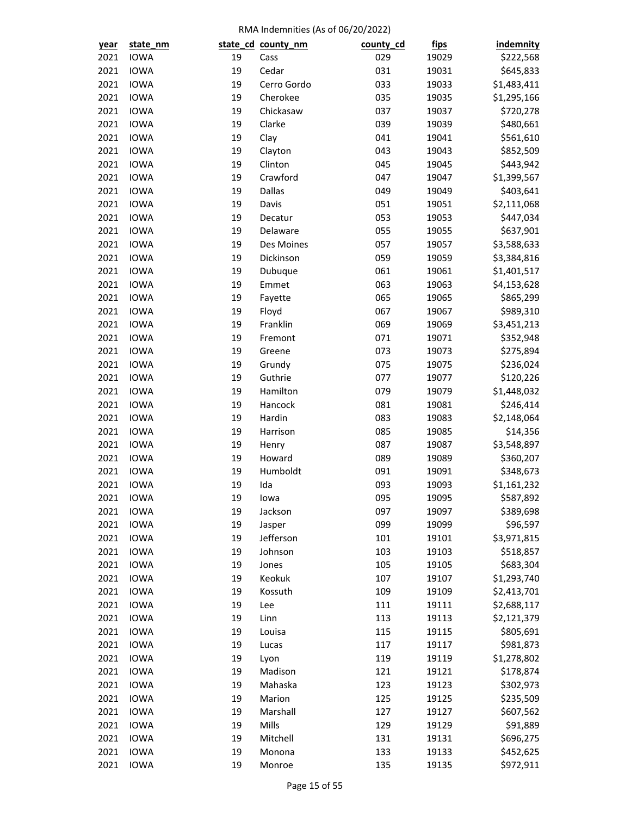| year | state_nm                   |    | state_cd_county_nm | county_cd | <u>fips</u> | <b>indemnity</b>       |
|------|----------------------------|----|--------------------|-----------|-------------|------------------------|
| 2021 | <b>IOWA</b>                | 19 | Cass               | 029       | 19029       | \$222,568              |
| 2021 | <b>IOWA</b>                | 19 | Cedar              | 031       | 19031       | \$645,833              |
| 2021 | <b>IOWA</b>                | 19 | Cerro Gordo        | 033       | 19033       | \$1,483,411            |
| 2021 | <b>IOWA</b>                | 19 | Cherokee           | 035       | 19035       | \$1,295,166            |
| 2021 | <b>IOWA</b>                | 19 | Chickasaw          | 037       | 19037       | \$720,278              |
| 2021 | <b>IOWA</b>                | 19 | Clarke             | 039       | 19039       | \$480,661              |
| 2021 | <b>IOWA</b>                | 19 | Clay               | 041       | 19041       | \$561,610              |
| 2021 | <b>IOWA</b>                | 19 | Clayton            | 043       | 19043       | \$852,509              |
| 2021 | <b>IOWA</b>                | 19 | Clinton            | 045       | 19045       | \$443,942              |
| 2021 | <b>IOWA</b>                | 19 | Crawford           | 047       | 19047       | \$1,399,567            |
| 2021 | <b>IOWA</b>                | 19 | Dallas             | 049       | 19049       | \$403,641              |
| 2021 | <b>IOWA</b>                | 19 | Davis              | 051       | 19051       | \$2,111,068            |
| 2021 | <b>IOWA</b>                | 19 | Decatur            | 053       | 19053       | \$447,034              |
| 2021 | <b>IOWA</b>                | 19 | Delaware           | 055       | 19055       | \$637,901              |
| 2021 | <b>IOWA</b>                | 19 | Des Moines         | 057       | 19057       | \$3,588,633            |
| 2021 | <b>IOWA</b>                | 19 | Dickinson          | 059       | 19059       | \$3,384,816            |
| 2021 | <b>IOWA</b>                | 19 | Dubuque            | 061       | 19061       | \$1,401,517            |
| 2021 | <b>IOWA</b>                | 19 | Emmet              | 063       | 19063       | \$4,153,628            |
| 2021 | <b>IOWA</b>                | 19 | Fayette            | 065       | 19065       | \$865,299              |
| 2021 | <b>IOWA</b>                | 19 | Floyd              | 067       | 19067       | \$989,310              |
| 2021 | <b>IOWA</b>                | 19 | Franklin           | 069       | 19069       | \$3,451,213            |
| 2021 | <b>IOWA</b>                | 19 | Fremont            | 071       | 19071       | \$352,948              |
| 2021 | <b>IOWA</b>                | 19 | Greene             | 073       | 19073       | \$275,894              |
| 2021 | <b>IOWA</b>                | 19 | Grundy             | 075       | 19075       | \$236,024              |
| 2021 | <b>IOWA</b>                | 19 | Guthrie            | 077       | 19077       | \$120,226              |
| 2021 | <b>IOWA</b>                | 19 | Hamilton           | 079       | 19079       | \$1,448,032            |
| 2021 | <b>IOWA</b>                | 19 | Hancock            | 081       | 19081       | \$246,414              |
| 2021 | <b>IOWA</b>                | 19 | Hardin             | 083       | 19083       | \$2,148,064            |
| 2021 | <b>IOWA</b>                | 19 | Harrison           | 085       | 19085       | \$14,356               |
| 2021 | <b>IOWA</b>                | 19 |                    | 087       | 19087       | \$3,548,897            |
| 2021 | <b>IOWA</b>                | 19 | Henry<br>Howard    | 089       | 19089       |                        |
| 2021 | <b>IOWA</b>                | 19 | Humboldt           | 091       |             | \$360,207<br>\$348,673 |
|      | <b>IOWA</b>                | 19 | Ida                | 093       | 19091       | \$1,161,232            |
| 2021 |                            |    |                    |           | 19093       |                        |
| 2021 | <b>IOWA</b>                | 19 | lowa               | 095       | 19095       | \$587,892              |
| 2021 | <b>IOWA</b><br><b>IOWA</b> | 19 | Jackson            | 097       | 19097       | \$389,698              |
| 2021 |                            | 19 | Jasper             | 099       | 19099       | \$96,597               |
| 2021 | <b>IOWA</b>                | 19 | Jefferson          | 101       | 19101       | \$3,971,815            |
| 2021 | <b>IOWA</b>                | 19 | Johnson            | 103       | 19103       | \$518,857              |
| 2021 | <b>IOWA</b>                | 19 | Jones              | 105       | 19105       | \$683,304              |
| 2021 | <b>IOWA</b>                | 19 | Keokuk             | 107       | 19107       | \$1,293,740            |
| 2021 | <b>IOWA</b>                | 19 | Kossuth            | 109       | 19109       | \$2,413,701            |
| 2021 | <b>IOWA</b>                | 19 | Lee                | 111       | 19111       | \$2,688,117            |
| 2021 | <b>IOWA</b>                | 19 | Linn               | 113       | 19113       | \$2,121,379            |
| 2021 | <b>IOWA</b>                | 19 | Louisa             | 115       | 19115       | \$805,691              |
| 2021 | <b>IOWA</b>                | 19 | Lucas              | 117       | 19117       | \$981,873              |
| 2021 | <b>IOWA</b>                | 19 | Lyon               | 119       | 19119       | \$1,278,802            |
| 2021 | <b>IOWA</b>                | 19 | Madison            | 121       | 19121       | \$178,874              |
| 2021 | <b>IOWA</b>                | 19 | Mahaska            | 123       | 19123       | \$302,973              |
| 2021 | <b>IOWA</b>                | 19 | Marion             | 125       | 19125       | \$235,509              |
| 2021 | <b>IOWA</b>                | 19 | Marshall           | 127       | 19127       | \$607,562              |
| 2021 | <b>IOWA</b>                | 19 | Mills              | 129       | 19129       | \$91,889               |
| 2021 | <b>IOWA</b>                | 19 | Mitchell           | 131       | 19131       | \$696,275              |
| 2021 | <b>IOWA</b>                | 19 | Monona             | 133       | 19133       | \$452,625              |
| 2021 | <b>IOWA</b>                | 19 | Monroe             | 135       | 19135       | \$972,911              |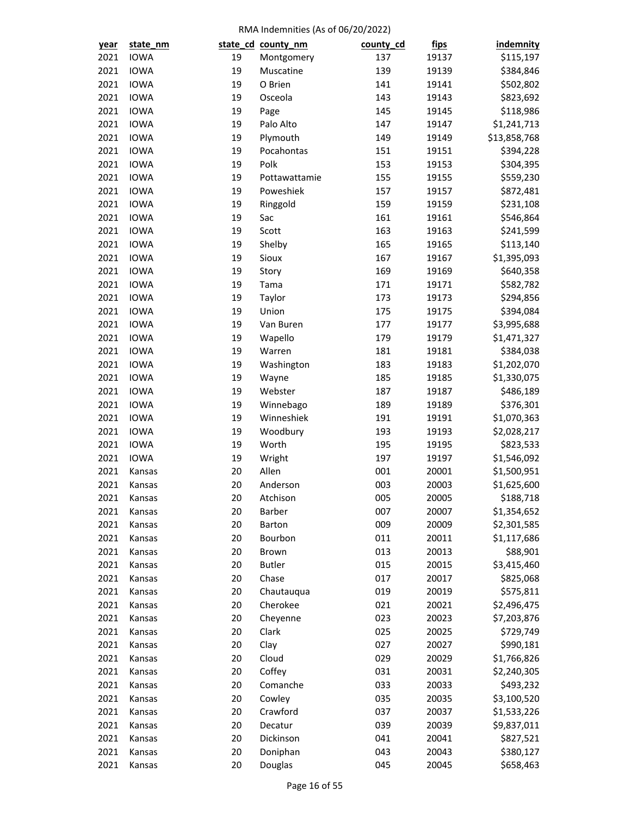| year | state_nm         |        | state_cd_county_nm | county_cd | <u>fips</u> | <b>indemnity</b>         |
|------|------------------|--------|--------------------|-----------|-------------|--------------------------|
| 2021 | <b>IOWA</b>      | 19     | Montgomery         | 137       | 19137       | \$115,197                |
| 2021 | <b>IOWA</b>      | 19     | Muscatine          | 139       | 19139       | \$384,846                |
| 2021 | <b>IOWA</b>      | 19     | O Brien            | 141       | 19141       | \$502,802                |
| 2021 | <b>IOWA</b>      | 19     | Osceola            | 143       | 19143       | \$823,692                |
| 2021 | <b>IOWA</b>      | 19     | Page               | 145       | 19145       | \$118,986                |
| 2021 | <b>IOWA</b>      | 19     | Palo Alto          | 147       | 19147       | \$1,241,713              |
| 2021 | <b>IOWA</b>      | 19     | Plymouth           | 149       | 19149       | \$13,858,768             |
| 2021 | <b>IOWA</b>      | 19     | Pocahontas         | 151       | 19151       | \$394,228                |
| 2021 | <b>IOWA</b>      | 19     | Polk               | 153       | 19153       | \$304,395                |
| 2021 | <b>IOWA</b>      | 19     | Pottawattamie      | 155       | 19155       | \$559,230                |
| 2021 | <b>IOWA</b>      | 19     | Poweshiek          | 157       | 19157       | \$872,481                |
| 2021 | <b>IOWA</b>      | 19     | Ringgold           | 159       | 19159       | \$231,108                |
| 2021 | <b>IOWA</b>      | 19     | Sac                | 161       | 19161       | \$546,864                |
| 2021 | <b>IOWA</b>      | 19     | Scott              | 163       | 19163       | \$241,599                |
| 2021 | <b>IOWA</b>      | 19     | Shelby             | 165       | 19165       | \$113,140                |
| 2021 | <b>IOWA</b>      | 19     | Sioux              | 167       | 19167       | \$1,395,093              |
| 2021 | <b>IOWA</b>      | 19     | Story              | 169       | 19169       | \$640,358                |
| 2021 | <b>IOWA</b>      | 19     | Tama               | 171       | 19171       | \$582,782                |
| 2021 | <b>IOWA</b>      | 19     | Taylor             | 173       | 19173       | \$294,856                |
| 2021 | <b>IOWA</b>      | 19     | Union              | 175       | 19175       | \$394,084                |
| 2021 | <b>IOWA</b>      | 19     | Van Buren          | 177       | 19177       | \$3,995,688              |
| 2021 | <b>IOWA</b>      | 19     | Wapello            | 179       | 19179       | \$1,471,327              |
| 2021 | <b>IOWA</b>      | 19     | Warren             | 181       | 19181       | \$384,038                |
| 2021 | <b>IOWA</b>      | 19     | Washington         | 183       | 19183       | \$1,202,070              |
| 2021 | <b>IOWA</b>      | 19     | Wayne              | 185       | 19185       | \$1,330,075              |
| 2021 | <b>IOWA</b>      | 19     | Webster            | 187       | 19187       | \$486,189                |
| 2021 | <b>IOWA</b>      | 19     | Winnebago          | 189       | 19189       | \$376,301                |
| 2021 | <b>IOWA</b>      | 19     | Winneshiek         | 191       | 19191       | \$1,070,363              |
| 2021 | <b>IOWA</b>      | 19     | Woodbury           | 193       | 19193       | \$2,028,217              |
| 2021 | <b>IOWA</b>      | 19     | Worth              | 195       | 19195       | \$823,533                |
| 2021 | <b>IOWA</b>      | 19     | Wright             | 197       | 19197       | \$1,546,092              |
| 2021 | Kansas           | 20     | Allen              | 001       | 20001       | \$1,500,951              |
| 2021 | Kansas           | 20     | Anderson           | 003       | 20003       | \$1,625,600              |
| 2021 | Kansas           | 20     | Atchison           | 005       | 20005       | \$188,718                |
| 2021 | Kansas           | 20     | Barber             | 007       | 20007       | \$1,354,652              |
| 2021 | Kansas           | 20     | Barton             | 009       | 20009       | \$2,301,585              |
| 2021 | Kansas           | 20     | Bourbon            | 011       | 20011       | \$1,117,686              |
| 2021 | Kansas           | 20     | Brown              | 013       | 20013       | \$88,901                 |
| 2021 | Kansas           | 20     | <b>Butler</b>      | 015       | 20015       | \$3,415,460              |
| 2021 | Kansas           | 20     | Chase              | 017       | 20017       | \$825,068                |
| 2021 | Kansas           | 20     | Chautauqua         | 019       | 20019       | \$575,811                |
| 2021 | Kansas           | $20\,$ | Cherokee           | 021       | 20021       | \$2,496,475              |
| 2021 | Kansas           | 20     | Cheyenne           | 023       | 20023       | \$7,203,876              |
| 2021 | Kansas           | 20     | Clark              | 025       | 20025       | \$729,749                |
| 2021 | Kansas           | 20     | Clay               | 027       | 20027       | \$990,181                |
| 2021 | Kansas           | 20     | Cloud              | 029       | 20029       | \$1,766,826              |
| 2021 | Kansas           | 20     | Coffey             | 031       | 20031       | \$2,240,305              |
| 2021 |                  | 20     | Comanche           | 033       | 20033       |                          |
| 2021 | Kansas<br>Kansas | 20     | Cowley             | 035       | 20035       | \$493,232<br>\$3,100,520 |
|      |                  |        |                    |           |             |                          |
| 2021 | Kansas           | 20     | Crawford           | 037       | 20037       | \$1,533,226              |
| 2021 | Kansas           | 20     | Decatur            | 039       | 20039       | \$9,837,011              |
| 2021 | Kansas           | 20     | Dickinson          | 041       | 20041       | \$827,521                |
| 2021 | Kansas           | $20\,$ | Doniphan           | 043       | 20043       | \$380,127                |
| 2021 | Kansas           | 20     | Douglas            | 045       | 20045       | \$658,463                |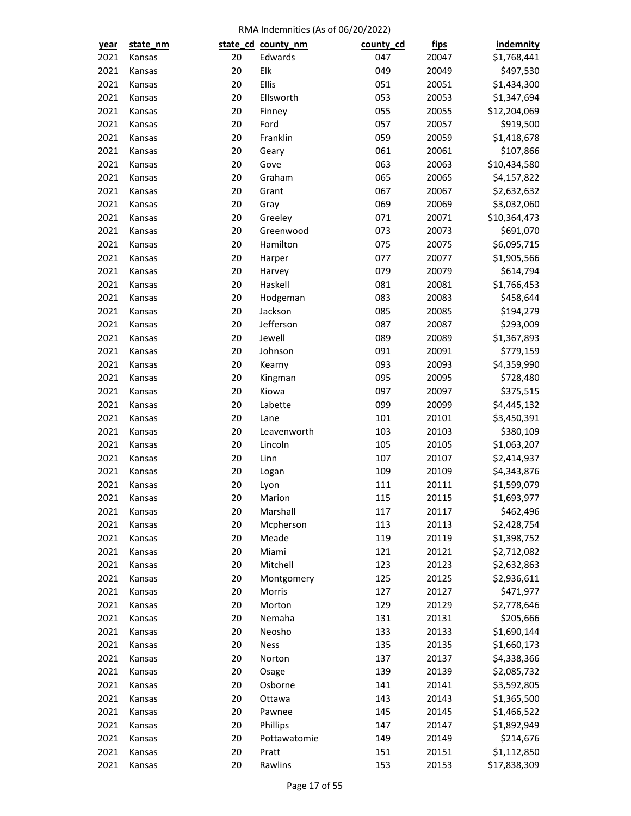| year | state_nm |        | state_cd_county_nm | county_cd | <u>fips</u> | <b>indemnity</b> |
|------|----------|--------|--------------------|-----------|-------------|------------------|
| 2021 | Kansas   | 20     | Edwards            | 047       | 20047       | \$1,768,441      |
| 2021 | Kansas   | 20     | Elk                | 049       | 20049       | \$497,530        |
| 2021 | Kansas   | 20     | Ellis              | 051       | 20051       | \$1,434,300      |
| 2021 | Kansas   | 20     | Ellsworth          | 053       | 20053       | \$1,347,694      |
| 2021 | Kansas   | 20     | Finney             | 055       | 20055       | \$12,204,069     |
| 2021 | Kansas   | 20     | Ford               | 057       | 20057       | \$919,500        |
| 2021 | Kansas   | 20     | Franklin           | 059       | 20059       | \$1,418,678      |
| 2021 | Kansas   | 20     | Geary              | 061       | 20061       | \$107,866        |
| 2021 | Kansas   | 20     | Gove               | 063       | 20063       | \$10,434,580     |
| 2021 | Kansas   | 20     | Graham             | 065       | 20065       | \$4,157,822      |
| 2021 | Kansas   | 20     | Grant              | 067       | 20067       | \$2,632,632      |
| 2021 | Kansas   | 20     | Gray               | 069       | 20069       | \$3,032,060      |
| 2021 | Kansas   | 20     | Greeley            | 071       | 20071       | \$10,364,473     |
| 2021 | Kansas   | 20     | Greenwood          | 073       | 20073       | \$691,070        |
| 2021 | Kansas   | $20\,$ | Hamilton           | 075       | 20075       | \$6,095,715      |
| 2021 | Kansas   | 20     | Harper             | 077       | 20077       | \$1,905,566      |
| 2021 | Kansas   | 20     | Harvey             | 079       | 20079       | \$614,794        |
| 2021 | Kansas   | 20     | Haskell            | 081       | 20081       | \$1,766,453      |
| 2021 | Kansas   | 20     | Hodgeman           | 083       | 20083       | \$458,644        |
| 2021 | Kansas   | 20     | Jackson            | 085       | 20085       | \$194,279        |
| 2021 | Kansas   | $20\,$ | Jefferson          | 087       | 20087       | \$293,009        |
| 2021 | Kansas   | 20     | Jewell             | 089       | 20089       | \$1,367,893      |
| 2021 | Kansas   | 20     | Johnson            | 091       | 20091       | \$779,159        |
| 2021 | Kansas   | 20     | Kearny             | 093       | 20093       | \$4,359,990      |
| 2021 | Kansas   | 20     | Kingman            | 095       | 20095       | \$728,480        |
| 2021 | Kansas   | 20     | Kiowa              | 097       | 20097       | \$375,515        |
| 2021 | Kansas   | $20\,$ | Labette            | 099       | 20099       | \$4,445,132      |
| 2021 | Kansas   | 20     | Lane               | 101       | 20101       | \$3,450,391      |
| 2021 | Kansas   | 20     | Leavenworth        | 103       | 20103       | \$380,109        |
| 2021 | Kansas   | 20     | Lincoln            | 105       | 20105       | \$1,063,207      |
| 2021 | Kansas   | 20     | Linn               | 107       | 20107       | \$2,414,937      |
| 2021 | Kansas   | 20     | Logan              | 109       | 20109       | \$4,343,876      |
| 2021 | Kansas   | 20     | Lyon               | 111       | 20111       | \$1,599,079      |
| 2021 | Kansas   | 20     | Marion             | 115       | 20115       | \$1,693,977      |
| 2021 | Kansas   | 20     | Marshall           | 117       | 20117       | \$462,496        |
| 2021 | Kansas   | 20     | Mcpherson          | 113       | 20113       | \$2,428,754      |
| 2021 | Kansas   | 20     | Meade              | 119       | 20119       | \$1,398,752      |
| 2021 | Kansas   | 20     | Miami              | 121       | 20121       | \$2,712,082      |
| 2021 | Kansas   | 20     | Mitchell           | 123       | 20123       | \$2,632,863      |
| 2021 | Kansas   | 20     | Montgomery         | 125       | 20125       | \$2,936,611      |
| 2021 | Kansas   | 20     | Morris             | 127       | 20127       | \$471,977        |
| 2021 | Kansas   | 20     | Morton             | 129       | 20129       | \$2,778,646      |
| 2021 | Kansas   | 20     | Nemaha             | 131       | 20131       | \$205,666        |
| 2021 | Kansas   | 20     | Neosho             | 133       | 20133       | \$1,690,144      |
| 2021 | Kansas   | 20     | <b>Ness</b>        | 135       | 20135       | \$1,660,173      |
| 2021 | Kansas   | 20     | Norton             | 137       | 20137       | \$4,338,366      |
| 2021 | Kansas   | 20     | Osage              | 139       | 20139       | \$2,085,732      |
| 2021 | Kansas   | 20     | Osborne            | 141       | 20141       | \$3,592,805      |
| 2021 | Kansas   | 20     | Ottawa             | 143       | 20143       | \$1,365,500      |
| 2021 |          | 20     | Pawnee             | 145       | 20145       |                  |
|      | Kansas   | 20     |                    | 147       |             | \$1,466,522      |
| 2021 | Kansas   |        | Phillips           |           | 20147       | \$1,892,949      |
| 2021 | Kansas   | 20     | Pottawatomie       | 149       | 20149       | \$214,676        |
| 2021 | Kansas   | 20     | Pratt              | 151       | 20151       | \$1,112,850      |
| 2021 | Kansas   | 20     | Rawlins            | 153       | 20153       | \$17,838,309     |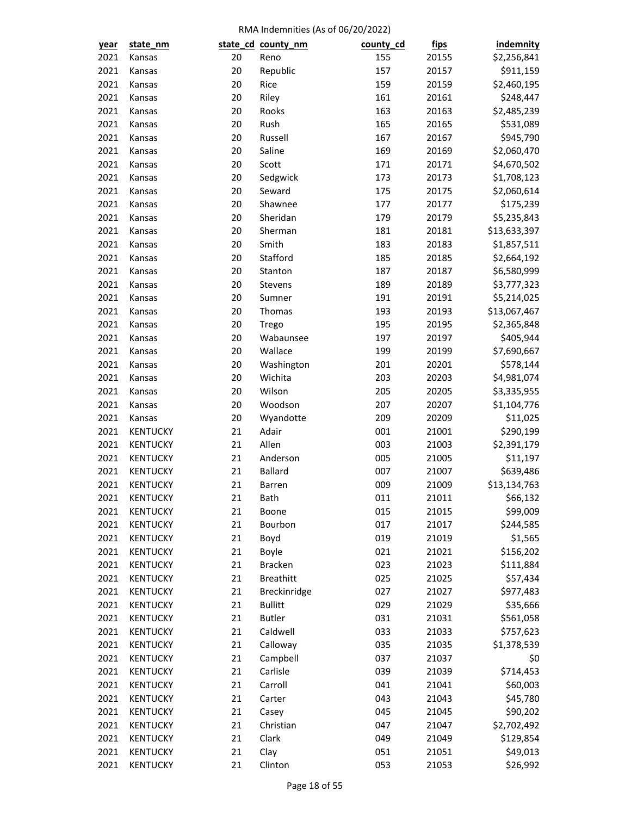| year         | state_nm        |          | state_cd_county_nm | county_cd  | <u>fips</u>    | <b>indemnity</b> |
|--------------|-----------------|----------|--------------------|------------|----------------|------------------|
| 2021         | Kansas          | 20       | Reno               | 155        | 20155          | \$2,256,841      |
| 2021         | Kansas          | 20       | Republic           | 157        | 20157          | \$911,159        |
| 2021         | Kansas          | 20       | Rice               | 159        | 20159          | \$2,460,195      |
| 2021         | Kansas          | 20       | Riley              | 161        | 20161          | \$248,447        |
| 2021         | Kansas          | 20       | Rooks              | 163        | 20163          | \$2,485,239      |
| 2021         | Kansas          | 20       | Rush               | 165        | 20165          | \$531,089        |
| 2021         | Kansas          | 20       | Russell            | 167        | 20167          | \$945,790        |
| 2021         | Kansas          | 20       | Saline             | 169        | 20169          | \$2,060,470      |
| 2021         | Kansas          | 20       | Scott              | 171        | 20171          | \$4,670,502      |
| 2021         | Kansas          | 20       | Sedgwick           | 173        | 20173          | \$1,708,123      |
| 2021         | Kansas          | 20       | Seward             | 175        | 20175          | \$2,060,614      |
| 2021         | Kansas          | 20       | Shawnee            | 177        | 20177          | \$175,239        |
| 2021         | Kansas          | 20       | Sheridan           | 179        | 20179          | \$5,235,843      |
| 2021         | Kansas          | 20       | Sherman            | 181        | 20181          | \$13,633,397     |
| 2021         | Kansas          | 20       | Smith              | 183        | 20183          | \$1,857,511      |
| 2021         | Kansas          | 20       | Stafford           | 185        | 20185          | \$2,664,192      |
| 2021         | Kansas          | 20       | Stanton            | 187        | 20187          | \$6,580,999      |
| 2021         | Kansas          | 20       | Stevens            | 189        | 20189          | \$3,777,323      |
| 2021         | Kansas          | 20       | Sumner             | 191        | 20191          | \$5,214,025      |
| 2021         | Kansas          | 20       | Thomas             | 193        | 20193          | \$13,067,467     |
| 2021         | Kansas          | 20       | Trego              | 195        | 20195          | \$2,365,848      |
| 2021         | Kansas          | 20       | Wabaunsee          | 197        | 20197          | \$405,944        |
| 2021         | Kansas          | 20       | Wallace            | 199        | 20199          | \$7,690,667      |
| 2021         | Kansas          | 20       | Washington         | 201        | 20201          | \$578,144        |
| 2021         | Kansas          | 20       | Wichita            | 203        | 20203          | \$4,981,074      |
| 2021         | Kansas          | 20       | Wilson             | 205        | 20205          | \$3,335,955      |
| 2021         | Kansas          | 20       | Woodson            | 207        | 20207          | \$1,104,776      |
| 2021         | Kansas          | 20       | Wyandotte          | 209        | 20209          | \$11,025         |
| 2021         | <b>KENTUCKY</b> | 21       | Adair              | 001        | 21001          | \$290,199        |
| 2021         | <b>KENTUCKY</b> | 21       | Allen              | 003        | 21003          | \$2,391,179      |
| 2021         | <b>KENTUCKY</b> | 21       | Anderson           | 005        | 21005          | \$11,197         |
| 2021         | <b>KENTUCKY</b> | 21       | <b>Ballard</b>     | 007        |                | \$639,486        |
| 2021         | <b>KENTUCKY</b> | 21       |                    | 009        | 21007<br>21009 | \$13,134,763     |
|              |                 |          | Barren             |            |                |                  |
| 2021         | <b>KENTUCKY</b> | 21       | <b>Bath</b>        | 011        | 21011          | \$66,132         |
| 2021<br>2021 | <b>KENTUCKY</b> | 21<br>21 | Boone              | 015<br>017 | 21015          | \$99,009         |
|              | <b>KENTUCKY</b> |          | Bourbon            |            | 21017          | \$244,585        |
| 2021         | <b>KENTUCKY</b> | 21       | Boyd               | 019        | 21019          | \$1,565          |
| 2021         | <b>KENTUCKY</b> | 21       | Boyle              | 021        | 21021          | \$156,202        |
| 2021         | <b>KENTUCKY</b> | 21       | <b>Bracken</b>     | 023        | 21023          | \$111,884        |
| 2021         | <b>KENTUCKY</b> | 21       | <b>Breathitt</b>   | 025        | 21025          | \$57,434         |
| 2021         | <b>KENTUCKY</b> | 21       | Breckinridge       | 027        | 21027          | \$977,483        |
| 2021         | <b>KENTUCKY</b> | 21       | <b>Bullitt</b>     | 029        | 21029          | \$35,666         |
| 2021         | <b>KENTUCKY</b> | 21       | <b>Butler</b>      | 031        | 21031          | \$561,058        |
| 2021         | <b>KENTUCKY</b> | 21       | Caldwell           | 033        | 21033          | \$757,623        |
| 2021         | <b>KENTUCKY</b> | 21       | Calloway           | 035        | 21035          | \$1,378,539      |
| 2021         | <b>KENTUCKY</b> | 21       | Campbell           | 037        | 21037          | \$0              |
| 2021         | <b>KENTUCKY</b> | 21       | Carlisle           | 039        | 21039          | \$714,453        |
| 2021         | <b>KENTUCKY</b> | 21       | Carroll            | 041        | 21041          | \$60,003         |
| 2021         | <b>KENTUCKY</b> | 21       | Carter             | 043        | 21043          | \$45,780         |
| 2021         | <b>KENTUCKY</b> | 21       | Casey              | 045        | 21045          | \$90,202         |
| 2021         | <b>KENTUCKY</b> | 21       | Christian          | 047        | 21047          | \$2,702,492      |
| 2021         | <b>KENTUCKY</b> | 21       | Clark              | 049        | 21049          | \$129,854        |
| 2021         | <b>KENTUCKY</b> | $21\,$   | Clay               | 051        | 21051          | \$49,013         |
| 2021         | <b>KENTUCKY</b> | 21       | Clinton            | 053        | 21053          | \$26,992         |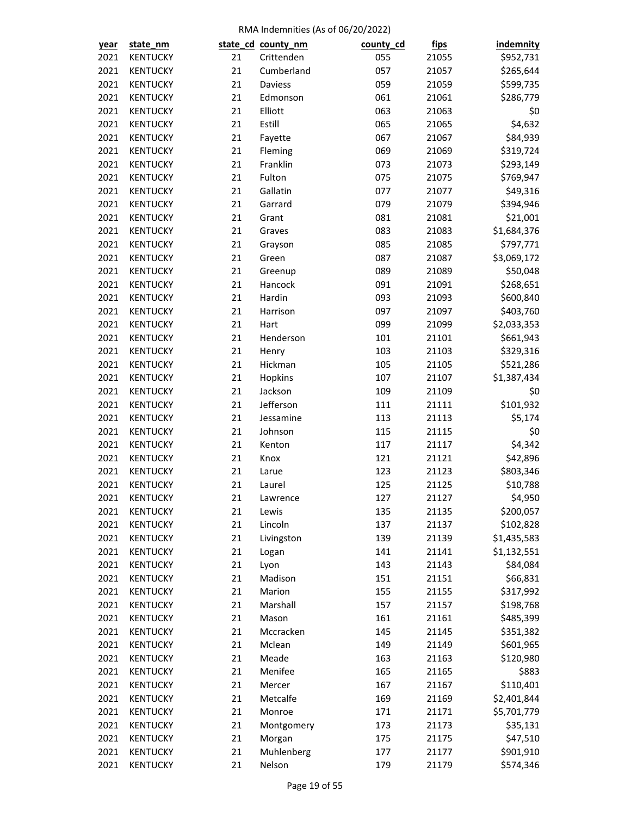| year | state_nm        |    | state_cd_county_nm | county_cd | <u>fips</u> | <b>indemnity</b> |
|------|-----------------|----|--------------------|-----------|-------------|------------------|
| 2021 | <b>KENTUCKY</b> | 21 | Crittenden         | 055       | 21055       | \$952,731        |
| 2021 | <b>KENTUCKY</b> | 21 | Cumberland         | 057       | 21057       | \$265,644        |
| 2021 | <b>KENTUCKY</b> | 21 | Daviess            | 059       | 21059       | \$599,735        |
| 2021 | <b>KENTUCKY</b> | 21 | Edmonson           | 061       | 21061       | \$286,779        |
| 2021 | <b>KENTUCKY</b> | 21 | Elliott            | 063       | 21063       | \$0              |
| 2021 | <b>KENTUCKY</b> | 21 | Estill             | 065       | 21065       | \$4,632          |
| 2021 | <b>KENTUCKY</b> | 21 | Fayette            | 067       | 21067       | \$84,939         |
| 2021 | <b>KENTUCKY</b> | 21 | Fleming            | 069       | 21069       | \$319,724        |
| 2021 | <b>KENTUCKY</b> | 21 | Franklin           | 073       | 21073       | \$293,149        |
| 2021 | <b>KENTUCKY</b> | 21 | Fulton             | 075       | 21075       | \$769,947        |
| 2021 | <b>KENTUCKY</b> | 21 | Gallatin           | 077       | 21077       | \$49,316         |
| 2021 | <b>KENTUCKY</b> | 21 | Garrard            | 079       | 21079       | \$394,946        |
| 2021 | <b>KENTUCKY</b> | 21 | Grant              | 081       | 21081       | \$21,001         |
| 2021 | <b>KENTUCKY</b> | 21 | Graves             | 083       | 21083       | \$1,684,376      |
| 2021 | <b>KENTUCKY</b> | 21 | Grayson            | 085       | 21085       | \$797,771        |
| 2021 | <b>KENTUCKY</b> | 21 | Green              | 087       | 21087       | \$3,069,172      |
| 2021 | KENTUCKY        | 21 | Greenup            | 089       | 21089       | \$50,048         |
| 2021 | <b>KENTUCKY</b> | 21 | Hancock            | 091       | 21091       | \$268,651        |
| 2021 | <b>KENTUCKY</b> | 21 | Hardin             | 093       | 21093       | \$600,840        |
| 2021 | <b>KENTUCKY</b> | 21 | Harrison           | 097       | 21097       | \$403,760        |
| 2021 | <b>KENTUCKY</b> | 21 | Hart               | 099       | 21099       | \$2,033,353      |
| 2021 | <b>KENTUCKY</b> | 21 | Henderson          | 101       | 21101       | \$661,943        |
| 2021 | <b>KENTUCKY</b> | 21 | Henry              | 103       | 21103       | \$329,316        |
| 2021 | <b>KENTUCKY</b> | 21 | Hickman            | 105       | 21105       | \$521,286        |
| 2021 | <b>KENTUCKY</b> | 21 | Hopkins            | 107       | 21107       | \$1,387,434      |
| 2021 | <b>KENTUCKY</b> | 21 | Jackson            | 109       | 21109       | \$0              |
| 2021 | <b>KENTUCKY</b> | 21 | Jefferson          | 111       | 21111       | \$101,932        |
| 2021 | <b>KENTUCKY</b> | 21 | Jessamine          | 113       | 21113       | \$5,174          |
| 2021 | <b>KENTUCKY</b> | 21 | Johnson            | 115       | 21115       | \$0              |
| 2021 | <b>KENTUCKY</b> | 21 | Kenton             | 117       | 21117       | \$4,342          |
| 2021 | <b>KENTUCKY</b> | 21 | Knox               | 121       | 21121       | \$42,896         |
| 2021 | <b>KENTUCKY</b> | 21 | Larue              | 123       | 21123       | \$803,346        |
| 2021 | <b>KENTUCKY</b> | 21 | Laurel             | 125       | 21125       | \$10,788         |
| 2021 | <b>KENTUCKY</b> | 21 | Lawrence           | 127       | 21127       | \$4,950          |
| 2021 | <b>KENTUCKY</b> | 21 | Lewis              | 135       | 21135       | \$200,057        |
| 2021 | <b>KENTUCKY</b> | 21 | Lincoln            | 137       | 21137       | \$102,828        |
| 2021 | <b>KENTUCKY</b> | 21 | Livingston         | 139       | 21139       | \$1,435,583      |
| 2021 | <b>KENTUCKY</b> | 21 | Logan              | 141       | 21141       | \$1,132,551      |
| 2021 | <b>KENTUCKY</b> | 21 | Lyon               | 143       | 21143       | \$84,084         |
| 2021 | <b>KENTUCKY</b> | 21 | Madison            | 151       | 21151       | \$66,831         |
| 2021 | <b>KENTUCKY</b> | 21 | Marion             | 155       | 21155       | \$317,992        |
| 2021 | <b>KENTUCKY</b> | 21 | Marshall           | 157       | 21157       | \$198,768        |
| 2021 | <b>KENTUCKY</b> | 21 | Mason              | 161       | 21161       | \$485,399        |
| 2021 | <b>KENTUCKY</b> | 21 | Mccracken          | 145       | 21145       | \$351,382        |
| 2021 | <b>KENTUCKY</b> | 21 | Mclean             | 149       | 21149       | \$601,965        |
| 2021 | <b>KENTUCKY</b> | 21 | Meade              | 163       | 21163       | \$120,980        |
| 2021 | <b>KENTUCKY</b> | 21 | Menifee            | 165       | 21165       | \$883            |
| 2021 | <b>KENTUCKY</b> | 21 | Mercer             | 167       | 21167       | \$110,401        |
| 2021 | <b>KENTUCKY</b> | 21 | Metcalfe           | 169       | 21169       | \$2,401,844      |
| 2021 | <b>KENTUCKY</b> | 21 | Monroe             | 171       | 21171       | \$5,701,779      |
| 2021 | <b>KENTUCKY</b> | 21 | Montgomery         | 173       | 21173       | \$35,131         |
| 2021 | <b>KENTUCKY</b> | 21 | Morgan             | 175       | 21175       | \$47,510         |
| 2021 | <b>KENTUCKY</b> | 21 | Muhlenberg         | 177       | 21177       | \$901,910        |
| 2021 | <b>KENTUCKY</b> | 21 | Nelson             | 179       | 21179       | \$574,346        |
|      |                 |    |                    |           |             |                  |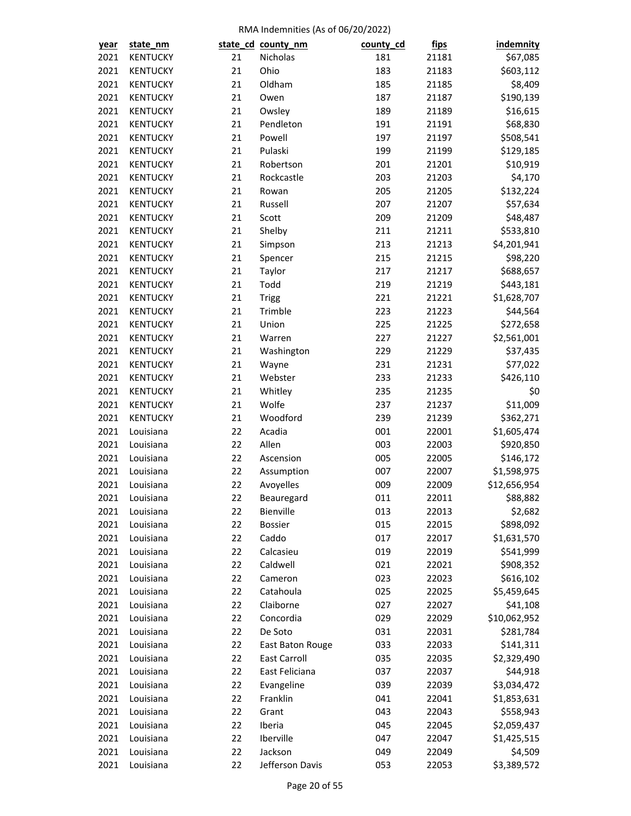| <u>year</u>  | state_nm               |          | state_cd_county_nm  | county_cd  | <u>fips</u> | <b>indemnity</b> |
|--------------|------------------------|----------|---------------------|------------|-------------|------------------|
| 2021         | <b>KENTUCKY</b>        | 21       | Nicholas            | 181        | 21181       | \$67,085         |
| 2021         | <b>KENTUCKY</b>        | 21       | Ohio                | 183        | 21183       | \$603,112        |
| 2021         | <b>KENTUCKY</b>        | 21       | Oldham              | 185        | 21185       | \$8,409          |
| 2021         | <b>KENTUCKY</b>        | 21       | Owen                | 187        | 21187       | \$190,139        |
| 2021         | <b>KENTUCKY</b>        | 21       | Owsley              | 189        | 21189       | \$16,615         |
| 2021         | <b>KENTUCKY</b>        | 21       | Pendleton           | 191        | 21191       | \$68,830         |
| 2021         | <b>KENTUCKY</b>        | 21       | Powell              | 197        | 21197       | \$508,541        |
| 2021         | <b>KENTUCKY</b>        | 21       | Pulaski             | 199        | 21199       | \$129,185        |
| 2021         | <b>KENTUCKY</b>        | 21       | Robertson           | 201        | 21201       | \$10,919         |
| 2021         | <b>KENTUCKY</b>        | 21       | Rockcastle          | 203        | 21203       | \$4,170          |
| 2021         | <b>KENTUCKY</b>        | 21       | Rowan               | 205        | 21205       | \$132,224        |
| 2021         | <b>KENTUCKY</b>        | 21       | Russell             | 207        | 21207       | \$57,634         |
| 2021         | <b>KENTUCKY</b>        | 21       | Scott               | 209        | 21209       | \$48,487         |
| 2021         | <b>KENTUCKY</b>        | 21       | Shelby              | 211        | 21211       | \$533,810        |
| 2021         | <b>KENTUCKY</b>        | 21       | Simpson             | 213        | 21213       | \$4,201,941      |
| 2021         | <b>KENTUCKY</b>        | 21       | Spencer             | 215        | 21215       | \$98,220         |
| 2021         | <b>KENTUCKY</b>        | 21       | Taylor              | 217        | 21217       | \$688,657        |
| 2021         | <b>KENTUCKY</b>        | 21       | Todd                | 219        | 21219       | \$443,181        |
| 2021         | <b>KENTUCKY</b>        | 21       | <b>Trigg</b>        | 221        | 21221       | \$1,628,707      |
| 2021         | <b>KENTUCKY</b>        | 21       | Trimble             | 223        | 21223       | \$44,564         |
| 2021         | <b>KENTUCKY</b>        | 21       | Union               | 225        | 21225       | \$272,658        |
| 2021         | <b>KENTUCKY</b>        | 21       | Warren              | 227        | 21227       | \$2,561,001      |
| 2021         | <b>KENTUCKY</b>        | 21       | Washington          | 229        | 21229       | \$37,435         |
| 2021         | <b>KENTUCKY</b>        | 21       | Wayne               | 231        | 21231       | \$77,022         |
| 2021         | <b>KENTUCKY</b>        | 21       | Webster             | 233        | 21233       | \$426,110        |
| 2021         | <b>KENTUCKY</b>        | 21       | Whitley             | 235        | 21235       | \$0              |
| 2021         | <b>KENTUCKY</b>        | 21       | Wolfe               | 237        | 21237       | \$11,009         |
| 2021         | <b>KENTUCKY</b>        | 21       | Woodford            | 239        | 21239       | \$362,271        |
| 2021         | Louisiana              | 22       | Acadia              | 001        | 22001       | \$1,605,474      |
| 2021         | Louisiana              | 22       | Allen               | 003        | 22003       | \$920,850        |
| 2021         | Louisiana              | 22       | Ascension           | 005        | 22005       | \$146,172        |
| 2021         | Louisiana              | 22       | Assumption          | 007        | 22007       | \$1,598,975      |
| 2021         | Louisiana              | 22       | Avoyelles           | 009        | 22009       | \$12,656,954     |
| 2021         | Louisiana              | 22       | Beauregard          | 011        | 22011       | \$88,882         |
| 2021         | Louisiana              | 22       | Bienville           | 013        | 22013       | \$2,682          |
| 2021         | Louisiana              | 22       | Bossier             | 015        | 22015       | \$898,092        |
| 2021         | Louisiana              | 22       | Caddo               | 017        | 22017       | \$1,631,570      |
| 2021         | Louisiana              | 22       | Calcasieu           | 019        | 22019       | \$541,999        |
| 2021         | Louisiana              | 22       | Caldwell            | 021        | 22021       | \$908,352        |
| 2021         | Louisiana              | 22       | Cameron             | 023        | 22023       | \$616,102        |
| 2021         | Louisiana              | 22       | Catahoula           | 025        | 22025       | \$5,459,645      |
| 2021         | Louisiana              | 22       | Claiborne           | 027        | 22027       | \$41,108         |
| 2021         | Louisiana              | 22       | Concordia           | 029        | 22029       | \$10,062,952     |
| 2021         | Louisiana              | 22       | De Soto             | 031        | 22031       | \$281,784        |
| 2021         | Louisiana              | 22       | East Baton Rouge    | 033        | 22033       | \$141,311        |
| 2021         | Louisiana              | 22       | East Carroll        | 035        | 22035       | \$2,329,490      |
| 2021         | Louisiana              | 22       | East Feliciana      | 037        | 22037       | \$44,918         |
| 2021         | Louisiana              | 22       | Evangeline          | 039        | 22039       | \$3,034,472      |
|              |                        |          |                     |            |             |                  |
| 2021         | Louisiana<br>Louisiana | 22<br>22 | Franklin            | 041<br>043 | 22041       | \$1,853,631      |
| 2021<br>2021 |                        | 22       | Grant               | 045        | 22043       | \$558,943        |
|              | Louisiana              |          | Iberia<br>Iberville |            | 22045       | \$2,059,437      |
| 2021         | Louisiana              | 22       |                     | 047        | 22047       | \$1,425,515      |
| 2021         | Louisiana              | 22       | Jackson             | 049        | 22049       | \$4,509          |
| 2021         | Louisiana              | 22       | Jefferson Davis     | 053        | 22053       | \$3,389,572      |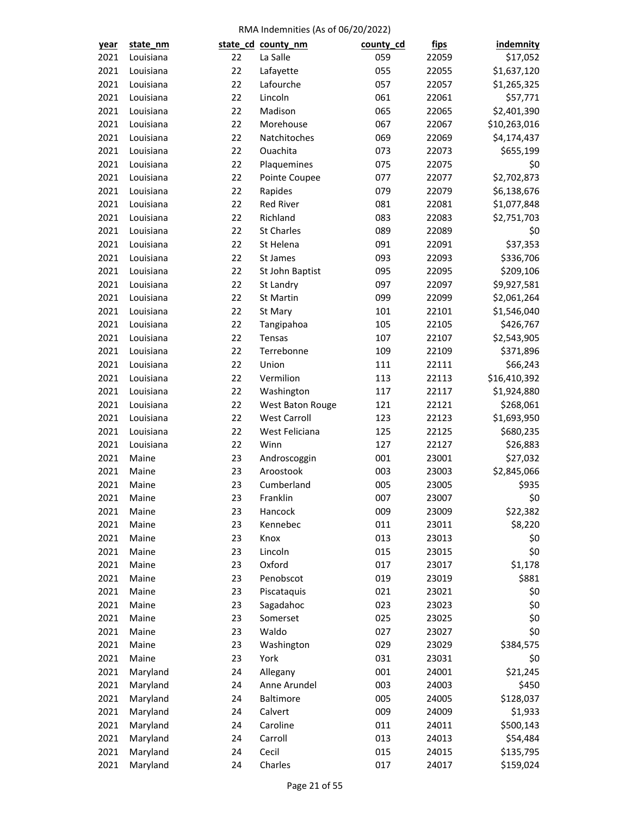| <u>year</u> | state_nm  |    | state_cd_county_nm  | county_cd | <u>fips</u> | <i>indemnity</i> |
|-------------|-----------|----|---------------------|-----------|-------------|------------------|
| 2021        | Louisiana | 22 | La Salle            | 059       | 22059       | \$17,052         |
| 2021        | Louisiana | 22 | Lafayette           | 055       | 22055       | \$1,637,120      |
| 2021        | Louisiana | 22 | Lafourche           | 057       | 22057       | \$1,265,325      |
| 2021        | Louisiana | 22 | Lincoln             | 061       | 22061       | \$57,771         |
| 2021        | Louisiana | 22 | Madison             | 065       | 22065       | \$2,401,390      |
| 2021        | Louisiana | 22 | Morehouse           | 067       | 22067       | \$10,263,016     |
| 2021        | Louisiana | 22 | Natchitoches        | 069       | 22069       | \$4,174,437      |
| 2021        | Louisiana | 22 | Ouachita            | 073       | 22073       | \$655,199        |
| 2021        | Louisiana | 22 | Plaquemines         | 075       | 22075       | \$0              |
| 2021        | Louisiana | 22 | Pointe Coupee       | 077       | 22077       | \$2,702,873      |
| 2021        | Louisiana | 22 | Rapides             | 079       | 22079       | \$6,138,676      |
| 2021        | Louisiana | 22 | Red River           | 081       | 22081       | \$1,077,848      |
| 2021        | Louisiana | 22 | Richland            | 083       | 22083       | \$2,751,703      |
| 2021        | Louisiana | 22 | <b>St Charles</b>   | 089       | 22089       | \$0              |
| 2021        | Louisiana | 22 | St Helena           | 091       | 22091       | \$37,353         |
| 2021        | Louisiana | 22 | St James            | 093       | 22093       | \$336,706        |
| 2021        | Louisiana | 22 | St John Baptist     | 095       | 22095       | \$209,106        |
| 2021        | Louisiana | 22 | St Landry           | 097       | 22097       | \$9,927,581      |
| 2021        | Louisiana | 22 | St Martin           | 099       | 22099       | \$2,061,264      |
| 2021        | Louisiana | 22 | St Mary             | 101       | 22101       | \$1,546,040      |
| 2021        | Louisiana | 22 | Tangipahoa          | 105       | 22105       | \$426,767        |
| 2021        | Louisiana | 22 | Tensas              | 107       | 22107       | \$2,543,905      |
| 2021        | Louisiana | 22 | Terrebonne          | 109       | 22109       | \$371,896        |
| 2021        | Louisiana | 22 | Union               | 111       | 22111       | \$66,243         |
| 2021        | Louisiana | 22 | Vermilion           | 113       | 22113       | \$16,410,392     |
| 2021        | Louisiana | 22 | Washington          | 117       | 22117       | \$1,924,880      |
| 2021        | Louisiana | 22 | West Baton Rouge    | 121       | 22121       | \$268,061        |
| 2021        | Louisiana | 22 | <b>West Carroll</b> | 123       | 22123       | \$1,693,950      |
| 2021        | Louisiana | 22 | West Feliciana      | 125       | 22125       | \$680,235        |
| 2021        | Louisiana | 22 | Winn                | 127       | 22127       | \$26,883         |
| 2021        | Maine     | 23 | Androscoggin        | 001       | 23001       | \$27,032         |
| 2021        | Maine     | 23 | Aroostook           | 003       | 23003       | \$2,845,066      |
| 2021        | Maine     | 23 | Cumberland          | 005       | 23005       | \$935            |
| 2021        | Maine     | 23 | Franklin            | 007       | 23007       | \$0              |
| 2021        | Maine     | 23 | Hancock             | 009       | 23009       | \$22,382         |
| 2021        | Maine     | 23 | Kennebec            | 011       | 23011       | \$8,220          |
| 2021        | Maine     | 23 | Knox                | 013       | 23013       | \$0              |
| 2021        | Maine     | 23 | Lincoln             | 015       | 23015       | \$0              |
| 2021        | Maine     | 23 | Oxford              | 017       | 23017       | \$1,178          |
| 2021        | Maine     | 23 | Penobscot           | 019       | 23019       | \$881            |
| 2021        | Maine     | 23 | Piscataquis         | 021       | 23021       | \$0              |
|             |           |    |                     |           |             |                  |
| 2021        | Maine     | 23 | Sagadahoc           | 023       | 23023       | \$0              |
| 2021        | Maine     | 23 | Somerset<br>Waldo   | 025       | 23025       | \$0              |
| 2021        | Maine     | 23 |                     | 027       | 23027       | \$0              |
| 2021        | Maine     | 23 | Washington          | 029       | 23029       | \$384,575        |
| 2021        | Maine     | 23 | York                | 031       | 23031       | \$0              |
| 2021        | Maryland  | 24 | Allegany            | 001       | 24001       | \$21,245         |
| 2021        | Maryland  | 24 | Anne Arundel        | 003       | 24003       | \$450            |
| 2021        | Maryland  | 24 | Baltimore           | 005       | 24005       | \$128,037        |
| 2021        | Maryland  | 24 | Calvert             | 009       | 24009       | \$1,933          |
| 2021        | Maryland  | 24 | Caroline            | 011       | 24011       | \$500,143        |
| 2021        | Maryland  | 24 | Carroll             | 013       | 24013       | \$54,484         |
| 2021        | Maryland  | 24 | Cecil               | 015       | 24015       | \$135,795        |
| 2021        | Maryland  | 24 | Charles             | 017       | 24017       | \$159,024        |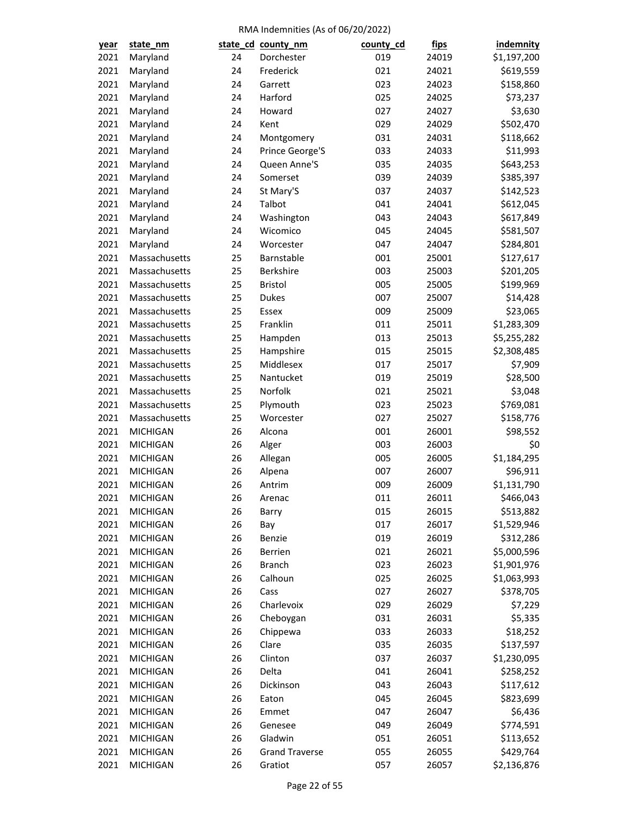| <u>year</u> | state_nm        |    | state_cd_county_nm    | county_cd | <u>fips</u> | <b>indemnity</b> |
|-------------|-----------------|----|-----------------------|-----------|-------------|------------------|
| 2021        | Maryland        | 24 | Dorchester            | 019       | 24019       | \$1,197,200      |
| 2021        | Maryland        | 24 | Frederick             | 021       | 24021       | \$619,559        |
| 2021        | Maryland        | 24 | Garrett               | 023       | 24023       | \$158,860        |
| 2021        | Maryland        | 24 | Harford               | 025       | 24025       | \$73,237         |
| 2021        | Maryland        | 24 | Howard                | 027       | 24027       | \$3,630          |
| 2021        | Maryland        | 24 | Kent                  | 029       | 24029       | \$502,470        |
| 2021        | Maryland        | 24 | Montgomery            | 031       | 24031       | \$118,662        |
| 2021        | Maryland        | 24 | Prince George'S       | 033       | 24033       | \$11,993         |
| 2021        | Maryland        | 24 | Queen Anne'S          | 035       | 24035       | \$643,253        |
| 2021        | Maryland        | 24 | Somerset              | 039       | 24039       | \$385,397        |
| 2021        | Maryland        | 24 | St Mary'S             | 037       | 24037       | \$142,523        |
| 2021        | Maryland        | 24 | Talbot                | 041       | 24041       | \$612,045        |
| 2021        | Maryland        | 24 | Washington            | 043       | 24043       | \$617,849        |
| 2021        | Maryland        | 24 | Wicomico              | 045       | 24045       | \$581,507        |
| 2021        | Maryland        | 24 | Worcester             | 047       | 24047       | \$284,801        |
| 2021        | Massachusetts   | 25 | Barnstable            | 001       | 25001       | \$127,617        |
| 2021        | Massachusetts   | 25 | Berkshire             | 003       | 25003       | \$201,205        |
| 2021        | Massachusetts   | 25 | <b>Bristol</b>        | 005       | 25005       | \$199,969        |
| 2021        | Massachusetts   | 25 | <b>Dukes</b>          | 007       | 25007       | \$14,428         |
| 2021        | Massachusetts   | 25 | Essex                 | 009       | 25009       | \$23,065         |
| 2021        | Massachusetts   | 25 | Franklin              | 011       | 25011       | \$1,283,309      |
| 2021        | Massachusetts   | 25 | Hampden               | 013       | 25013       | \$5,255,282      |
| 2021        | Massachusetts   | 25 | Hampshire             | 015       | 25015       | \$2,308,485      |
| 2021        | Massachusetts   | 25 | Middlesex             | 017       | 25017       | \$7,909          |
| 2021        | Massachusetts   | 25 | Nantucket             | 019       | 25019       | \$28,500         |
| 2021        | Massachusetts   | 25 | Norfolk               | 021       | 25021       | \$3,048          |
| 2021        | Massachusetts   | 25 | Plymouth              | 023       | 25023       | \$769,081        |
| 2021        | Massachusetts   | 25 | Worcester             | 027       | 25027       | \$158,776        |
| 2021        | <b>MICHIGAN</b> | 26 | Alcona                | 001       | 26001       | \$98,552         |
| 2021        | <b>MICHIGAN</b> | 26 | Alger                 | 003       | 26003       | \$0              |
| 2021        | <b>MICHIGAN</b> | 26 | Allegan               | 005       | 26005       | \$1,184,295      |
| 2021        | <b>MICHIGAN</b> | 26 | Alpena                | 007       | 26007       | \$96,911         |
| 2021        | <b>MICHIGAN</b> | 26 | Antrim                | 009       | 26009       | \$1,131,790      |
| 2021        | <b>MICHIGAN</b> | 26 | Arenac                | 011       | 26011       | \$466,043        |
| 2021        | <b>MICHIGAN</b> | 26 | Barry                 | 015       | 26015       | \$513,882        |
| 2021        | <b>MICHIGAN</b> | 26 | Bay                   | 017       | 26017       | \$1,529,946      |
| 2021        | <b>MICHIGAN</b> | 26 | Benzie                | 019       | 26019       | \$312,286        |
| 2021        | <b>MICHIGAN</b> | 26 | Berrien               | 021       | 26021       | \$5,000,596      |
| 2021        | <b>MICHIGAN</b> | 26 | <b>Branch</b>         | 023       | 26023       | \$1,901,976      |
| 2021        | <b>MICHIGAN</b> | 26 | Calhoun               | 025       | 26025       | \$1,063,993      |
| 2021        | <b>MICHIGAN</b> | 26 | Cass                  | 027       | 26027       | \$378,705        |
| 2021        | <b>MICHIGAN</b> | 26 | Charlevoix            | 029       | 26029       | \$7,229          |
| 2021        | <b>MICHIGAN</b> | 26 | Cheboygan             | 031       | 26031       | \$5,335          |
| 2021        | <b>MICHIGAN</b> | 26 | Chippewa              | 033       | 26033       | \$18,252         |
| 2021        | <b>MICHIGAN</b> | 26 | Clare                 | 035       | 26035       | \$137,597        |
| 2021        | <b>MICHIGAN</b> | 26 | Clinton               | 037       | 26037       | \$1,230,095      |
| 2021        | <b>MICHIGAN</b> | 26 | Delta                 | 041       | 26041       | \$258,252        |
| 2021        | <b>MICHIGAN</b> | 26 | Dickinson             | 043       | 26043       | \$117,612        |
| 2021        | <b>MICHIGAN</b> | 26 | Eaton                 | 045       | 26045       | \$823,699        |
| 2021        | <b>MICHIGAN</b> | 26 | Emmet                 | 047       | 26047       | \$6,436          |
| 2021        | <b>MICHIGAN</b> | 26 | Genesee               | 049       | 26049       | \$774,591        |
| 2021        | <b>MICHIGAN</b> | 26 | Gladwin               | 051       | 26051       | \$113,652        |
| 2021        | <b>MICHIGAN</b> | 26 | <b>Grand Traverse</b> | 055       | 26055       | \$429,764        |
| 2021        | <b>MICHIGAN</b> | 26 | Gratiot               | 057       | 26057       | \$2,136,876      |
|             |                 |    |                       |           |             |                  |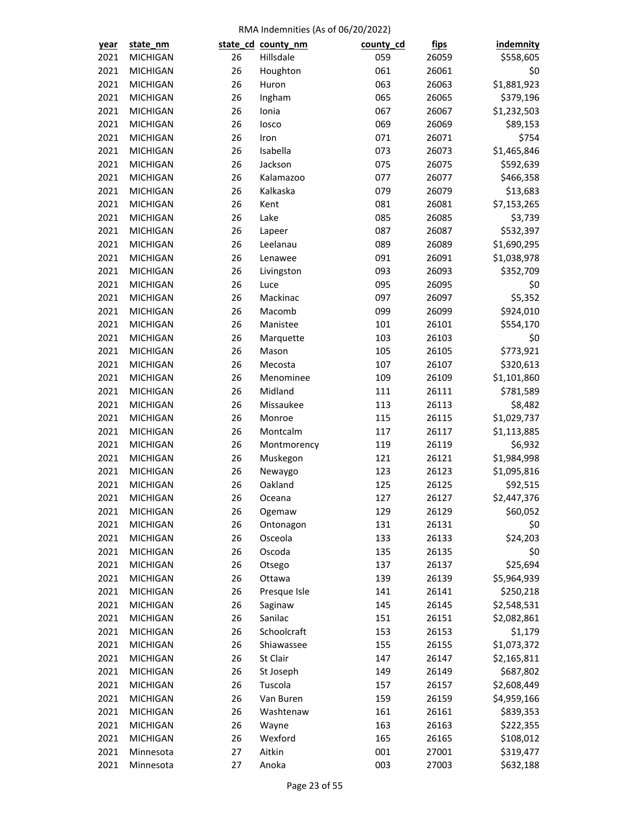| <u>year</u> | state_nm                           |    | state_cd_county_nm | county_cd | <u>fips</u> | <b>indemnity</b> |
|-------------|------------------------------------|----|--------------------|-----------|-------------|------------------|
| 2021        | <b>MICHIGAN</b>                    | 26 | Hillsdale          | 059       | 26059       | \$558,605        |
| 2021        | <b>MICHIGAN</b>                    | 26 | Houghton           | 061       | 26061       | \$0              |
| 2021        | <b>MICHIGAN</b>                    | 26 | Huron              | 063       | 26063       | \$1,881,923      |
| 2021        | <b>MICHIGAN</b>                    | 26 | Ingham             | 065       | 26065       | \$379,196        |
| 2021        | <b>MICHIGAN</b>                    | 26 | Ionia              | 067       | 26067       | \$1,232,503      |
| 2021        | <b>MICHIGAN</b>                    | 26 | losco              | 069       | 26069       | \$89,153         |
| 2021        | <b>MICHIGAN</b>                    | 26 | Iron               | 071       | 26071       | \$754            |
| 2021        | <b>MICHIGAN</b>                    | 26 | Isabella           | 073       | 26073       | \$1,465,846      |
| 2021        | <b>MICHIGAN</b>                    | 26 | Jackson            | 075       | 26075       | \$592,639        |
| 2021        | <b>MICHIGAN</b>                    | 26 | Kalamazoo          | 077       | 26077       | \$466,358        |
| 2021        | <b>MICHIGAN</b>                    | 26 | Kalkaska           | 079       | 26079       | \$13,683         |
| 2021        | <b>MICHIGAN</b>                    | 26 | Kent               | 081       | 26081       | \$7,153,265      |
| 2021        | <b>MICHIGAN</b>                    | 26 | Lake               | 085       | 26085       | \$3,739          |
| 2021        | <b>MICHIGAN</b>                    | 26 | Lapeer             | 087       | 26087       | \$532,397        |
| 2021        | <b>MICHIGAN</b>                    | 26 | Leelanau           | 089       | 26089       | \$1,690,295      |
| 2021        | <b>MICHIGAN</b>                    | 26 | Lenawee            | 091       | 26091       | \$1,038,978      |
| 2021        | <b>MICHIGAN</b>                    | 26 | Livingston         | 093       | 26093       | \$352,709        |
| 2021        | <b>MICHIGAN</b>                    | 26 | Luce               | 095       | 26095       | \$0              |
| 2021        | <b>MICHIGAN</b>                    | 26 | Mackinac           | 097       | 26097       | \$5,352          |
| 2021        | <b>MICHIGAN</b>                    | 26 | Macomb             | 099       | 26099       | \$924,010        |
| 2021        | <b>MICHIGAN</b>                    | 26 | Manistee           | 101       | 26101       | \$554,170        |
| 2021        | <b>MICHIGAN</b>                    | 26 | Marquette          | 103       | 26103       | \$0              |
| 2021        | <b>MICHIGAN</b>                    | 26 | Mason              | 105       | 26105       | \$773,921        |
| 2021        | <b>MICHIGAN</b>                    | 26 | Mecosta            | 107       | 26107       | \$320,613        |
| 2021        | <b>MICHIGAN</b>                    | 26 | Menominee          | 109       | 26109       | \$1,101,860      |
| 2021        | <b>MICHIGAN</b>                    | 26 | Midland            | 111       | 26111       | \$781,589        |
| 2021        | <b>MICHIGAN</b>                    | 26 | Missaukee          | 113       | 26113       | \$8,482          |
| 2021        | <b>MICHIGAN</b>                    | 26 | Monroe             | 115       | 26115       | \$1,029,737      |
| 2021        | <b>MICHIGAN</b>                    | 26 | Montcalm           | 117       | 26117       | \$1,113,885      |
| 2021        | <b>MICHIGAN</b>                    | 26 | Montmorency        | 119       | 26119       | \$6,932          |
| 2021        | <b>MICHIGAN</b>                    | 26 | Muskegon           | 121       | 26121       | \$1,984,998      |
| 2021        | <b>MICHIGAN</b>                    | 26 | Newaygo            | 123       | 26123       | \$1,095,816      |
| 2021        | <b>MICHIGAN</b>                    | 26 | Oakland            | 125       | 26125       | \$92,515         |
| 2021        | <b>MICHIGAN</b>                    | 26 | Oceana             | 127       | 26127       | \$2,447,376      |
| 2021        | <b>MICHIGAN</b>                    | 26 | Ogemaw             | 129       | 26129       | \$60,052         |
| 2021        | <b>MICHIGAN</b>                    | 26 | Ontonagon          | 131       | 26131       | \$0              |
| 2021        | <b>MICHIGAN</b>                    | 26 | Osceola            | 133       | 26133       | \$24,203         |
| 2021        | <b>MICHIGAN</b>                    | 26 | Oscoda             | 135       | 26135       | \$0              |
| 2021        | <b>MICHIGAN</b>                    | 26 | Otsego             | 137       | 26137       | \$25,694         |
| 2021        | <b>MICHIGAN</b>                    | 26 | Ottawa             | 139       | 26139       | \$5,964,939      |
| 2021        | <b>MICHIGAN</b>                    | 26 | Presque Isle       | 141       | 26141       | \$250,218        |
| 2021        | <b>MICHIGAN</b>                    | 26 | Saginaw            | 145       | 26145       | \$2,548,531      |
| 2021        | <b>MICHIGAN</b>                    | 26 | Sanilac            | 151       | 26151       | \$2,082,861      |
| 2021        | <b>MICHIGAN</b>                    | 26 | Schoolcraft        | 153       | 26153       | \$1,179          |
| 2021        | <b>MICHIGAN</b>                    | 26 | Shiawassee         | 155       | 26155       | \$1,073,372      |
| 2021        | <b>MICHIGAN</b>                    | 26 | St Clair           | 147       | 26147       | \$2,165,811      |
| 2021        | <b>MICHIGAN</b>                    | 26 | St Joseph          | 149       | 26149       | \$687,802        |
| 2021        | <b>MICHIGAN</b>                    | 26 | Tuscola            | 157       | 26157       | \$2,608,449      |
| 2021        | <b>MICHIGAN</b>                    | 26 | Van Buren          | 159       | 26159       |                  |
| 2021        | <b>MICHIGAN</b>                    | 26 | Washtenaw          | 161       |             | \$4,959,166      |
| 2021        |                                    | 26 |                    | 163       | 26161       | \$839,353        |
|             | <b>MICHIGAN</b><br><b>MICHIGAN</b> |    | Wayne<br>Wexford   |           | 26163       | \$222,355        |
| 2021        |                                    | 26 |                    | 165       | 26165       | \$108,012        |
| 2021        | Minnesota                          | 27 | Aitkin             | 001       | 27001       | \$319,477        |
| 2021        | Minnesota                          | 27 | Anoka              | 003       | 27003       | \$632,188        |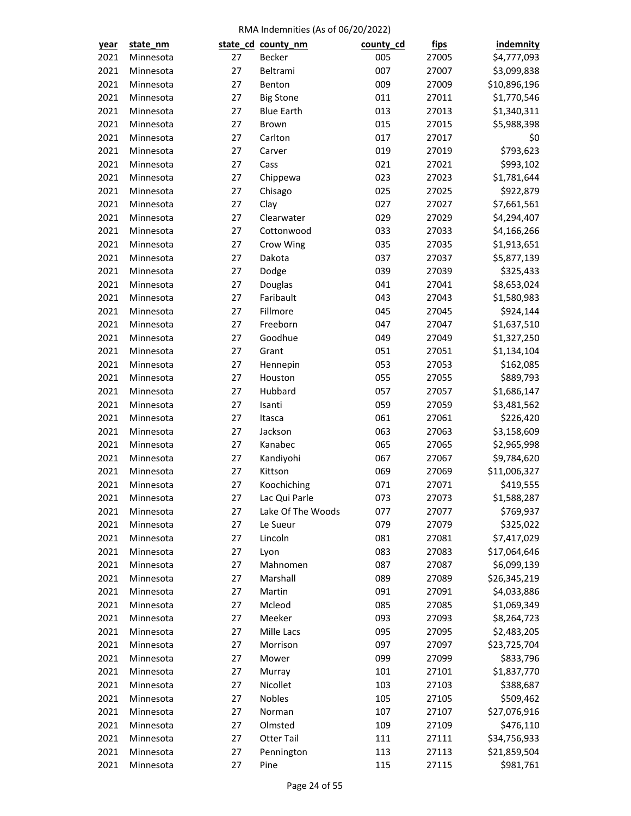| year         | state_nm  |          | state_cd_county_nm | county_cd | <u>fips</u> | indemnity    |
|--------------|-----------|----------|--------------------|-----------|-------------|--------------|
| 2021         | Minnesota | 27       | Becker             | 005       | 27005       | \$4,777,093  |
| 2021         | Minnesota | 27       | Beltrami           | 007       | 27007       | \$3,099,838  |
| 2021         | Minnesota | 27       | Benton             | 009       | 27009       | \$10,896,196 |
| 2021         | Minnesota | 27       | <b>Big Stone</b>   | 011       | 27011       | \$1,770,546  |
| 2021         | Minnesota | 27       | <b>Blue Earth</b>  | 013       | 27013       | \$1,340,311  |
| 2021         | Minnesota | 27       | Brown              | 015       | 27015       | \$5,988,398  |
| 2021         | Minnesota | 27       | Carlton            | 017       | 27017       | \$0          |
| 2021         | Minnesota | 27       | Carver             | 019       | 27019       | \$793,623    |
| 2021         | Minnesota | 27       | Cass               | 021       | 27021       | \$993,102    |
| 2021         | Minnesota | 27       | Chippewa           | 023       | 27023       | \$1,781,644  |
| 2021         | Minnesota | 27       | Chisago            | 025       | 27025       | \$922,879    |
| 2021         | Minnesota | 27       | Clay               | 027       | 27027       | \$7,661,561  |
| 2021         | Minnesota | 27       | Clearwater         | 029       | 27029       | \$4,294,407  |
| 2021         | Minnesota | 27       | Cottonwood         | 033       | 27033       | \$4,166,266  |
| 2021         | Minnesota | 27       | Crow Wing          | 035       | 27035       | \$1,913,651  |
| 2021         | Minnesota | 27       | Dakota             | 037       | 27037       | \$5,877,139  |
| 2021         | Minnesota | 27       | Dodge              | 039       | 27039       | \$325,433    |
| 2021         | Minnesota | 27       | Douglas            | 041       | 27041       | \$8,653,024  |
| 2021         | Minnesota | 27       | Faribault          | 043       | 27043       | \$1,580,983  |
| 2021         | Minnesota | 27       | Fillmore           | 045       | 27045       | \$924,144    |
| 2021         | Minnesota | 27       | Freeborn           | 047       | 27047       | \$1,637,510  |
| 2021         | Minnesota | 27       | Goodhue            | 049       | 27049       | \$1,327,250  |
| 2021         | Minnesota | 27       | Grant              | 051       | 27051       | \$1,134,104  |
| 2021         | Minnesota | 27       | Hennepin           | 053       | 27053       | \$162,085    |
| 2021         | Minnesota | 27       | Houston            | 055       | 27055       | \$889,793    |
| 2021         | Minnesota | 27       | Hubbard            | 057       | 27057       | \$1,686,147  |
| 2021         | Minnesota | 27       | Isanti             | 059       | 27059       | \$3,481,562  |
| 2021         | Minnesota | 27       | Itasca             | 061       | 27061       | \$226,420    |
| 2021         | Minnesota | 27       | Jackson            | 063       | 27063       | \$3,158,609  |
| 2021         | Minnesota | 27       | Kanabec            | 065       | 27065       | \$2,965,998  |
| 2021         | Minnesota | 27       | Kandiyohi          | 067       | 27067       | \$9,784,620  |
| 2021         | Minnesota | 27       | Kittson            | 069       | 27069       | \$11,006,327 |
| 2021         | Minnesota | 27       | Koochiching        | 071       | 27071       | \$419,555    |
| 2021         |           | 27       | Lac Qui Parle      | 073       | 27073       | \$1,588,287  |
|              | Minnesota |          |                    | 077       | 27077       | \$769,937    |
| 2021<br>2021 | Minnesota | 27<br>27 | Lake Of The Woods  | 079       | 27079       |              |
|              | Minnesota |          | Le Sueur           |           |             | \$325,022    |
| 2021         | Minnesota | 27       | Lincoln            | 081       | 27081       | \$7,417,029  |
| 2021         | Minnesota | 27       | Lyon               | 083       | 27083       | \$17,064,646 |
| 2021         | Minnesota | 27       | Mahnomen           | 087       | 27087       | \$6,099,139  |
| 2021         | Minnesota | 27       | Marshall           | 089       | 27089       | \$26,345,219 |
| 2021         | Minnesota | 27       | Martin             | 091       | 27091       | \$4,033,886  |
| 2021         | Minnesota | 27       | Mcleod             | 085       | 27085       | \$1,069,349  |
| 2021         | Minnesota | 27       | Meeker             | 093       | 27093       | \$8,264,723  |
| 2021         | Minnesota | 27       | Mille Lacs         | 095       | 27095       | \$2,483,205  |
| 2021         | Minnesota | 27       | Morrison           | 097       | 27097       | \$23,725,704 |
| 2021         | Minnesota | 27       | Mower              | 099       | 27099       | \$833,796    |
| 2021         | Minnesota | 27       | Murray             | 101       | 27101       | \$1,837,770  |
| 2021         | Minnesota | 27       | Nicollet           | 103       | 27103       | \$388,687    |
| 2021         | Minnesota | 27       | Nobles             | 105       | 27105       | \$509,462    |
| 2021         | Minnesota | 27       | Norman             | 107       | 27107       | \$27,076,916 |
| 2021         | Minnesota | 27       | Olmsted            | 109       | 27109       | \$476,110    |
| 2021         | Minnesota | 27       | <b>Otter Tail</b>  | 111       | 27111       | \$34,756,933 |
| 2021         | Minnesota | 27       | Pennington         | 113       | 27113       | \$21,859,504 |
| 2021         | Minnesota | 27       | Pine               | 115       | 27115       | \$981,761    |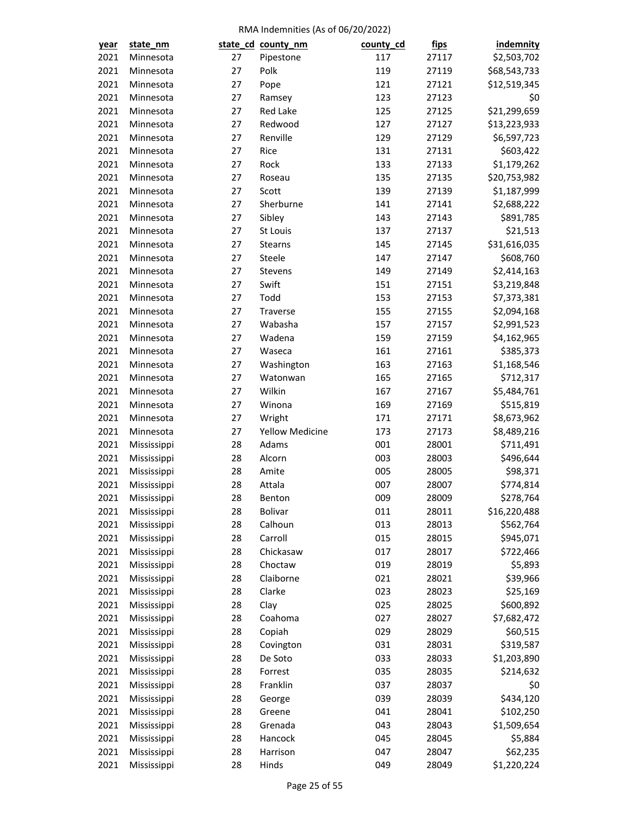| <u>year</u> | state_nm    |    | state_cd_county_nm     | county_cd | <u>fips</u> | <i>indemnity</i> |
|-------------|-------------|----|------------------------|-----------|-------------|------------------|
| 2021        | Minnesota   | 27 | Pipestone              | 117       | 27117       | \$2,503,702      |
| 2021        | Minnesota   | 27 | Polk                   | 119       | 27119       | \$68,543,733     |
| 2021        | Minnesota   | 27 | Pope                   | 121       | 27121       | \$12,519,345     |
| 2021        | Minnesota   | 27 | Ramsey                 | 123       | 27123       | \$0              |
| 2021        | Minnesota   | 27 | Red Lake               | 125       | 27125       | \$21,299,659     |
| 2021        | Minnesota   | 27 | Redwood                | 127       | 27127       | \$13,223,933     |
| 2021        | Minnesota   | 27 | Renville               | 129       | 27129       | \$6,597,723      |
| 2021        | Minnesota   | 27 | Rice                   | 131       | 27131       | \$603,422        |
| 2021        | Minnesota   | 27 | Rock                   | 133       | 27133       | \$1,179,262      |
| 2021        | Minnesota   | 27 | Roseau                 | 135       | 27135       | \$20,753,982     |
| 2021        | Minnesota   | 27 | Scott                  | 139       | 27139       | \$1,187,999      |
| 2021        | Minnesota   | 27 | Sherburne              | 141       | 27141       | \$2,688,222      |
| 2021        | Minnesota   | 27 | Sibley                 | 143       | 27143       | \$891,785        |
| 2021        | Minnesota   | 27 | St Louis               | 137       | 27137       | \$21,513         |
| 2021        | Minnesota   | 27 | Stearns                | 145       | 27145       | \$31,616,035     |
| 2021        | Minnesota   | 27 | Steele                 | 147       | 27147       | \$608,760        |
| 2021        | Minnesota   | 27 | Stevens                | 149       | 27149       | \$2,414,163      |
| 2021        | Minnesota   | 27 | Swift                  | 151       | 27151       | \$3,219,848      |
| 2021        | Minnesota   | 27 | Todd                   | 153       | 27153       | \$7,373,381      |
| 2021        | Minnesota   | 27 | Traverse               | 155       | 27155       | \$2,094,168      |
| 2021        | Minnesota   | 27 | Wabasha                | 157       | 27157       | \$2,991,523      |
| 2021        | Minnesota   | 27 | Wadena                 | 159       | 27159       | \$4,162,965      |
| 2021        | Minnesota   | 27 | Waseca                 | 161       | 27161       | \$385,373        |
| 2021        | Minnesota   | 27 | Washington             | 163       | 27163       | \$1,168,546      |
| 2021        | Minnesota   | 27 | Watonwan               | 165       | 27165       | \$712,317        |
| 2021        | Minnesota   | 27 | Wilkin                 | 167       | 27167       | \$5,484,761      |
| 2021        | Minnesota   | 27 | Winona                 | 169       | 27169       | \$515,819        |
| 2021        | Minnesota   | 27 | Wright                 | 171       | 27171       | \$8,673,962      |
| 2021        | Minnesota   | 27 | <b>Yellow Medicine</b> | 173       | 27173       | \$8,489,216      |
| 2021        | Mississippi | 28 | Adams                  | 001       | 28001       | \$711,491        |
| 2021        | Mississippi | 28 | Alcorn                 | 003       | 28003       | \$496,644        |
| 2021        | Mississippi | 28 | Amite                  | 005       | 28005       | \$98,371         |
| 2021        | Mississippi | 28 | Attala                 | 007       | 28007       | \$774,814        |
| 2021        | Mississippi | 28 | Benton                 | 009       | 28009       | \$278,764        |
| 2021        | Mississippi | 28 | Bolivar                | 011       | 28011       | \$16,220,488     |
| 2021        | Mississippi | 28 | Calhoun                | 013       | 28013       | \$562,764        |
| 2021        | Mississippi | 28 | Carroll                | 015       | 28015       | \$945,071        |
| 2021        | Mississippi | 28 | Chickasaw              | 017       | 28017       | \$722,466        |
| 2021        | Mississippi | 28 | Choctaw                | 019       | 28019       | \$5,893          |
| 2021        | Mississippi | 28 | Claiborne              | 021       | 28021       | \$39,966         |
| 2021        | Mississippi | 28 | Clarke                 | 023       | 28023       | \$25,169         |
| 2021        | Mississippi | 28 | Clay                   | 025       | 28025       | \$600,892        |
| 2021        |             | 28 | Coahoma                | 027       | 28027       | \$7,682,472      |
| 2021        | Mississippi | 28 |                        | 029       | 28029       |                  |
|             | Mississippi |    | Copiah                 |           |             | \$60,515         |
| 2021        | Mississippi | 28 | Covington              | 031       | 28031       | \$319,587        |
| 2021        | Mississippi | 28 | De Soto                | 033       | 28033       | \$1,203,890      |
| 2021        | Mississippi | 28 | Forrest                | 035       | 28035       | \$214,632        |
| 2021        | Mississippi | 28 | Franklin               | 037       | 28037       | \$0              |
| 2021        | Mississippi | 28 | George                 | 039       | 28039       | \$434,120        |
| 2021        | Mississippi | 28 | Greene                 | 041       | 28041       | \$102,250        |
| 2021        | Mississippi | 28 | Grenada                | 043       | 28043       | \$1,509,654      |
| 2021        | Mississippi | 28 | Hancock                | 045       | 28045       | \$5,884          |
| 2021        | Mississippi | 28 | Harrison               | 047       | 28047       | \$62,235         |
| 2021        | Mississippi | 28 | Hinds                  | 049       | 28049       | \$1,220,224      |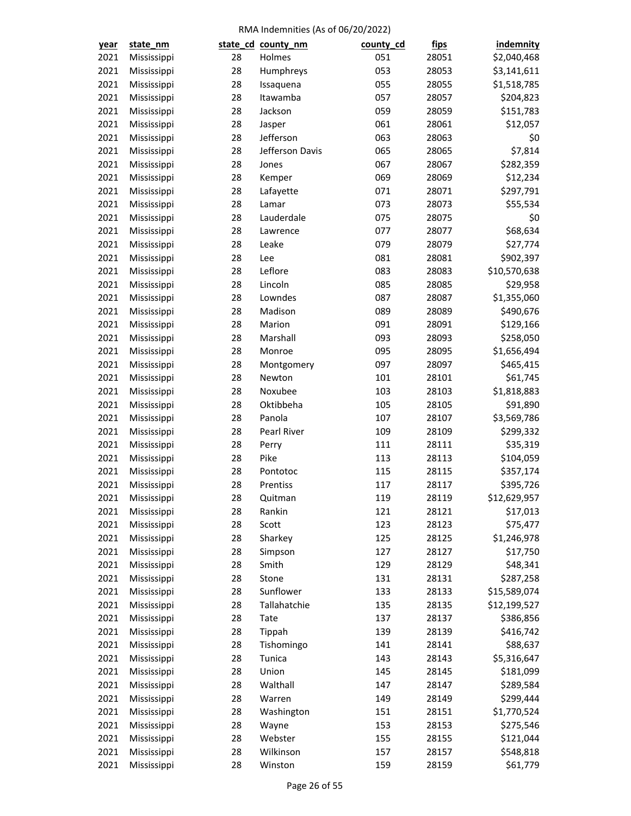| <u>year</u>  | state_nm    |          | state_cd_county_nm | county_cd  | <u>fips</u> | indemnity                |
|--------------|-------------|----------|--------------------|------------|-------------|--------------------------|
| 2021         | Mississippi | 28       | Holmes             | 051        | 28051       | \$2,040,468              |
| 2021         | Mississippi | 28       | Humphreys          | 053        | 28053       | \$3,141,611              |
| 2021         | Mississippi | 28       | Issaquena          | 055        | 28055       | \$1,518,785              |
| 2021         | Mississippi | 28       | Itawamba           | 057        | 28057       | \$204,823                |
| 2021         | Mississippi | 28       | Jackson            | 059        | 28059       | \$151,783                |
| 2021         | Mississippi | 28       | Jasper             | 061        | 28061       | \$12,057                 |
| 2021         | Mississippi | 28       | Jefferson          | 063        | 28063       | \$0                      |
| 2021         | Mississippi | 28       | Jefferson Davis    | 065        | 28065       | \$7,814                  |
| 2021         | Mississippi | 28       | Jones              | 067        | 28067       | \$282,359                |
| 2021         | Mississippi | 28       | Kemper             | 069        | 28069       | \$12,234                 |
| 2021         | Mississippi | 28       | Lafayette          | 071        | 28071       | \$297,791                |
| 2021         | Mississippi | 28       | Lamar              | 073        | 28073       | \$55,534                 |
| 2021         | Mississippi | 28       | Lauderdale         | 075        | 28075       | \$0                      |
| 2021         | Mississippi | 28       | Lawrence           | 077        | 28077       | \$68,634                 |
| 2021         | Mississippi | 28       | Leake              | 079        | 28079       | \$27,774                 |
| 2021         | Mississippi | 28       | Lee                | 081        | 28081       | \$902,397                |
| 2021         | Mississippi | 28       | Leflore            | 083        | 28083       | \$10,570,638             |
| 2021         | Mississippi | 28       | Lincoln            | 085        | 28085       | \$29,958                 |
| 2021         | Mississippi | 28       | Lowndes            | 087        | 28087       | \$1,355,060              |
| 2021         | Mississippi | 28       | Madison            | 089        | 28089       | \$490,676                |
| 2021         | Mississippi | 28       | Marion             | 091        | 28091       | \$129,166                |
| 2021         | Mississippi | 28       | Marshall           | 093        | 28093       | \$258,050                |
| 2021         | Mississippi | 28       | Monroe             | 095        | 28095       | \$1,656,494              |
| 2021         | Mississippi | 28       | Montgomery         | 097        | 28097       | \$465,415                |
| 2021         | Mississippi | 28       | Newton             | 101        | 28101       | \$61,745                 |
| 2021         | Mississippi | 28       | Noxubee            | 103        | 28103       | \$1,818,883              |
| 2021         | Mississippi | 28       | Oktibbeha          | 105        | 28105       | \$91,890                 |
| 2021         | Mississippi | 28       | Panola             | 107        | 28107       | \$3,569,786              |
| 2021         | Mississippi | 28       | Pearl River        | 109        | 28109       | \$299,332                |
| 2021         | Mississippi | 28       | Perry              | 111        | 28111       | \$35,319                 |
| 2021         | Mississippi | 28       | Pike               | 113        | 28113       | \$104,059                |
| 2021         | Mississippi | 28       | Pontotoc           | 115        | 28115       | \$357,174                |
| 2021         | Mississippi | 28       | Prentiss           | 117        | 28117       | \$395,726                |
| 2021         | Mississippi | 28       | Quitman            | 119        | 28119       | \$12,629,957             |
| 2021         | Mississippi | 28       | Rankin             | 121        | 28121       | \$17,013                 |
| 2021         | Mississippi | 28       | Scott              | 123        | 28123       | \$75,477                 |
| 2021         | Mississippi | 28       | Sharkey            | 125        | 28125       | \$1,246,978              |
| 2021         | Mississippi | 28       | Simpson            | 127        | 28127       | \$17,750                 |
| 2021         | Mississippi | 28       | Smith              | 129        | 28129       | \$48,341                 |
| 2021         | Mississippi | 28       | Stone              | 131        | 28131       | \$287,258                |
| 2021         | Mississippi | 28       | Sunflower          | 133        | 28133       | \$15,589,074             |
| 2021         | Mississippi | 28       | Tallahatchie       | 135        | 28135       | \$12,199,527             |
| 2021         | Mississippi | 28       | Tate               | 137        | 28137       | \$386,856                |
| 2021         | Mississippi | 28       | Tippah             | 139        | 28139       | \$416,742                |
| 2021         | Mississippi | 28       | Tishomingo         | 141        | 28141       | \$88,637                 |
| 2021         | Mississippi | 28       | Tunica             | 143        | 28143       | \$5,316,647              |
| 2021         | Mississippi | 28       | Union              | 145        | 28145       | \$181,099                |
| 2021         | Mississippi | 28       | Walthall           | 147        | 28147       | \$289,584                |
|              |             |          |                    |            |             |                          |
| 2021<br>2021 | Mississippi | 28<br>28 | Warren             | 149<br>151 | 28149       | \$299,444                |
| 2021         | Mississippi | 28       | Washington         | 153        | 28151       | \$1,770,524<br>\$275,546 |
|              | Mississippi |          | Wayne              |            | 28153       |                          |
| 2021         | Mississippi | 28       | Webster            | 155        | 28155       | \$121,044                |
| 2021         | Mississippi | 28       | Wilkinson          | 157        | 28157       | \$548,818                |
| 2021         | Mississippi | 28       | Winston            | 159        | 28159       | \$61,779                 |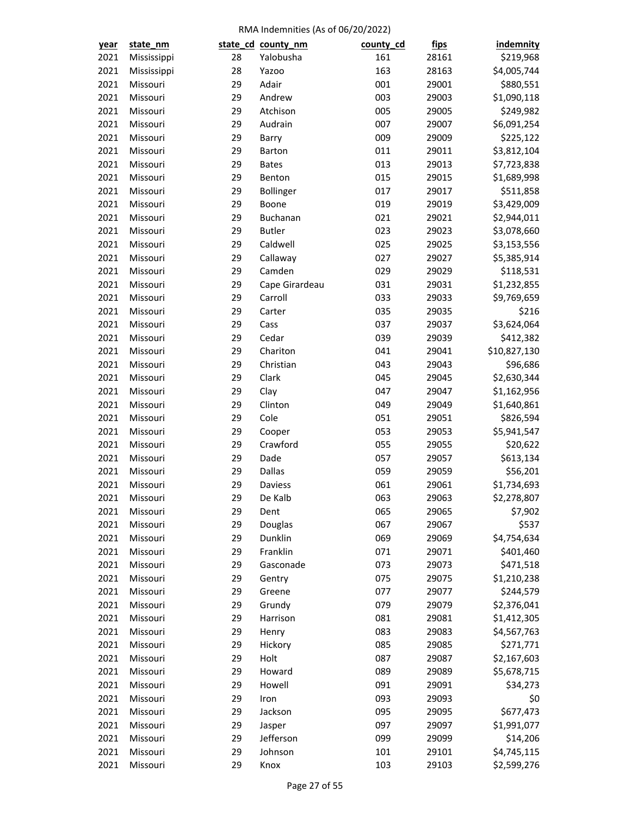| year         | state_nm    |          | state_cd_county_nm  | county_cd | <u>fips</u> | indemnity                |
|--------------|-------------|----------|---------------------|-----------|-------------|--------------------------|
| 2021         | Mississippi | 28       | Yalobusha           | 161       | 28161       | \$219,968                |
| 2021         | Mississippi | 28       | Yazoo               | 163       | 28163       | \$4,005,744              |
| 2021         | Missouri    | 29       | Adair               | 001       | 29001       | \$880,551                |
| 2021         | Missouri    | 29       | Andrew              | 003       | 29003       | \$1,090,118              |
| 2021         | Missouri    | 29       | Atchison            | 005       | 29005       | \$249,982                |
| 2021         | Missouri    | 29       | Audrain             | 007       | 29007       | \$6,091,254              |
| 2021         | Missouri    | 29       | Barry               | 009       | 29009       | \$225,122                |
| 2021         | Missouri    | 29       | <b>Barton</b>       | 011       | 29011       | \$3,812,104              |
| 2021         | Missouri    | 29       | <b>Bates</b>        | 013       | 29013       | \$7,723,838              |
| 2021         | Missouri    | 29       | Benton              | 015       | 29015       | \$1,689,998              |
| 2021         | Missouri    | 29       | Bollinger           | 017       | 29017       | \$511,858                |
| 2021         | Missouri    | 29       | Boone               | 019       | 29019       | \$3,429,009              |
| 2021         | Missouri    | 29       | Buchanan            | 021       | 29021       | \$2,944,011              |
| 2021         | Missouri    | 29       | <b>Butler</b>       | 023       | 29023       | \$3,078,660              |
| 2021         | Missouri    | 29       | Caldwell            | 025       | 29025       | \$3,153,556              |
| 2021         | Missouri    | 29       | Callaway            | 027       | 29027       | \$5,385,914              |
| 2021         | Missouri    | 29       | Camden              | 029       | 29029       | \$118,531                |
| 2021         | Missouri    | 29       | Cape Girardeau      | 031       | 29031       | \$1,232,855              |
| 2021         | Missouri    | 29       | Carroll             | 033       | 29033       | \$9,769,659              |
| 2021         | Missouri    | 29       | Carter              | 035       | 29035       | \$216                    |
| 2021         | Missouri    | 29       | Cass                | 037       | 29037       | \$3,624,064              |
| 2021         | Missouri    | 29       | Cedar               | 039       | 29039       | \$412,382                |
| 2021         | Missouri    | 29       | Chariton            | 041       | 29041       | \$10,827,130             |
| 2021         | Missouri    | 29       | Christian           | 043       | 29043       | \$96,686                 |
| 2021         | Missouri    | 29       | Clark               | 045       | 29045       | \$2,630,344              |
| 2021         | Missouri    | 29       | Clay                | 047       | 29047       | \$1,162,956              |
| 2021         | Missouri    | 29       | Clinton             | 049       | 29049       | \$1,640,861              |
| 2021         | Missouri    | 29       | Cole                | 051       | 29051       | \$826,594                |
| 2021         | Missouri    | 29       | Cooper              | 053       | 29053       | \$5,941,547              |
| 2021         | Missouri    | 29       | Crawford            | 055       | 29055       | \$20,622                 |
| 2021         | Missouri    | 29       | Dade                | 057       | 29057       | \$613,134                |
| 2021         | Missouri    | 29       | Dallas              | 059       | 29059       | \$56,201                 |
| 2021         | Missouri    | 29       | Daviess             | 061       | 29061       | \$1,734,693              |
| 2021         | Missouri    | 29       | De Kalb             | 063       | 29063       | \$2,278,807              |
| 2021         | Missouri    | 29       | Dent                | 065       | 29065       | \$7,902                  |
| 2021         | Missouri    | 29       | Douglas             | 067       | 29067       | \$537                    |
|              |             |          |                     | 069       | 29069       |                          |
| 2021<br>2021 | Missouri    | 29<br>29 | Dunklin<br>Franklin | 071       |             | \$4,754,634<br>\$401,460 |
|              | Missouri    |          |                     |           | 29071       | \$471,518                |
| 2021         | Missouri    | 29       | Gasconade           | 073       | 29073       |                          |
| 2021         | Missouri    | 29       | Gentry              | 075       | 29075       | \$1,210,238              |
| 2021         | Missouri    | 29       | Greene              | 077       | 29077       | \$244,579                |
| 2021         | Missouri    | 29       | Grundy              | 079       | 29079       | \$2,376,041              |
| 2021         | Missouri    | 29       | Harrison            | 081       | 29081       | \$1,412,305              |
| 2021         | Missouri    | 29       | Henry               | 083       | 29083       | \$4,567,763              |
| 2021         | Missouri    | 29       | Hickory             | 085       | 29085       | \$271,771                |
| 2021         | Missouri    | 29       | Holt                | 087       | 29087       | \$2,167,603              |
| 2021         | Missouri    | 29       | Howard              | 089       | 29089       | \$5,678,715              |
| 2021         | Missouri    | 29       | Howell              | 091       | 29091       | \$34,273                 |
| 2021         | Missouri    | 29       | Iron                | 093       | 29093       | \$0                      |
| 2021         | Missouri    | 29       | Jackson             | 095       | 29095       | \$677,473                |
| 2021         | Missouri    | 29       | Jasper              | 097       | 29097       | \$1,991,077              |
| 2021         | Missouri    | 29       | Jefferson           | 099       | 29099       | \$14,206                 |
| 2021         | Missouri    | 29       | Johnson             | 101       | 29101       | \$4,745,115              |
| 2021         | Missouri    | 29       | Knox                | 103       | 29103       | \$2,599,276              |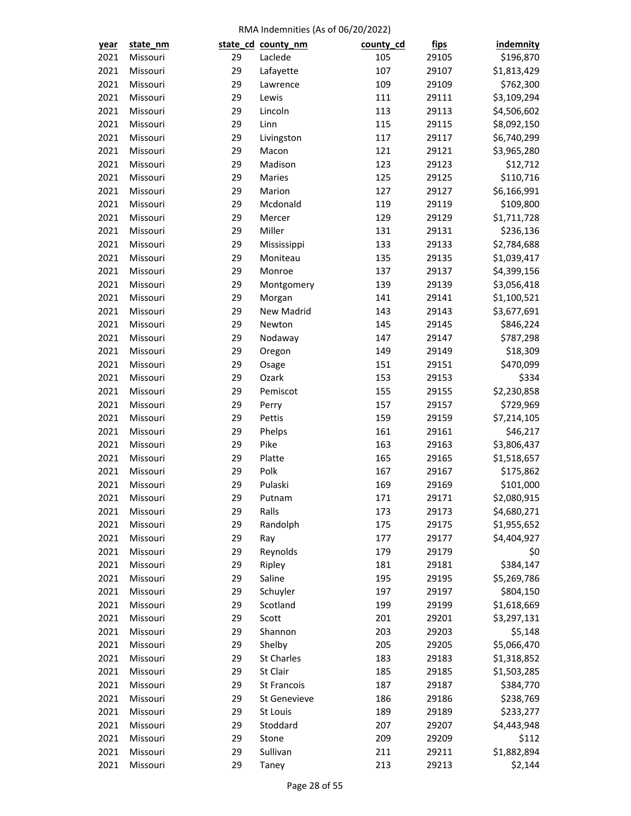| <u>year</u> | state_nm |    | state_cd_county_nm | county_cd | <u>fips</u> | indemnity   |
|-------------|----------|----|--------------------|-----------|-------------|-------------|
| 2021        | Missouri | 29 | Laclede            | 105       | 29105       | \$196,870   |
| 2021        | Missouri | 29 | Lafayette          | 107       | 29107       | \$1,813,429 |
| 2021        | Missouri | 29 | Lawrence           | 109       | 29109       | \$762,300   |
| 2021        | Missouri | 29 | Lewis              | 111       | 29111       | \$3,109,294 |
| 2021        | Missouri | 29 | Lincoln            | 113       | 29113       | \$4,506,602 |
| 2021        | Missouri | 29 | Linn               | 115       | 29115       | \$8,092,150 |
| 2021        | Missouri | 29 | Livingston         | 117       | 29117       | \$6,740,299 |
| 2021        | Missouri | 29 | Macon              | 121       | 29121       | \$3,965,280 |
| 2021        | Missouri | 29 | Madison            | 123       | 29123       | \$12,712    |
| 2021        | Missouri | 29 | Maries             | 125       | 29125       | \$110,716   |
| 2021        | Missouri | 29 | Marion             | 127       | 29127       | \$6,166,991 |
| 2021        | Missouri | 29 | Mcdonald           | 119       | 29119       | \$109,800   |
| 2021        | Missouri | 29 | Mercer             | 129       | 29129       | \$1,711,728 |
| 2021        | Missouri | 29 | Miller             | 131       | 29131       | \$236,136   |
| 2021        | Missouri | 29 | Mississippi        | 133       | 29133       | \$2,784,688 |
| 2021        | Missouri | 29 | Moniteau           | 135       | 29135       | \$1,039,417 |
| 2021        | Missouri | 29 | Monroe             | 137       | 29137       | \$4,399,156 |
| 2021        | Missouri | 29 | Montgomery         | 139       | 29139       | \$3,056,418 |
| 2021        | Missouri | 29 | Morgan             | 141       | 29141       | \$1,100,521 |
| 2021        | Missouri | 29 | New Madrid         | 143       | 29143       | \$3,677,691 |
| 2021        | Missouri | 29 | Newton             | 145       | 29145       | \$846,224   |
| 2021        | Missouri | 29 | Nodaway            | 147       | 29147       | \$787,298   |
| 2021        | Missouri | 29 | Oregon             | 149       | 29149       | \$18,309    |
| 2021        | Missouri | 29 | Osage              | 151       | 29151       | \$470,099   |
| 2021        | Missouri | 29 | Ozark              | 153       | 29153       | \$334       |
| 2021        | Missouri | 29 | Pemiscot           | 155       | 29155       | \$2,230,858 |
| 2021        | Missouri | 29 | Perry              | 157       | 29157       | \$729,969   |
| 2021        | Missouri | 29 | Pettis             | 159       | 29159       | \$7,214,105 |
| 2021        | Missouri | 29 | Phelps             | 161       | 29161       | \$46,217    |
| 2021        | Missouri | 29 | Pike               | 163       | 29163       | \$3,806,437 |
| 2021        | Missouri | 29 | Platte             | 165       | 29165       | \$1,518,657 |
| 2021        | Missouri | 29 | Polk               | 167       | 29167       | \$175,862   |
| 2021        | Missouri | 29 | Pulaski            | 169       | 29169       | \$101,000   |
| 2021        | Missouri | 29 | Putnam             | 171       | 29171       | \$2,080,915 |
| 2021        | Missouri | 29 | Ralls              | 173       | 29173       | \$4,680,271 |
| 2021        | Missouri | 29 | Randolph           | 175       | 29175       | \$1,955,652 |
| 2021        | Missouri | 29 | Ray                | 177       | 29177       | \$4,404,927 |
| 2021        | Missouri | 29 | Reynolds           | 179       | 29179       | \$0         |
| 2021        | Missouri | 29 | Ripley             | 181       | 29181       | \$384,147   |
| 2021        | Missouri | 29 | Saline             | 195       | 29195       | \$5,269,786 |
| 2021        | Missouri | 29 | Schuyler           | 197       | 29197       | \$804,150   |
| 2021        | Missouri | 29 | Scotland           | 199       | 29199       | \$1,618,669 |
| 2021        | Missouri | 29 | Scott              | 201       | 29201       | \$3,297,131 |
| 2021        | Missouri | 29 | Shannon            | 203       | 29203       | \$5,148     |
| 2021        | Missouri | 29 | Shelby             | 205       | 29205       | \$5,066,470 |
| 2021        | Missouri | 29 | <b>St Charles</b>  | 183       | 29183       | \$1,318,852 |
| 2021        | Missouri | 29 | St Clair           | 185       | 29185       | \$1,503,285 |
|             | Missouri | 29 | <b>St Francois</b> | 187       |             |             |
| 2021        |          |    |                    |           | 29187       | \$384,770   |
| 2021        | Missouri | 29 | St Genevieve       | 186       | 29186       | \$238,769   |
| 2021        | Missouri | 29 | St Louis           | 189       | 29189       | \$233,277   |
| 2021        | Missouri | 29 | Stoddard           | 207       | 29207       | \$4,443,948 |
| 2021        | Missouri | 29 | Stone              | 209       | 29209       | \$112       |
| 2021        | Missouri | 29 | Sullivan           | 211       | 29211       | \$1,882,894 |
| 2021        | Missouri | 29 | Taney              | 213       | 29213       | \$2,144     |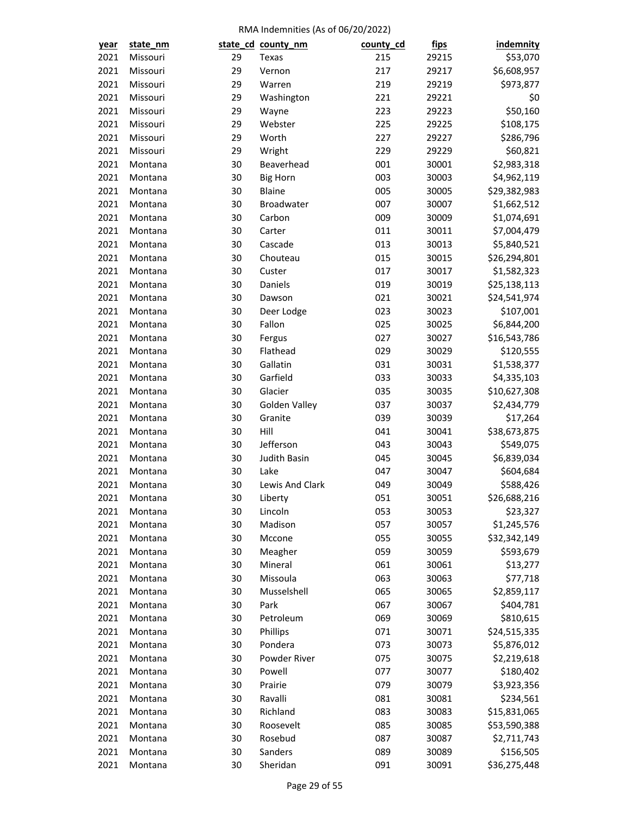| <u>year</u> | state_nm |    | state_cd_county_nm | county_cd | <u>fips</u> | indemnity    |
|-------------|----------|----|--------------------|-----------|-------------|--------------|
| 2021        | Missouri | 29 | Texas              | 215       | 29215       | \$53,070     |
| 2021        | Missouri | 29 | Vernon             | 217       | 29217       | \$6,608,957  |
| 2021        | Missouri | 29 | Warren             | 219       | 29219       | \$973,877    |
| 2021        | Missouri | 29 | Washington         | 221       | 29221       | \$0          |
| 2021        | Missouri | 29 | Wayne              | 223       | 29223       | \$50,160     |
| 2021        | Missouri | 29 | Webster            | 225       | 29225       | \$108,175    |
| 2021        | Missouri | 29 | Worth              | 227       | 29227       | \$286,796    |
| 2021        | Missouri | 29 | Wright             | 229       | 29229       | \$60,821     |
| 2021        | Montana  | 30 | Beaverhead         | 001       | 30001       | \$2,983,318  |
| 2021        | Montana  | 30 | <b>Big Horn</b>    | 003       | 30003       | \$4,962,119  |
| 2021        | Montana  | 30 | Blaine             | 005       | 30005       | \$29,382,983 |
| 2021        | Montana  | 30 | Broadwater         | 007       | 30007       | \$1,662,512  |
| 2021        | Montana  | 30 | Carbon             | 009       | 30009       | \$1,074,691  |
| 2021        | Montana  | 30 | Carter             | 011       | 30011       | \$7,004,479  |
| 2021        | Montana  | 30 | Cascade            | 013       | 30013       | \$5,840,521  |
| 2021        | Montana  | 30 | Chouteau           | 015       | 30015       | \$26,294,801 |
| 2021        | Montana  | 30 | Custer             | 017       | 30017       | \$1,582,323  |
| 2021        | Montana  | 30 | Daniels            | 019       | 30019       | \$25,138,113 |
| 2021        | Montana  | 30 | Dawson             | 021       | 30021       | \$24,541,974 |
| 2021        | Montana  | 30 | Deer Lodge         | 023       | 30023       | \$107,001    |
| 2021        | Montana  | 30 | Fallon             | 025       | 30025       | \$6,844,200  |
| 2021        | Montana  | 30 | Fergus             | 027       | 30027       | \$16,543,786 |
| 2021        | Montana  | 30 | Flathead           | 029       | 30029       | \$120,555    |
| 2021        | Montana  | 30 | Gallatin           | 031       | 30031       | \$1,538,377  |
| 2021        | Montana  | 30 | Garfield           | 033       | 30033       | \$4,335,103  |
| 2021        | Montana  | 30 | Glacier            | 035       | 30035       | \$10,627,308 |
| 2021        | Montana  | 30 | Golden Valley      | 037       | 30037       | \$2,434,779  |
| 2021        | Montana  | 30 | Granite            | 039       | 30039       | \$17,264     |
| 2021        | Montana  | 30 | Hill               | 041       | 30041       | \$38,673,875 |
| 2021        | Montana  | 30 | Jefferson          | 043       | 30043       | \$549,075    |
| 2021        | Montana  | 30 | Judith Basin       | 045       | 30045       | \$6,839,034  |
| 2021        | Montana  | 30 | Lake               | 047       | 30047       | \$604,684    |
| 2021        | Montana  | 30 | Lewis And Clark    | 049       | 30049       | \$588,426    |
| 2021        | Montana  | 30 | Liberty            | 051       | 30051       | \$26,688,216 |
| 2021        | Montana  | 30 | Lincoln            | 053       | 30053       | \$23,327     |
| 2021        | Montana  | 30 | Madison            | 057       | 30057       | \$1,245,576  |
| 2021        | Montana  | 30 | Mccone             | 055       | 30055       | \$32,342,149 |
| 2021        | Montana  | 30 | Meagher            | 059       | 30059       | \$593,679    |
| 2021        | Montana  | 30 | Mineral            | 061       | 30061       | \$13,277     |
| 2021        | Montana  | 30 | Missoula           | 063       | 30063       | \$77,718     |
| 2021        | Montana  | 30 | Musselshell        | 065       | 30065       | \$2,859,117  |
| 2021        | Montana  | 30 | Park               | 067       | 30067       | \$404,781    |
| 2021        | Montana  | 30 | Petroleum          | 069       | 30069       | \$810,615    |
| 2021        | Montana  | 30 | Phillips           | 071       | 30071       | \$24,515,335 |
| 2021        | Montana  | 30 | Pondera            | 073       | 30073       | \$5,876,012  |
| 2021        | Montana  | 30 | Powder River       | 075       | 30075       | \$2,219,618  |
| 2021        | Montana  | 30 | Powell             | 077       | 30077       | \$180,402    |
| 2021        | Montana  | 30 | Prairie            | 079       | 30079       | \$3,923,356  |
| 2021        | Montana  | 30 | Ravalli            | 081       | 30081       | \$234,561    |
| 2021        | Montana  | 30 | Richland           | 083       | 30083       | \$15,831,065 |
| 2021        | Montana  | 30 | Roosevelt          | 085       | 30085       | \$53,590,388 |
| 2021        | Montana  | 30 | Rosebud            | 087       | 30087       | \$2,711,743  |
| 2021        | Montana  | 30 | Sanders            | 089       | 30089       | \$156,505    |
| 2021        | Montana  | 30 | Sheridan           | 091       | 30091       | \$36,275,448 |
|             |          |    |                    |           |             |              |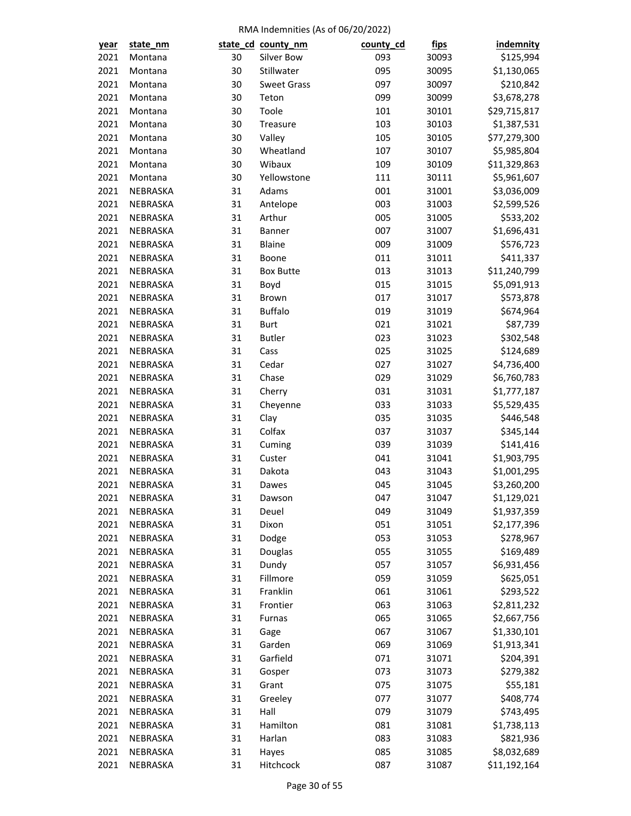| <u>year</u>  | state_nm             |          | state_cd_county_nm | county_cd | <u>fips</u>    | indemnity                  |
|--------------|----------------------|----------|--------------------|-----------|----------------|----------------------------|
| 2021         | Montana              | 30       | Silver Bow         | 093       | 30093          | \$125,994                  |
| 2021         | Montana              | 30       | Stillwater         | 095       | 30095          | \$1,130,065                |
| 2021         | Montana              | 30       | <b>Sweet Grass</b> | 097       | 30097          | \$210,842                  |
| 2021         | Montana              | 30       | Teton              | 099       | 30099          | \$3,678,278                |
| 2021         | Montana              | 30       | Toole              | 101       | 30101          | \$29,715,817               |
| 2021         | Montana              | 30       | Treasure           | 103       | 30103          | \$1,387,531                |
| 2021         | Montana              | 30       | Valley             | 105       | 30105          | \$77,279,300               |
| 2021         | Montana              | 30       | Wheatland          | 107       | 30107          | \$5,985,804                |
| 2021         | Montana              | 30       | Wibaux             | 109       | 30109          | \$11,329,863               |
| 2021         | Montana              | 30       | Yellowstone        | 111       | 30111          | \$5,961,607                |
| 2021         | NEBRASKA             | 31       | Adams              | 001       | 31001          | \$3,036,009                |
| 2021         | NEBRASKA             | 31       | Antelope           | 003       | 31003          | \$2,599,526                |
| 2021         | NEBRASKA             | 31       | Arthur             | 005       | 31005          | \$533,202                  |
| 2021         | NEBRASKA             | 31       | Banner             | 007       | 31007          | \$1,696,431                |
| 2021         | NEBRASKA             | 31       | Blaine             | 009       | 31009          | \$576,723                  |
| 2021         | NEBRASKA             | 31       | Boone              | 011       | 31011          | \$411,337                  |
| 2021         | NEBRASKA             | 31       | <b>Box Butte</b>   | 013       | 31013          | \$11,240,799               |
| 2021         | NEBRASKA             | 31       | Boyd               | 015       | 31015          | \$5,091,913                |
| 2021         | NEBRASKA             | 31       | Brown              | 017       | 31017          | \$573,878                  |
| 2021         | NEBRASKA             | 31       | <b>Buffalo</b>     | 019       | 31019          | \$674,964                  |
| 2021         | NEBRASKA             | 31       | <b>Burt</b>        | 021       | 31021          | \$87,739                   |
| 2021         | NEBRASKA             | 31       | <b>Butler</b>      | 023       | 31023          | \$302,548                  |
| 2021         | NEBRASKA             | 31       | Cass               | 025       | 31025          | \$124,689                  |
| 2021         | NEBRASKA             | 31       | Cedar              | 027       | 31027          | \$4,736,400                |
| 2021         | NEBRASKA             | 31       | Chase              | 029       | 31029          | \$6,760,783                |
| 2021         | NEBRASKA             | 31       | Cherry             | 031       | 31031          | \$1,777,187                |
| 2021         | NEBRASKA             | 31       | Cheyenne           | 033       | 31033          | \$5,529,435                |
| 2021         | NEBRASKA             | 31       | Clay               | 035       | 31035          | \$446,548                  |
| 2021         | NEBRASKA             | 31       | Colfax             | 037       | 31037          | \$345,144                  |
| 2021         | NEBRASKA             | 31       | Cuming             | 039       | 31039          | \$141,416                  |
| 2021         | NEBRASKA             | 31       | Custer             | 041       | 31041          | \$1,903,795                |
| 2021         | NEBRASKA             | 31       | Dakota             | 043       | 31043          | \$1,001,295                |
| 2021         | NEBRASKA             | 31       | Dawes              | 045       | 31045          | \$3,260,200                |
| 2021         | NEBRASKA             | 31       |                    | 047       | 31047          | \$1,129,021                |
|              | NEBRASKA             |          | Dawson<br>Deuel    | 049       |                |                            |
| 2021<br>2021 | NEBRASKA             | 31<br>31 | Dixon              | 051       | 31049<br>31051 | \$1,937,359<br>\$2,177,396 |
| 2021         |                      |          |                    |           |                |                            |
|              | NEBRASKA             | 31       | Dodge              | 053       | 31053          | \$278,967                  |
| 2021         | NEBRASKA             | 31       | Douglas            | 055       | 31055          | \$169,489                  |
| 2021         | NEBRASKA<br>NEBRASKA | 31       | Dundy              | 057       | 31057          | \$6,931,456                |
| 2021         |                      | 31       | Fillmore           | 059       | 31059          | \$625,051                  |
| 2021         | NEBRASKA             | 31       | Franklin           | 061       | 31061          | \$293,522                  |
| 2021         | NEBRASKA             | 31       | Frontier           | 063       | 31063          | \$2,811,232                |
| 2021         | NEBRASKA             | 31       | Furnas             | 065       | 31065          | \$2,667,756                |
| 2021         | NEBRASKA             | 31       | Gage               | 067       | 31067          | \$1,330,101                |
| 2021         | NEBRASKA             | 31       | Garden             | 069       | 31069          | \$1,913,341                |
| 2021         | NEBRASKA             | 31       | Garfield           | 071       | 31071          | \$204,391                  |
| 2021         | NEBRASKA             | 31       | Gosper             | 073       | 31073          | \$279,382                  |
| 2021         | NEBRASKA             | 31       | Grant              | 075       | 31075          | \$55,181                   |
| 2021         | NEBRASKA             | 31       | Greeley            | 077       | 31077          | \$408,774                  |
| 2021         | NEBRASKA             | 31       | Hall               | 079       | 31079          | \$743,495                  |
| 2021         | NEBRASKA             | 31       | Hamilton           | 081       | 31081          | \$1,738,113                |
| 2021         | NEBRASKA             | 31       | Harlan             | 083       | 31083          | \$821,936                  |
| 2021         | NEBRASKA             | 31       | Hayes              | 085       | 31085          | \$8,032,689                |
| 2021         | NEBRASKA             | 31       | Hitchcock          | 087       | 31087          | \$11,192,164               |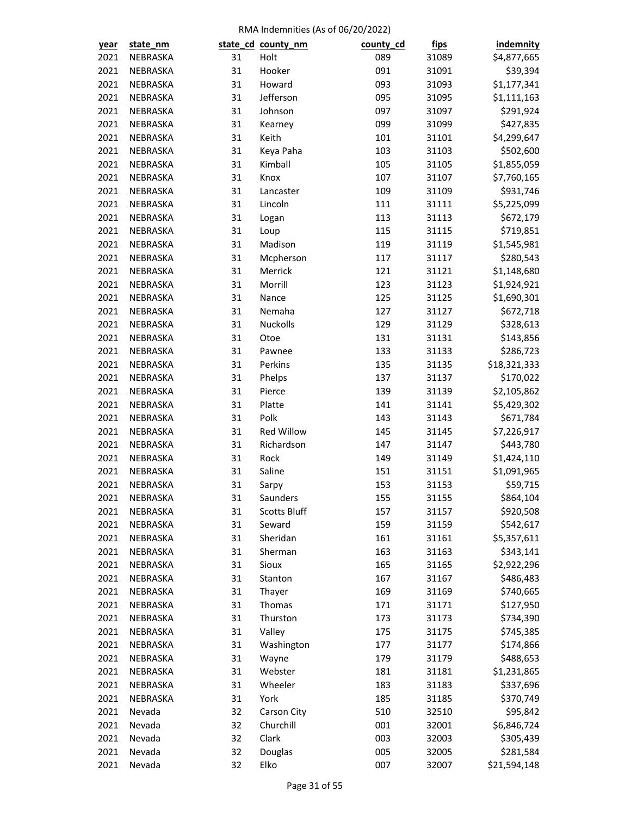| year         | state_nm |          | state_cd_county_nm  | county_cd | <u>fips</u> | <b>indemnity</b> |
|--------------|----------|----------|---------------------|-----------|-------------|------------------|
| 2021         | NEBRASKA | 31       | Holt                | 089       | 31089       | \$4,877,665      |
| 2021         | NEBRASKA | 31       | Hooker              | 091       | 31091       | \$39,394         |
| 2021         | NEBRASKA | 31       | Howard              | 093       | 31093       | \$1,177,341      |
| 2021         | NEBRASKA | 31       | Jefferson           | 095       | 31095       | \$1,111,163      |
| 2021         | NEBRASKA | 31       | Johnson             | 097       | 31097       | \$291,924        |
| 2021         | NEBRASKA | 31       | Kearney             | 099       | 31099       | \$427,835        |
| 2021         | NEBRASKA | 31       | Keith               | 101       | 31101       | \$4,299,647      |
| 2021         | NEBRASKA | 31       | Keya Paha           | 103       | 31103       | \$502,600        |
| 2021         | NEBRASKA | 31       | Kimball             | 105       | 31105       | \$1,855,059      |
| 2021         | NEBRASKA | 31       | Knox                | 107       | 31107       | \$7,760,165      |
| 2021         | NEBRASKA | 31       | Lancaster           | 109       | 31109       | \$931,746        |
| 2021         | NEBRASKA | 31       | Lincoln             | 111       | 31111       | \$5,225,099      |
| 2021         | NEBRASKA | 31       | Logan               | 113       | 31113       | \$672,179        |
| 2021         | NEBRASKA | 31       | Loup                | 115       | 31115       | \$719,851        |
| 2021         | NEBRASKA | 31       | Madison             | 119       | 31119       | \$1,545,981      |
| 2021         | NEBRASKA | 31       | Mcpherson           | 117       | 31117       | \$280,543        |
| 2021         | NEBRASKA | 31       | Merrick             | 121       | 31121       | \$1,148,680      |
| 2021         | NEBRASKA | 31       | Morrill             | 123       | 31123       | \$1,924,921      |
| 2021         | NEBRASKA | 31       | Nance               | 125       | 31125       | \$1,690,301      |
| 2021         | NEBRASKA | 31       | Nemaha              | 127       | 31127       | \$672,718        |
| 2021         | NEBRASKA | 31       | Nuckolls            | 129       | 31129       | \$328,613        |
| 2021         | NEBRASKA | 31       | Otoe                | 131       | 31131       | \$143,856        |
| 2021         | NEBRASKA | 31       | Pawnee              | 133       | 31133       | \$286,723        |
| 2021         | NEBRASKA | 31       | Perkins             | 135       | 31135       | \$18,321,333     |
| 2021         | NEBRASKA | 31       | Phelps              | 137       | 31137       | \$170,022        |
| 2021         | NEBRASKA | 31       | Pierce              | 139       | 31139       | \$2,105,862      |
| 2021         | NEBRASKA | 31       | Platte              | 141       | 31141       | \$5,429,302      |
| 2021         | NEBRASKA | 31       | Polk                | 143       | 31143       | \$671,784        |
| 2021         | NEBRASKA | 31       | Red Willow          | 145       | 31145       | \$7,226,917      |
| 2021         | NEBRASKA | 31       | Richardson          | 147       | 31147       | \$443,780        |
| 2021         | NEBRASKA | 31       | Rock                | 149       | 31149       | \$1,424,110      |
| 2021         | NEBRASKA | 31       | Saline              | 151       | 31151       | \$1,091,965      |
| 2021         | NEBRASKA | 31       | Sarpy               | 153       | 31153       | \$59,715         |
| 2021         | NEBRASKA | 31       | Saunders            | 155       | 31155       | \$864,104        |
|              | NEBRASKA |          | <b>Scotts Bluff</b> | 157       |             | \$920,508        |
| 2021<br>2021 |          | 31<br>31 |                     | 159       | 31157       |                  |
|              | NEBRASKA |          | Seward              |           | 31159       | \$542,617        |
| 2021         | NEBRASKA | 31       | Sheridan            | 161       | 31161       | \$5,357,611      |
| 2021         | NEBRASKA | 31       | Sherman             | 163       | 31163       | \$343,141        |
| 2021         | NEBRASKA | 31       | Sioux               | 165       | 31165       | \$2,922,296      |
| 2021         | NEBRASKA | 31       | Stanton             | 167       | 31167       | \$486,483        |
| 2021         | NEBRASKA | 31       | Thayer              | 169       | 31169       | \$740,665        |
| 2021         | NEBRASKA | 31       | Thomas              | 171       | 31171       | \$127,950        |
| 2021         | NEBRASKA | 31       | Thurston            | 173       | 31173       | \$734,390        |
| 2021         | NEBRASKA | 31       | Valley              | 175       | 31175       | \$745,385        |
| 2021         | NEBRASKA | 31       | Washington          | 177       | 31177       | \$174,866        |
| 2021         | NEBRASKA | 31       | Wayne               | 179       | 31179       | \$488,653        |
| 2021         | NEBRASKA | 31       | Webster             | 181       | 31181       | \$1,231,865      |
| 2021         | NEBRASKA | 31       | Wheeler             | 183       | 31183       | \$337,696        |
| 2021         | NEBRASKA | 31       | York                | 185       | 31185       | \$370,749        |
| 2021         | Nevada   | 32       | Carson City         | 510       | 32510       | \$95,842         |
| 2021         | Nevada   | 32       | Churchill           | 001       | 32001       | \$6,846,724      |
| 2021         | Nevada   | 32       | Clark               | 003       | 32003       | \$305,439        |
| 2021         | Nevada   | 32       | Douglas             | 005       | 32005       | \$281,584        |
| 2021         | Nevada   | 32       | Elko                | 007       | 32007       | \$21,594,148     |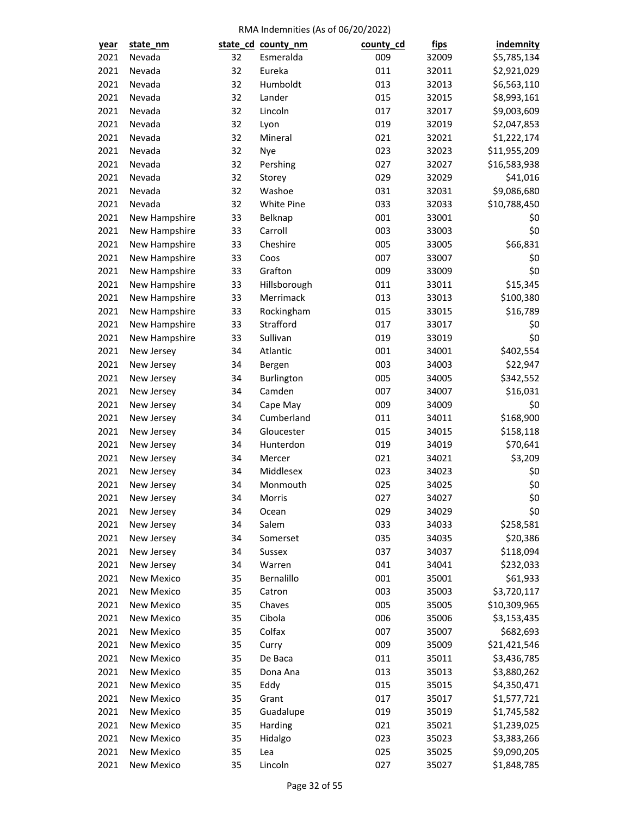| year | state_nm          |          | state_cd_county_nm | county_cd | <u>fips</u>    | <b>indemnity</b> |
|------|-------------------|----------|--------------------|-----------|----------------|------------------|
| 2021 | Nevada            | 32       | Esmeralda          | 009       | 32009          | \$5,785,134      |
| 2021 | Nevada            | 32       | Eureka             | 011       | 32011          | \$2,921,029      |
| 2021 | Nevada            | 32       | Humboldt           | 013       | 32013          | \$6,563,110      |
| 2021 | Nevada            | 32       | Lander             | 015       | 32015          | \$8,993,161      |
| 2021 | Nevada            | 32       | Lincoln            | 017       | 32017          | \$9,003,609      |
| 2021 | Nevada            | 32       | Lyon               | 019       | 32019          | \$2,047,853      |
| 2021 | Nevada            | 32       | Mineral            | 021       | 32021          | \$1,222,174      |
| 2021 | Nevada            | 32       | Nye                | 023       | 32023          | \$11,955,209     |
| 2021 | Nevada            | 32       | Pershing           | 027       | 32027          | \$16,583,938     |
| 2021 | Nevada            | 32       | Storey             | 029       | 32029          | \$41,016         |
| 2021 | Nevada            | 32       | Washoe             | 031       | 32031          | \$9,086,680      |
| 2021 | Nevada            | 32       | White Pine         | 033       | 32033          | \$10,788,450     |
| 2021 | New Hampshire     | 33       | Belknap            | 001       | 33001          | \$0              |
| 2021 | New Hampshire     | 33       | Carroll            | 003       | 33003          | \$0              |
| 2021 | New Hampshire     | 33       | Cheshire           | 005       | 33005          | \$66,831         |
| 2021 | New Hampshire     | 33       | Coos               | 007       | 33007          | \$0              |
| 2021 | New Hampshire     | 33       | Grafton            | 009       | 33009          | \$0              |
| 2021 | New Hampshire     | 33       | Hillsborough       | 011       | 33011          | \$15,345         |
| 2021 | New Hampshire     | 33       | Merrimack          | 013       | 33013          | \$100,380        |
| 2021 | New Hampshire     | 33       | Rockingham         | 015       | 33015          | \$16,789         |
| 2021 | New Hampshire     | 33       | Strafford          | 017       | 33017          | \$0              |
| 2021 | New Hampshire     | 33       | Sullivan           | 019       | 33019          | \$0              |
| 2021 | New Jersey        | 34       | Atlantic           | 001       | 34001          | \$402,554        |
| 2021 | New Jersey        | 34       | Bergen             | 003       | 34003          | \$22,947         |
| 2021 | New Jersey        | 34       | Burlington         | 005       | 34005          | \$342,552        |
| 2021 | New Jersey        | 34       | Camden             | 007       | 34007          | \$16,031         |
| 2021 | New Jersey        | 34       | Cape May           | 009       | 34009          | \$0              |
| 2021 | New Jersey        | 34       | Cumberland         | 011       | 34011          | \$168,900        |
| 2021 | New Jersey        | 34       | Gloucester         | 015       | 34015          | \$158,118        |
| 2021 |                   | 34       | Hunterdon          | 019       | 34019          | \$70,641         |
| 2021 | New Jersey        | 34       | Mercer             | 021       | 34021          | \$3,209          |
| 2021 | New Jersey        |          | Middlesex          | 023       |                |                  |
| 2021 | New Jersey        | 34<br>34 | Monmouth           |           | 34023<br>34025 | \$0<br>\$0       |
|      | New Jersey        |          |                    | 025       |                | \$0              |
| 2021 | New Jersey        | 34       | Morris             | 027       | 34027          |                  |
| 2021 | New Jersey        | 34       | Ocean              | 029       | 34029          | \$0              |
| 2021 | New Jersey        | 34       | Salem              | 033       | 34033          | \$258,581        |
| 2021 | New Jersey        | 34       | Somerset           | 035       | 34035          | \$20,386         |
| 2021 | New Jersey        | 34       | Sussex             | 037       | 34037          | \$118,094        |
| 2021 | New Jersey        | 34       | Warren             | 041       | 34041          | \$232,033        |
| 2021 | New Mexico        | 35       | Bernalillo         | 001       | 35001          | \$61,933         |
| 2021 | <b>New Mexico</b> | 35       | Catron             | 003       | 35003          | \$3,720,117      |
| 2021 | New Mexico        | 35       | Chaves             | 005       | 35005          | \$10,309,965     |
| 2021 | New Mexico        | 35       | Cibola             | 006       | 35006          | \$3,153,435      |
| 2021 | New Mexico        | 35       | Colfax             | 007       | 35007          | \$682,693        |
| 2021 | New Mexico        | 35       | Curry              | 009       | 35009          | \$21,421,546     |
| 2021 | New Mexico        | 35       | De Baca            | 011       | 35011          | \$3,436,785      |
| 2021 | New Mexico        | 35       | Dona Ana           | 013       | 35013          | \$3,880,262      |
| 2021 | New Mexico        | 35       | Eddy               | 015       | 35015          | \$4,350,471      |
| 2021 | New Mexico        | 35       | Grant              | 017       | 35017          | \$1,577,721      |
| 2021 | New Mexico        | 35       | Guadalupe          | 019       | 35019          | \$1,745,582      |
| 2021 | New Mexico        | 35       | Harding            | 021       | 35021          | \$1,239,025      |
| 2021 | New Mexico        | 35       | Hidalgo            | 023       | 35023          | \$3,383,266      |
| 2021 | New Mexico        | 35       | Lea                | 025       | 35025          | \$9,090,205      |
| 2021 | New Mexico        | 35       | Lincoln            | 027       | 35027          | \$1,848,785      |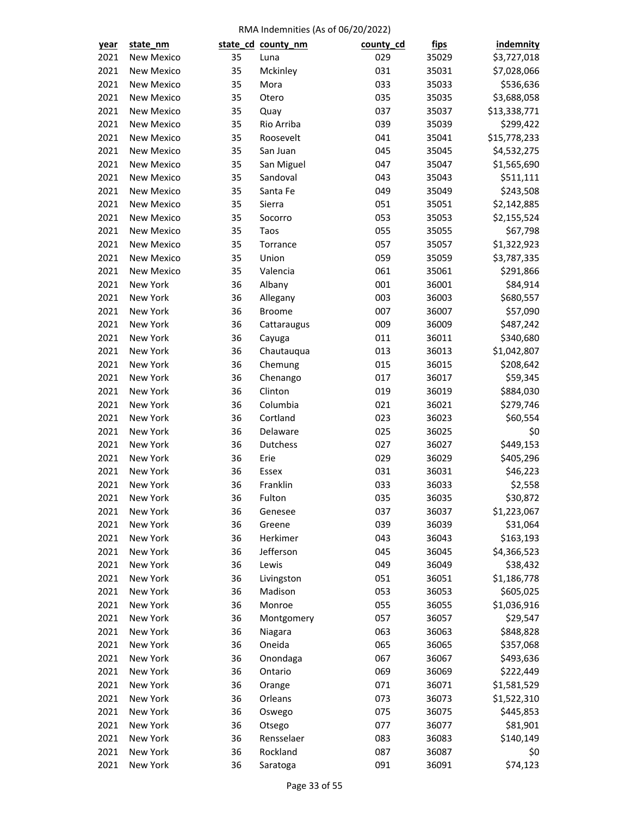| year | state_nm          |    | state_cd_county_nm    | county_cd | <u>fips</u>    | <b>indemnity</b>        |
|------|-------------------|----|-----------------------|-----------|----------------|-------------------------|
| 2021 | New Mexico        | 35 | Luna                  | 029       | 35029          | \$3,727,018             |
| 2021 | New Mexico        | 35 | Mckinley              | 031       | 35031          | \$7,028,066             |
| 2021 | New Mexico        | 35 | Mora                  | 033       | 35033          | \$536,636               |
| 2021 | New Mexico        | 35 | Otero                 | 035       | 35035          | \$3,688,058             |
| 2021 | <b>New Mexico</b> | 35 | Quay                  | 037       | 35037          | \$13,338,771            |
| 2021 | <b>New Mexico</b> | 35 | Rio Arriba            | 039       | 35039          | \$299,422               |
| 2021 | New Mexico        | 35 | Roosevelt             | 041       | 35041          | \$15,778,233            |
| 2021 | New Mexico        | 35 | San Juan              | 045       | 35045          | \$4,532,275             |
| 2021 | New Mexico        | 35 | San Miguel            | 047       | 35047          | \$1,565,690             |
| 2021 | New Mexico        | 35 | Sandoval              | 043       | 35043          | \$511,111               |
| 2021 | New Mexico        | 35 | Santa Fe              | 049       | 35049          | \$243,508               |
| 2021 | New Mexico        | 35 | Sierra                | 051       | 35051          | \$2,142,885             |
| 2021 | New Mexico        | 35 | Socorro               | 053       | 35053          | \$2,155,524             |
| 2021 | New Mexico        | 35 | Taos                  | 055       | 35055          | \$67,798                |
| 2021 | New Mexico        | 35 | Torrance              | 057       | 35057          | \$1,322,923             |
| 2021 | New Mexico        | 35 | Union                 | 059       | 35059          | \$3,787,335             |
| 2021 | New Mexico        | 35 | Valencia              | 061       | 35061          | \$291,866               |
| 2021 | New York          | 36 | Albany                | 001       | 36001          | \$84,914                |
| 2021 | New York          | 36 | Allegany              | 003       | 36003          | \$680,557               |
| 2021 | New York          | 36 | Broome                | 007       | 36007          | \$57,090                |
| 2021 | New York          | 36 | Cattaraugus           | 009       | 36009          | \$487,242               |
| 2021 | New York          | 36 | Cayuga                | 011       | 36011          | \$340,680               |
| 2021 | New York          | 36 | Chautauqua            | 013       | 36013          | \$1,042,807             |
| 2021 | New York          | 36 | Chemung               | 015       | 36015          | \$208,642               |
| 2021 | New York          | 36 | Chenango              | 017       | 36017          | \$59,345                |
| 2021 | New York          | 36 | Clinton               | 019       | 36019          | \$884,030               |
| 2021 | New York          | 36 | Columbia              | 021       | 36021          | \$279,746               |
| 2021 | New York          | 36 | Cortland              | 023       | 36023          | \$60,554                |
| 2021 | New York          | 36 | Delaware              | 025       | 36025          | \$0                     |
| 2021 | New York          | 36 | Dutchess              | 027       | 36027          | \$449,153               |
| 2021 | New York          | 36 | Erie                  | 029       | 36029          | \$405,296               |
| 2021 | New York          | 36 | Essex                 | 031       | 36031          | \$46,223                |
| 2021 | New York          | 36 | Franklin              | 033       | 36033          | \$2,558                 |
| 2021 | New York          | 36 | Fulton                | 035       | 36035          | \$30,872                |
| 2021 | New York          | 36 | Genesee               | 037       | 36037          | \$1,223,067             |
| 2021 | New York          | 36 | Greene                | 039       | 36039          | \$31,064                |
| 2021 | New York          | 36 | Herkimer              | 043       | 36043          | \$163,193               |
| 2021 | New York          | 36 | Jefferson             | 045       | 36045          | \$4,366,523             |
| 2021 | New York          | 36 |                       | 049       |                |                         |
| 2021 | New York          | 36 | Lewis                 | 051       | 36049<br>36051 | \$38,432<br>\$1,186,778 |
| 2021 | New York          |    | Livingston<br>Madison | 053       |                |                         |
|      | New York          | 36 | Monroe                | 055       | 36053          | \$605,025               |
| 2021 |                   | 36 |                       |           | 36055          | \$1,036,916             |
| 2021 | New York          | 36 | Montgomery            | 057       | 36057          | \$29,547                |
| 2021 | New York          | 36 | Niagara               | 063       | 36063          | \$848,828               |
| 2021 | New York          | 36 | Oneida                | 065       | 36065          | \$357,068               |
| 2021 | New York          | 36 | Onondaga              | 067       | 36067          | \$493,636               |
| 2021 | New York          | 36 | Ontario               | 069       | 36069          | \$222,449               |
| 2021 | New York          | 36 | Orange                | 071       | 36071          | \$1,581,529             |
| 2021 | New York          | 36 | Orleans               | 073       | 36073          | \$1,522,310             |
| 2021 | New York          | 36 | Oswego                | 075       | 36075          | \$445,853               |
| 2021 | New York          | 36 | Otsego                | 077       | 36077          | \$81,901                |
| 2021 | New York          | 36 | Rensselaer            | 083       | 36083          | \$140,149               |
| 2021 | New York          | 36 | Rockland              | 087       | 36087          | \$0                     |
| 2021 | New York          | 36 | Saratoga              | 091       | 36091          | \$74,123                |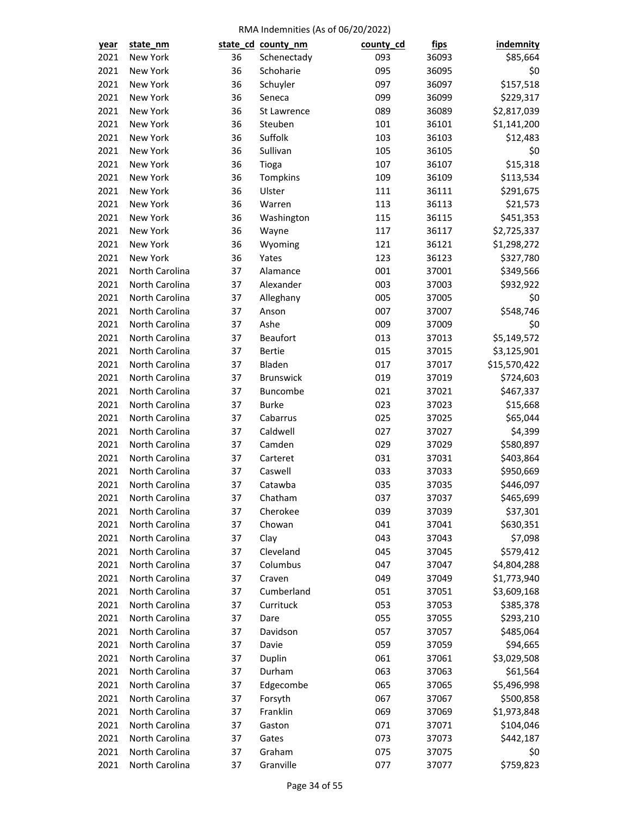| <u>year</u> | state_nm       |    | state_cd_county_nm | county_cd | <u>fips</u> | <b>indemnity</b> |
|-------------|----------------|----|--------------------|-----------|-------------|------------------|
| 2021        | New York       | 36 | Schenectady        | 093       | 36093       | \$85,664         |
| 2021        | New York       | 36 | Schoharie          | 095       | 36095       | \$0              |
| 2021        | New York       | 36 | Schuyler           | 097       | 36097       | \$157,518        |
| 2021        | New York       | 36 | Seneca             | 099       | 36099       | \$229,317        |
| 2021        | New York       | 36 | St Lawrence        | 089       | 36089       | \$2,817,039      |
| 2021        | New York       | 36 | Steuben            | 101       | 36101       | \$1,141,200      |
| 2021        | New York       | 36 | Suffolk            | 103       | 36103       | \$12,483         |
| 2021        | New York       | 36 | Sullivan           | 105       | 36105       | \$0              |
| 2021        | New York       | 36 | Tioga              | 107       | 36107       | \$15,318         |
| 2021        | New York       | 36 | Tompkins           | 109       | 36109       | \$113,534        |
| 2021        | New York       | 36 | Ulster             | 111       | 36111       | \$291,675        |
| 2021        | New York       | 36 | Warren             | 113       | 36113       | \$21,573         |
| 2021        | New York       | 36 | Washington         | 115       | 36115       | \$451,353        |
| 2021        | New York       | 36 | Wayne              | 117       | 36117       | \$2,725,337      |
| 2021        | New York       | 36 | Wyoming            | 121       | 36121       | \$1,298,272      |
| 2021        | New York       | 36 | Yates              | 123       | 36123       | \$327,780        |
| 2021        | North Carolina | 37 | Alamance           | 001       | 37001       | \$349,566        |
| 2021        | North Carolina | 37 | Alexander          | 003       | 37003       | \$932,922        |
| 2021        | North Carolina | 37 | Alleghany          | 005       | 37005       | \$0              |
| 2021        | North Carolina | 37 | Anson              | 007       | 37007       | \$548,746        |
| 2021        | North Carolina | 37 | Ashe               | 009       | 37009       | \$0              |
| 2021        | North Carolina | 37 | <b>Beaufort</b>    | 013       | 37013       | \$5,149,572      |
| 2021        | North Carolina | 37 | <b>Bertie</b>      | 015       | 37015       | \$3,125,901      |
| 2021        | North Carolina | 37 | Bladen             | 017       | 37017       | \$15,570,422     |
| 2021        | North Carolina | 37 | <b>Brunswick</b>   | 019       | 37019       | \$724,603        |
| 2021        | North Carolina | 37 | Buncombe           | 021       | 37021       | \$467,337        |
| 2021        | North Carolina | 37 | <b>Burke</b>       | 023       | 37023       | \$15,668         |
| 2021        | North Carolina | 37 | Cabarrus           | 025       | 37025       | \$65,044         |
| 2021        | North Carolina | 37 | Caldwell           | 027       | 37027       | \$4,399          |
| 2021        | North Carolina | 37 | Camden             | 029       | 37029       | \$580,897        |
| 2021        | North Carolina | 37 | Carteret           | 031       | 37031       | \$403,864        |
| 2021        | North Carolina | 37 | Caswell            | 033       | 37033       | \$950,669        |
| 2021        | North Carolina | 37 | Catawba            | 035       | 37035       | \$446,097        |
| 2021        | North Carolina | 37 | Chatham            | 037       | 37037       | \$465,699        |
| 2021        | North Carolina | 37 | Cherokee           | 039       | 37039       | \$37,301         |
| 2021        | North Carolina | 37 | Chowan             | 041       | 37041       | \$630,351        |
| 2021        | North Carolina | 37 | Clay               | 043       | 37043       | \$7,098          |
| 2021        | North Carolina | 37 | Cleveland          | 045       | 37045       | \$579,412        |
| 2021        | North Carolina | 37 | Columbus           | 047       | 37047       | \$4,804,288      |
| 2021        | North Carolina | 37 | Craven             | 049       | 37049       | \$1,773,940      |
| 2021        | North Carolina | 37 | Cumberland         | 051       | 37051       | \$3,609,168      |
| 2021        | North Carolina | 37 | Currituck          | 053       | 37053       | \$385,378        |
| 2021        | North Carolina | 37 | Dare               | 055       | 37055       | \$293,210        |
| 2021        | North Carolina | 37 | Davidson           | 057       | 37057       | \$485,064        |
| 2021        | North Carolina | 37 | Davie              | 059       | 37059       | \$94,665         |
| 2021        | North Carolina | 37 | Duplin             | 061       | 37061       | \$3,029,508      |
| 2021        | North Carolina | 37 | Durham             | 063       | 37063       | \$61,564         |
| 2021        | North Carolina | 37 | Edgecombe          | 065       | 37065       | \$5,496,998      |
| 2021        | North Carolina | 37 | Forsyth            | 067       | 37067       | \$500,858        |
| 2021        | North Carolina | 37 | Franklin           | 069       | 37069       | \$1,973,848      |
| 2021        | North Carolina | 37 | Gaston             | 071       | 37071       | \$104,046        |
| 2021        | North Carolina | 37 | Gates              | 073       | 37073       | \$442,187        |
| 2021        | North Carolina | 37 | Graham             | 075       | 37075       | \$0              |
| 2021        | North Carolina | 37 | Granville          | 077       | 37077       | \$759,823        |
|             |                |    |                    |           |             |                  |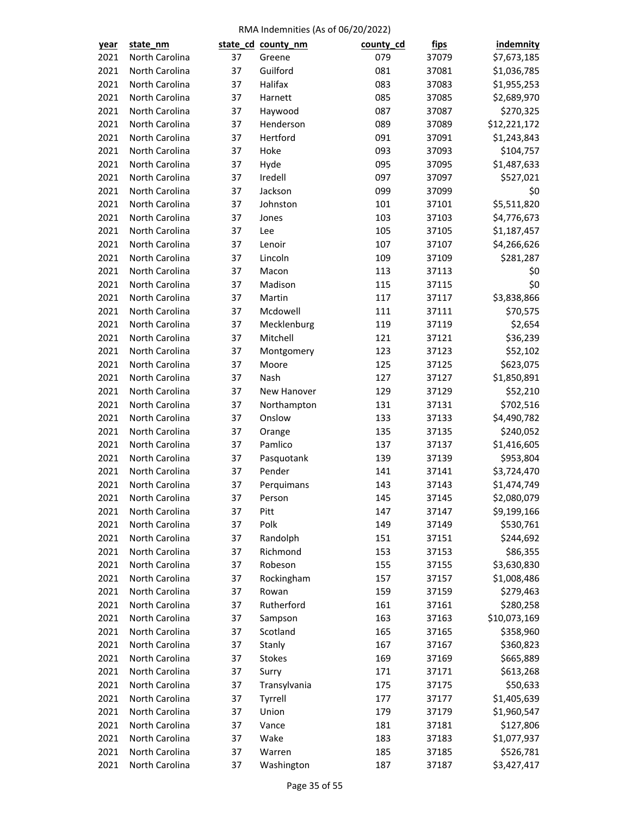| <u>year</u> | state nm       |    | state_cd_county_nm   | county_cd | <u>fips</u>    | <b>indemnity</b> |
|-------------|----------------|----|----------------------|-----------|----------------|------------------|
| 2021        | North Carolina | 37 | Greene               | 079       | 37079          | \$7,673,185      |
| 2021        | North Carolina | 37 | Guilford             | 081       | 37081          | \$1,036,785      |
| 2021        | North Carolina | 37 | Halifax              | 083       | 37083          | \$1,955,253      |
| 2021        | North Carolina | 37 | Harnett              | 085       | 37085          | \$2,689,970      |
| 2021        | North Carolina | 37 | Haywood              | 087       | 37087          | \$270,325        |
| 2021        | North Carolina | 37 | Henderson            | 089       | 37089          | \$12,221,172     |
| 2021        | North Carolina | 37 | Hertford             | 091       | 37091          | \$1,243,843      |
| 2021        | North Carolina | 37 | Hoke                 | 093       | 37093          | \$104,757        |
| 2021        | North Carolina | 37 | Hyde                 | 095       | 37095          | \$1,487,633      |
| 2021        | North Carolina | 37 | Iredell              | 097       | 37097          | \$527,021        |
| 2021        | North Carolina | 37 | Jackson              | 099       | 37099          | \$0              |
| 2021        | North Carolina | 37 | Johnston             | 101       | 37101          | \$5,511,820      |
| 2021        | North Carolina | 37 | Jones                | 103       | 37103          | \$4,776,673      |
| 2021        | North Carolina | 37 | Lee                  | 105       | 37105          | \$1,187,457      |
| 2021        | North Carolina | 37 | Lenoir               | 107       | 37107          | \$4,266,626      |
| 2021        | North Carolina | 37 | Lincoln              | 109       | 37109          | \$281,287        |
| 2021        | North Carolina | 37 | Macon                | 113       | 37113          | \$0              |
| 2021        | North Carolina | 37 | Madison              | 115       | 37115          | \$0              |
| 2021        | North Carolina | 37 | Martin               | 117       | 37117          | \$3,838,866      |
| 2021        | North Carolina | 37 | Mcdowell             | 111       | 37111          | \$70,575         |
| 2021        | North Carolina | 37 | Mecklenburg          | 119       | 37119          | \$2,654          |
| 2021        | North Carolina | 37 | Mitchell             | 121       | 37121          | \$36,239         |
| 2021        | North Carolina | 37 | Montgomery           | 123       | 37123          | \$52,102         |
| 2021        | North Carolina | 37 | Moore                | 125       | 37125          | \$623,075        |
| 2021        | North Carolina | 37 | Nash                 | 127       | 37127          | \$1,850,891      |
| 2021        | North Carolina | 37 | New Hanover          | 129       | 37129          | \$52,210         |
| 2021        | North Carolina | 37 | Northampton          | 131       | 37131          | \$702,516        |
| 2021        | North Carolina | 37 | Onslow               | 133       | 37133          | \$4,490,782      |
| 2021        | North Carolina | 37 | Orange               | 135       | 37135          | \$240,052        |
| 2021        | North Carolina | 37 | Pamlico              | 137       | 37137          | \$1,416,605      |
| 2021        | North Carolina | 37 |                      | 139       | 37139          | \$953,804        |
| 2021        | North Carolina | 37 | Pasquotank<br>Pender | 141       |                | \$3,724,470      |
| 2021        | North Carolina | 37 |                      | 143       | 37141          | \$1,474,749      |
| 2021        | North Carolina | 37 | Perquimans<br>Person | 145       | 37143<br>37145 | \$2,080,079      |
|             |                |    |                      |           |                |                  |
| 2021        | North Carolina | 37 | Pitt                 | 147       | 37147          | \$9,199,166      |
| 2021        | North Carolina | 37 | Polk                 | 149       | 37149          | \$530,761        |
| 2021        | North Carolina | 37 | Randolph             | 151       | 37151          | \$244,692        |
| 2021        | North Carolina | 37 | Richmond             | 153       | 37153          | \$86,355         |
| 2021        | North Carolina | 37 | Robeson              | 155       | 37155          | \$3,630,830      |
| 2021        | North Carolina | 37 | Rockingham           | 157       | 37157          | \$1,008,486      |
| 2021        | North Carolina | 37 | Rowan                | 159       | 37159          | \$279,463        |
| 2021        | North Carolina | 37 | Rutherford           | 161       | 37161          | \$280,258        |
| 2021        | North Carolina | 37 | Sampson              | 163       | 37163          | \$10,073,169     |
| 2021        | North Carolina | 37 | Scotland             | 165       | 37165          | \$358,960        |
| 2021        | North Carolina | 37 | Stanly               | 167       | 37167          | \$360,823        |
| 2021        | North Carolina | 37 | <b>Stokes</b>        | 169       | 37169          | \$665,889        |
| 2021        | North Carolina | 37 | Surry                | 171       | 37171          | \$613,268        |
| 2021        | North Carolina | 37 | Transylvania         | 175       | 37175          | \$50,633         |
| 2021        | North Carolina | 37 | Tyrrell              | 177       | 37177          | \$1,405,639      |
| 2021        | North Carolina | 37 | Union                | 179       | 37179          | \$1,960,547      |
| 2021        | North Carolina | 37 | Vance                | 181       | 37181          | \$127,806        |
| 2021        | North Carolina | 37 | Wake                 | 183       | 37183          | \$1,077,937      |
| 2021        | North Carolina | 37 | Warren               | 185       | 37185          | \$526,781        |
| 2021        | North Carolina | 37 | Washington           | 187       | 37187          | \$3,427,417      |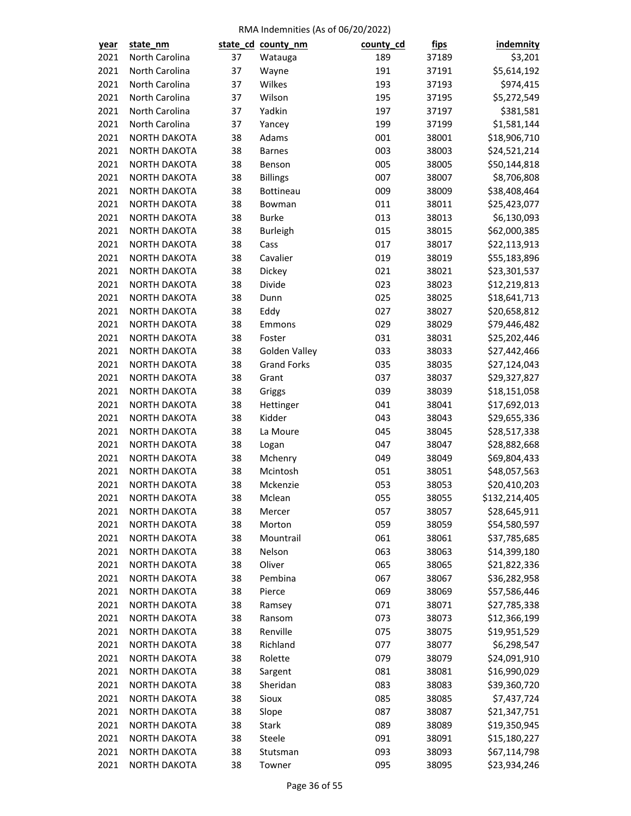| year | state_nm                                   |    | state_cd_county_nm | county_cd | <u>fips</u> | indemnity                    |
|------|--------------------------------------------|----|--------------------|-----------|-------------|------------------------------|
| 2021 | North Carolina                             | 37 | Watauga            | 189       | 37189       | \$3,201                      |
| 2021 | North Carolina                             | 37 | Wayne              | 191       | 37191       | \$5,614,192                  |
| 2021 | North Carolina                             | 37 | Wilkes             | 193       | 37193       | \$974,415                    |
| 2021 | North Carolina                             | 37 | Wilson             | 195       | 37195       | \$5,272,549                  |
| 2021 | North Carolina                             | 37 | Yadkin             | 197       | 37197       | \$381,581                    |
| 2021 | North Carolina                             | 37 | Yancey             | 199       | 37199       | \$1,581,144                  |
| 2021 | <b>NORTH DAKOTA</b>                        | 38 | Adams              | 001       | 38001       | \$18,906,710                 |
| 2021 | <b>NORTH DAKOTA</b>                        | 38 | <b>Barnes</b>      | 003       | 38003       | \$24,521,214                 |
| 2021 | NORTH DAKOTA                               | 38 | Benson             | 005       | 38005       | \$50,144,818                 |
| 2021 | NORTH DAKOTA                               | 38 | <b>Billings</b>    | 007       | 38007       | \$8,706,808                  |
| 2021 | NORTH DAKOTA                               | 38 | Bottineau          | 009       | 38009       | \$38,408,464                 |
| 2021 | <b>NORTH DAKOTA</b>                        | 38 | Bowman             | 011       | 38011       | \$25,423,077                 |
| 2021 | <b>NORTH DAKOTA</b>                        | 38 | <b>Burke</b>       | 013       | 38013       | \$6,130,093                  |
| 2021 | <b>NORTH DAKOTA</b>                        | 38 | <b>Burleigh</b>    | 015       | 38015       | \$62,000,385                 |
| 2021 | NORTH DAKOTA                               | 38 | Cass               | 017       | 38017       | \$22,113,913                 |
| 2021 | <b>NORTH DAKOTA</b>                        | 38 | Cavalier           | 019       | 38019       | \$55,183,896                 |
| 2021 | <b>NORTH DAKOTA</b>                        | 38 | Dickey             | 021       | 38021       | \$23,301,537                 |
| 2021 | NORTH DAKOTA                               | 38 | Divide             | 023       | 38023       | \$12,219,813                 |
| 2021 | <b>NORTH DAKOTA</b>                        | 38 | Dunn               | 025       | 38025       | \$18,641,713                 |
| 2021 | <b>NORTH DAKOTA</b>                        | 38 | Eddy               | 027       | 38027       | \$20,658,812                 |
| 2021 | NORTH DAKOTA                               | 38 | Emmons             | 029       | 38029       | \$79,446,482                 |
| 2021 | <b>NORTH DAKOTA</b>                        | 38 | Foster             | 031       | 38031       | \$25,202,446                 |
| 2021 | NORTH DAKOTA                               | 38 | Golden Valley      | 033       | 38033       | \$27,442,466                 |
| 2021 | NORTH DAKOTA                               | 38 | <b>Grand Forks</b> | 035       | 38035       | \$27,124,043                 |
| 2021 | <b>NORTH DAKOTA</b>                        | 38 | Grant              | 037       | 38037       | \$29,327,827                 |
| 2021 | <b>NORTH DAKOTA</b>                        | 38 | Griggs             | 039       | 38039       | \$18,151,058                 |
| 2021 | NORTH DAKOTA                               | 38 | Hettinger          | 041       | 38041       | \$17,692,013                 |
| 2021 | <b>NORTH DAKOTA</b>                        | 38 | Kidder             | 043       | 38043       | \$29,655,336                 |
| 2021 | NORTH DAKOTA                               | 38 | La Moure           | 045       | 38045       | \$28,517,338                 |
| 2021 | <b>NORTH DAKOTA</b>                        | 38 | Logan              | 047       | 38047       | \$28,882,668                 |
| 2021 | <b>NORTH DAKOTA</b>                        | 38 | Mchenry            | 049       | 38049       | \$69,804,433                 |
| 2021 | <b>NORTH DAKOTA</b>                        | 38 | Mcintosh           | 051       | 38051       | \$48,057,563                 |
| 2021 | NORTH DAKOTA                               | 38 | Mckenzie           | 053       | 38053       | \$20,410,203                 |
| 2021 | <b>NORTH DAKOTA</b>                        | 38 | Mclean             | 055       | 38055       | \$132,214,405                |
| 2021 | <b>NORTH DAKOTA</b>                        | 38 | Mercer             | 057       | 38057       | \$28,645,911                 |
| 2021 | NORTH DAKOTA                               | 38 | Morton             | 059       | 38059       | \$54,580,597                 |
| 2021 | <b>NORTH DAKOTA</b>                        | 38 | Mountrail          | 061       | 38061       | \$37,785,685                 |
| 2021 | <b>NORTH DAKOTA</b>                        | 38 | Nelson             | 063       | 38063       | \$14,399,180                 |
| 2021 |                                            | 38 | Oliver             | 065       |             |                              |
| 2021 | <b>NORTH DAKOTA</b><br><b>NORTH DAKOTA</b> | 38 | Pembina            | 067       | 38065       | \$21,822,336<br>\$36,282,958 |
| 2021 |                                            | 38 | Pierce             | 069       | 38067       |                              |
| 2021 | <b>NORTH DAKOTA</b><br>NORTH DAKOTA        |    |                    | 071       | 38069       | \$57,586,446                 |
| 2021 |                                            | 38 | Ramsey             |           | 38071       | \$27,785,338                 |
|      | NORTH DAKOTA                               | 38 | Ransom             | 073       | 38073       | \$12,366,199                 |
| 2021 | <b>NORTH DAKOTA</b>                        | 38 | Renville           | 075       | 38075       | \$19,951,529                 |
| 2021 | <b>NORTH DAKOTA</b>                        | 38 | Richland           | 077       | 38077       | \$6,298,547                  |
| 2021 | NORTH DAKOTA                               | 38 | Rolette            | 079       | 38079       | \$24,091,910                 |
| 2021 | <b>NORTH DAKOTA</b>                        | 38 | Sargent            | 081       | 38081       | \$16,990,029                 |
| 2021 | NORTH DAKOTA                               | 38 | Sheridan           | 083       | 38083       | \$39,360,720                 |
| 2021 | <b>NORTH DAKOTA</b>                        | 38 | Sioux              | 085       | 38085       | \$7,437,724                  |
| 2021 | <b>NORTH DAKOTA</b>                        | 38 | Slope              | 087       | 38087       | \$21,347,751                 |
| 2021 | <b>NORTH DAKOTA</b>                        | 38 | Stark              | 089       | 38089       | \$19,350,945                 |
| 2021 | <b>NORTH DAKOTA</b>                        | 38 | Steele             | 091       | 38091       | \$15,180,227                 |
| 2021 | NORTH DAKOTA                               | 38 | Stutsman           | 093       | 38093       | \$67,114,798                 |
| 2021 | NORTH DAKOTA                               | 38 | Towner             | 095       | 38095       | \$23,934,246                 |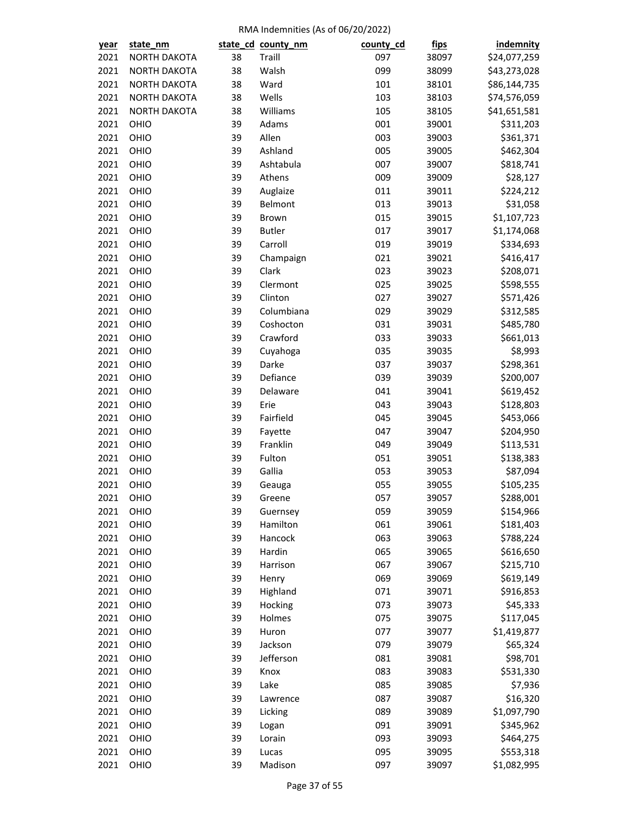| year | state_nm     |          | state_cd_county_nm   | county_cd | <u>fips</u>    | <b>indemnity</b> |
|------|--------------|----------|----------------------|-----------|----------------|------------------|
| 2021 | NORTH DAKOTA | 38       | Traill               | 097       | 38097          | \$24,077,259     |
| 2021 | NORTH DAKOTA | 38       | Walsh                | 099       | 38099          | \$43,273,028     |
| 2021 | NORTH DAKOTA | 38       | Ward                 | 101       | 38101          | \$86,144,735     |
| 2021 | NORTH DAKOTA | 38       | Wells                | 103       | 38103          | \$74,576,059     |
| 2021 | NORTH DAKOTA | 38       | Williams             | 105       | 38105          | \$41,651,581     |
| 2021 | OHIO         | 39       | Adams                | 001       | 39001          | \$311,203        |
| 2021 | OHIO         | 39       | Allen                | 003       | 39003          | \$361,371        |
| 2021 | OHIO         | 39       | Ashland              | 005       | 39005          | \$462,304        |
| 2021 | OHIO         | 39       | Ashtabula            | 007       | 39007          | \$818,741        |
| 2021 | OHIO         | 39       | Athens               | 009       | 39009          | \$28,127         |
| 2021 | OHIO         | 39       | Auglaize             | 011       | 39011          | \$224,212        |
| 2021 | OHIO         | 39       | Belmont              | 013       | 39013          | \$31,058         |
| 2021 | OHIO         | 39       | Brown                | 015       | 39015          | \$1,107,723      |
| 2021 | OHIO         | 39       | <b>Butler</b>        | 017       | 39017          | \$1,174,068      |
| 2021 | OHIO         | 39       | Carroll              | 019       | 39019          | \$334,693        |
| 2021 | OHIO         | 39       | Champaign            | 021       | 39021          | \$416,417        |
| 2021 | OHIO         | 39       | Clark                | 023       | 39023          | \$208,071        |
| 2021 | OHIO         | 39       | Clermont             | 025       | 39025          | \$598,555        |
| 2021 | OHIO         | 39       | Clinton              | 027       | 39027          | \$571,426        |
| 2021 | OHIO         | 39       | Columbiana           | 029       | 39029          | \$312,585        |
| 2021 | OHIO         | 39       | Coshocton            | 031       | 39031          | \$485,780        |
| 2021 | OHIO         | 39       | Crawford             | 033       | 39033          | \$661,013        |
| 2021 | OHIO         | 39       | Cuyahoga             | 035       | 39035          | \$8,993          |
| 2021 | OHIO         | 39       | Darke                | 037       | 39037          | \$298,361        |
| 2021 | OHIO         | 39       | Defiance             | 039       | 39039          | \$200,007        |
| 2021 | OHIO         | 39       | Delaware             | 041       | 39041          | \$619,452        |
| 2021 | OHIO         | 39       | Erie                 | 043       | 39043          | \$128,803        |
| 2021 | OHIO         | 39       | Fairfield            | 045       | 39045          | \$453,066        |
| 2021 | OHIO         | 39       | Fayette              | 047       | 39047          | \$204,950        |
| 2021 | OHIO         | 39       | Franklin             | 049       | 39049          | \$113,531        |
| 2021 | OHIO         | 39       | Fulton               | 051       | 39051          | \$138,383        |
| 2021 | OHIO         | 39       | Gallia               | 053       | 39053          | \$87,094         |
| 2021 | OHIO         | 39       | Geauga               | 055       | 39055          | \$105,235        |
| 2021 | OHIO         | 39       | Greene               | 057       | 39057          | \$288,001        |
| 2021 |              |          |                      | 059       |                |                  |
| 2021 | OHIO<br>OHIO | 39<br>39 | Guernsey<br>Hamilton | 061       | 39059<br>39061 | \$154,966        |
|      |              |          |                      |           |                | \$181,403        |
| 2021 | OHIO         | 39       | Hancock              | 063       | 39063<br>39065 | \$788,224        |
| 2021 | OHIO         | 39       | Hardin               | 065       |                | \$616,650        |
| 2021 | OHIO<br>OHIO | 39       | Harrison             | 067       | 39067          | \$215,710        |
| 2021 |              | 39       | Henry                | 069       | 39069          | \$619,149        |
| 2021 | OHIO         | 39       | Highland             | 071       | 39071          | \$916,853        |
| 2021 | OHIO         | 39       | Hocking              | 073       | 39073          | \$45,333         |
| 2021 | OHIO         | 39       | Holmes               | 075       | 39075          | \$117,045        |
| 2021 | OHIO         | 39       | Huron                | 077       | 39077          | \$1,419,877      |
| 2021 | OHIO         | 39       | Jackson              | 079       | 39079          | \$65,324         |
| 2021 | OHIO         | 39       | Jefferson            | 081       | 39081          | \$98,701         |
| 2021 | OHIO         | 39       | Knox                 | 083       | 39083          | \$531,330        |
| 2021 | OHIO         | 39       | Lake                 | 085       | 39085          | \$7,936          |
| 2021 | OHIO         | 39       | Lawrence             | 087       | 39087          | \$16,320         |
| 2021 | OHIO         | 39       | Licking              | 089       | 39089          | \$1,097,790      |
| 2021 | OHIO         | 39       | Logan                | 091       | 39091          | \$345,962        |
| 2021 | OHIO         | 39       | Lorain               | 093       | 39093          | \$464,275        |
| 2021 | OHIO         | 39       | Lucas                | 095       | 39095          | \$553,318        |
| 2021 | OHIO         | 39       | Madison              | 097       | 39097          | \$1,082,995      |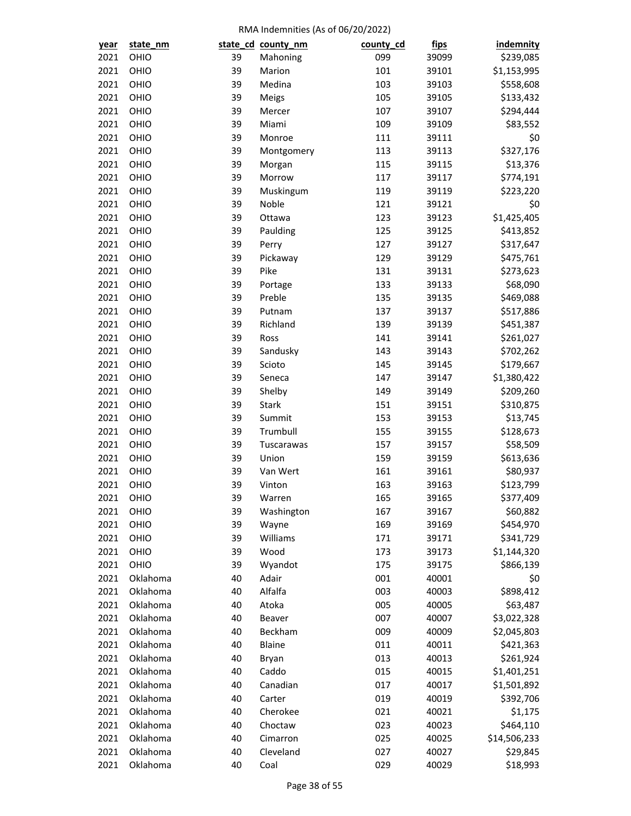| year | state_nm |    | state_cd_county_nm | county_cd | <u>fips</u> | indemnity    |
|------|----------|----|--------------------|-----------|-------------|--------------|
| 2021 | OHIO     | 39 | Mahoning           | 099       | 39099       | \$239,085    |
| 2021 | OHIO     | 39 | Marion             | 101       | 39101       | \$1,153,995  |
| 2021 | OHIO     | 39 | Medina             | 103       | 39103       | \$558,608    |
| 2021 | OHIO     | 39 | Meigs              | 105       | 39105       | \$133,432    |
| 2021 | OHIO     | 39 | Mercer             | 107       | 39107       | \$294,444    |
| 2021 | OHIO     | 39 | Miami              | 109       | 39109       | \$83,552     |
| 2021 | OHIO     | 39 | Monroe             | 111       | 39111       | \$0          |
| 2021 | OHIO     | 39 | Montgomery         | 113       | 39113       | \$327,176    |
| 2021 | OHIO     | 39 | Morgan             | 115       | 39115       | \$13,376     |
| 2021 | OHIO     | 39 | Morrow             | 117       | 39117       | \$774,191    |
| 2021 | OHIO     | 39 | Muskingum          | 119       | 39119       | \$223,220    |
| 2021 | OHIO     | 39 | Noble              | 121       | 39121       | \$0          |
| 2021 | OHIO     | 39 | Ottawa             | 123       | 39123       | \$1,425,405  |
| 2021 | OHIO     | 39 | Paulding           | 125       | 39125       | \$413,852    |
| 2021 | OHIO     | 39 | Perry              | 127       | 39127       | \$317,647    |
| 2021 | OHIO     | 39 | Pickaway           | 129       | 39129       | \$475,761    |
| 2021 | OHIO     | 39 | Pike               | 131       | 39131       | \$273,623    |
| 2021 | OHIO     | 39 | Portage            | 133       | 39133       | \$68,090     |
| 2021 | OHIO     | 39 | Preble             | 135       | 39135       | \$469,088    |
| 2021 | OHIO     | 39 | Putnam             | 137       | 39137       | \$517,886    |
| 2021 | OHIO     | 39 | Richland           | 139       | 39139       | \$451,387    |
| 2021 | OHIO     | 39 | Ross               | 141       | 39141       | \$261,027    |
| 2021 | OHIO     | 39 | Sandusky           | 143       | 39143       | \$702,262    |
| 2021 | OHIO     | 39 | Scioto             | 145       | 39145       | \$179,667    |
| 2021 | OHIO     | 39 | Seneca             | 147       | 39147       | \$1,380,422  |
| 2021 | OHIO     | 39 | Shelby             | 149       | 39149       | \$209,260    |
| 2021 | OHIO     | 39 | <b>Stark</b>       | 151       | 39151       | \$310,875    |
| 2021 | OHIO     | 39 | Summit             | 153       | 39153       | \$13,745     |
| 2021 | OHIO     | 39 | Trumbull           | 155       | 39155       | \$128,673    |
| 2021 | OHIO     | 39 | Tuscarawas         | 157       | 39157       | \$58,509     |
| 2021 | OHIO     | 39 | Union              | 159       | 39159       | \$613,636    |
| 2021 | OHIO     | 39 | Van Wert           | 161       | 39161       | \$80,937     |
| 2021 | OHIO     | 39 | Vinton             | 163       | 39163       | \$123,799    |
| 2021 | OHIO     | 39 | Warren             | 165       | 39165       | \$377,409    |
| 2021 | OHIO     | 39 | Washington         | 167       | 39167       | \$60,882     |
| 2021 | OHIO     | 39 | Wayne              | 169       | 39169       | \$454,970    |
| 2021 | OHIO     | 39 | Williams           | 171       | 39171       | \$341,729    |
| 2021 | OHIO     | 39 | Wood               | 173       | 39173       | \$1,144,320  |
| 2021 | OHIO     | 39 | Wyandot            | 175       | 39175       | \$866,139    |
| 2021 | Oklahoma | 40 | Adair              | 001       | 40001       | \$0          |
| 2021 | Oklahoma | 40 | Alfalfa            | 003       | 40003       | \$898,412    |
| 2021 | Oklahoma | 40 | Atoka              | 005       | 40005       | \$63,487     |
| 2021 | Oklahoma | 40 | Beaver             | 007       | 40007       | \$3,022,328  |
| 2021 | Oklahoma | 40 | Beckham            | 009       | 40009       | \$2,045,803  |
| 2021 | Oklahoma | 40 | Blaine             | 011       | 40011       | \$421,363    |
| 2021 | Oklahoma | 40 | Bryan              | 013       | 40013       | \$261,924    |
| 2021 | Oklahoma | 40 | Caddo              | 015       | 40015       | \$1,401,251  |
| 2021 | Oklahoma | 40 | Canadian           | 017       | 40017       | \$1,501,892  |
| 2021 | Oklahoma | 40 | Carter             | 019       | 40019       | \$392,706    |
| 2021 | Oklahoma | 40 | Cherokee           | 021       | 40021       | \$1,175      |
| 2021 | Oklahoma | 40 | Choctaw            | 023       | 40023       | \$464,110    |
| 2021 | Oklahoma | 40 | Cimarron           | 025       | 40025       | \$14,506,233 |
| 2021 | Oklahoma | 40 | Cleveland          | 027       | 40027       | \$29,845     |
| 2021 | Oklahoma | 40 | Coal               | 029       | 40029       | \$18,993     |
|      |          |    |                    |           |             |              |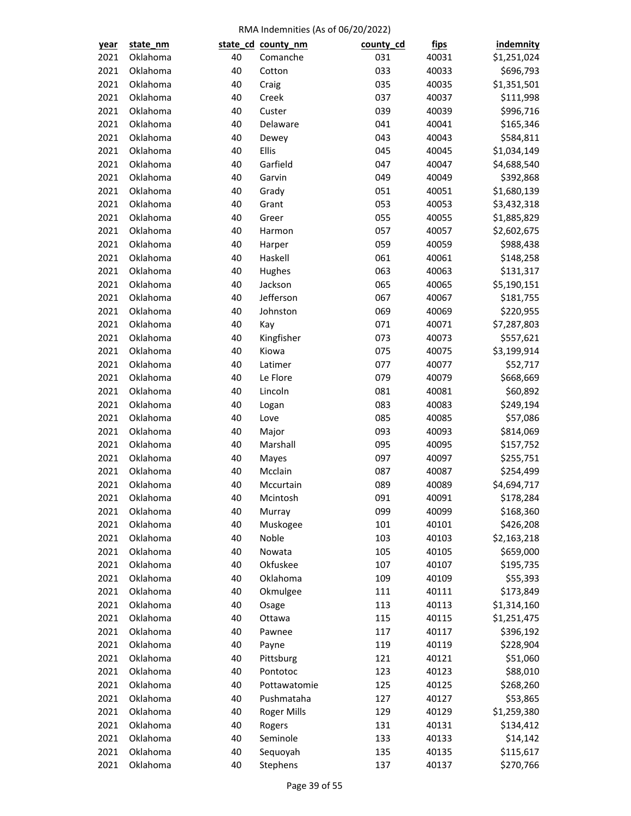| <u>year</u> | state_nm |    | state_cd_county_nm         | county_cd | <u>fips</u>    | <i>indemnity</i>         |
|-------------|----------|----|----------------------------|-----------|----------------|--------------------------|
| 2021        | Oklahoma | 40 | Comanche                   | 031       | 40031          | \$1,251,024              |
| 2021        | Oklahoma | 40 | Cotton                     | 033       | 40033          | \$696,793                |
| 2021        | Oklahoma | 40 | Craig                      | 035       | 40035          | \$1,351,501              |
| 2021        | Oklahoma | 40 | Creek                      | 037       | 40037          | \$111,998                |
| 2021        | Oklahoma | 40 | Custer                     | 039       | 40039          | \$996,716                |
| 2021        | Oklahoma | 40 | Delaware                   | 041       | 40041          | \$165,346                |
| 2021        | Oklahoma | 40 | Dewey                      | 043       | 40043          | \$584,811                |
| 2021        | Oklahoma | 40 | Ellis                      | 045       | 40045          | \$1,034,149              |
| 2021        | Oklahoma | 40 | Garfield                   | 047       | 40047          | \$4,688,540              |
| 2021        | Oklahoma | 40 | Garvin                     | 049       | 40049          | \$392,868                |
| 2021        | Oklahoma | 40 | Grady                      | 051       | 40051          | \$1,680,139              |
| 2021        | Oklahoma | 40 | Grant                      | 053       | 40053          | \$3,432,318              |
| 2021        | Oklahoma | 40 | Greer                      | 055       | 40055          | \$1,885,829              |
| 2021        | Oklahoma | 40 | Harmon                     | 057       | 40057          | \$2,602,675              |
| 2021        | Oklahoma | 40 | Harper                     | 059       | 40059          | \$988,438                |
| 2021        | Oklahoma | 40 | Haskell                    | 061       | 40061          | \$148,258                |
| 2021        | Oklahoma | 40 | Hughes                     | 063       | 40063          | \$131,317                |
| 2021        | Oklahoma | 40 | Jackson                    | 065       | 40065          | \$5,190,151              |
| 2021        | Oklahoma | 40 | Jefferson                  | 067       | 40067          | \$181,755                |
| 2021        | Oklahoma | 40 | Johnston                   | 069       | 40069          | \$220,955                |
| 2021        | Oklahoma | 40 | Kay                        | 071       | 40071          | \$7,287,803              |
| 2021        | Oklahoma | 40 | Kingfisher                 | 073       | 40073          | \$557,621                |
| 2021        | Oklahoma | 40 | Kiowa                      | 075       | 40075          | \$3,199,914              |
| 2021        | Oklahoma | 40 | Latimer                    | 077       | 40077          | \$52,717                 |
| 2021        | Oklahoma | 40 | Le Flore                   | 079       | 40079          | \$668,669                |
| 2021        | Oklahoma | 40 | Lincoln                    | 081       | 40081          | \$60,892                 |
| 2021        | Oklahoma | 40 | Logan                      | 083       | 40083          | \$249,194                |
| 2021        | Oklahoma | 40 | Love                       | 085       | 40085          | \$57,086                 |
| 2021        | Oklahoma | 40 | Major                      | 093       | 40093          | \$814,069                |
| 2021        | Oklahoma | 40 | Marshall                   | 095       | 40095          | \$157,752                |
| 2021        | Oklahoma | 40 | Mayes                      | 097       | 40097          | \$255,751                |
| 2021        | Oklahoma | 40 | Mcclain                    | 087       | 40087          | \$254,499                |
| 2021        | Oklahoma | 40 | Mccurtain                  | 089       | 40089          | \$4,694,717              |
| 2021        | Oklahoma | 40 | Mcintosh                   | 091       | 40091          | \$178,284                |
| 2021        | Oklahoma | 40 | Murray                     | 099       | 40099          | \$168,360                |
| 2021        | Oklahoma | 40 | Muskogee                   | 101       | 40101          | \$426,208                |
| 2021        | Oklahoma | 40 | Noble                      | 103       | 40103          | \$2,163,218              |
| 2021        | Oklahoma | 40 | Nowata                     | 105       | 40105          | \$659,000                |
| 2021        | Oklahoma | 40 | Okfuskee                   | 107       | 40107          | \$195,735                |
| 2021        | Oklahoma | 40 | Oklahoma                   | 109       | 40109          | \$55,393                 |
| 2021        | Oklahoma | 40 | Okmulgee                   | 111       | 40111          | \$173,849                |
| 2021        | Oklahoma | 40 | Osage                      | 113       | 40113          | \$1,314,160              |
| 2021        | Oklahoma | 40 | Ottawa                     | 115       | 40115          | \$1,251,475              |
| 2021        | Oklahoma | 40 | Pawnee                     | 117       | 40117          | \$396,192                |
| 2021        | Oklahoma | 40 | Payne                      | 119       | 40119          | \$228,904                |
| 2021        | Oklahoma | 40 | Pittsburg                  | 121       | 40121          | \$51,060                 |
| 2021        | Oklahoma | 40 | Pontotoc                   | 123       | 40123          | \$88,010                 |
| 2021        | Oklahoma | 40 |                            | 125       |                | \$268,260                |
| 2021        | Oklahoma | 40 | Pottawatomie<br>Pushmataha | 127       | 40125<br>40127 | \$53,865                 |
| 2021        | Oklahoma | 40 |                            | 129       | 40129          |                          |
|             | Oklahoma | 40 | <b>Roger Mills</b>         |           |                | \$1,259,380<br>\$134,412 |
| 2021        |          |    | Rogers                     | 131       | 40131          |                          |
| 2021        | Oklahoma | 40 | Seminole                   | 133       | 40133          | \$14,142                 |
| 2021        | Oklahoma | 40 | Sequoyah                   | 135       | 40135          | \$115,617                |
| 2021        | Oklahoma | 40 | Stephens                   | 137       | 40137          | \$270,766                |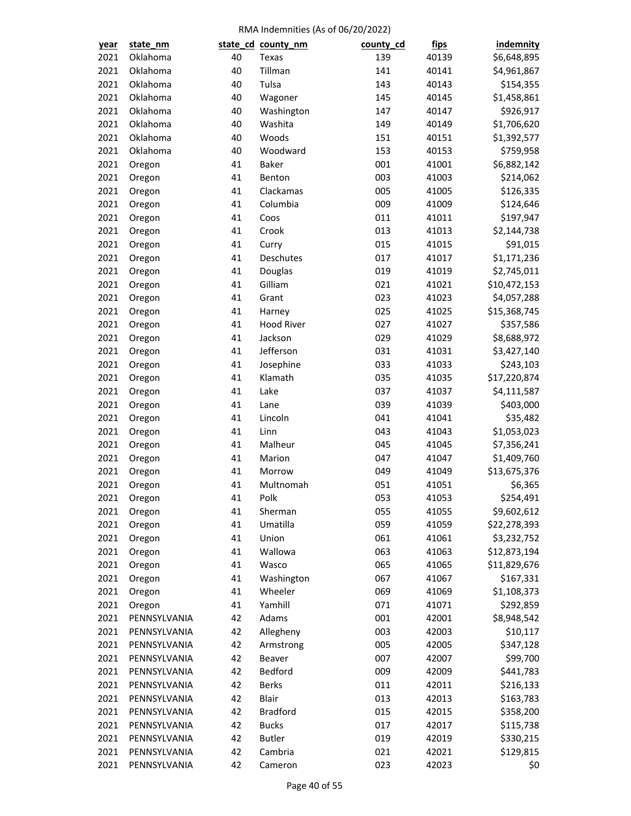| year | state_nm     |    | state_cd_county_nm | county_cd | <u>fips</u> | indemnity    |
|------|--------------|----|--------------------|-----------|-------------|--------------|
| 2021 | Oklahoma     | 40 | Texas              | 139       | 40139       | \$6,648,895  |
| 2021 | Oklahoma     | 40 | Tillman            | 141       | 40141       | \$4,961,867  |
| 2021 | Oklahoma     | 40 | Tulsa              | 143       | 40143       | \$154,355    |
| 2021 | Oklahoma     | 40 | Wagoner            | 145       | 40145       | \$1,458,861  |
| 2021 | Oklahoma     | 40 | Washington         | 147       | 40147       | \$926,917    |
| 2021 | Oklahoma     | 40 | Washita            | 149       | 40149       | \$1,706,620  |
| 2021 | Oklahoma     | 40 | Woods              | 151       | 40151       | \$1,392,577  |
| 2021 | Oklahoma     | 40 | Woodward           | 153       | 40153       | \$759,958    |
| 2021 | Oregon       | 41 | <b>Baker</b>       | 001       | 41001       | \$6,882,142  |
| 2021 | Oregon       | 41 | Benton             | 003       | 41003       | \$214,062    |
| 2021 | Oregon       | 41 | Clackamas          | 005       | 41005       | \$126,335    |
| 2021 | Oregon       | 41 | Columbia           | 009       | 41009       | \$124,646    |
| 2021 | Oregon       | 41 | Coos               | 011       | 41011       | \$197,947    |
| 2021 | Oregon       | 41 | Crook              | 013       | 41013       | \$2,144,738  |
| 2021 | Oregon       | 41 | Curry              | 015       | 41015       | \$91,015     |
| 2021 | Oregon       | 41 | Deschutes          | 017       | 41017       | \$1,171,236  |
| 2021 | Oregon       | 41 | Douglas            | 019       | 41019       | \$2,745,011  |
| 2021 | Oregon       | 41 | Gilliam            | 021       | 41021       | \$10,472,153 |
| 2021 | Oregon       | 41 | Grant              | 023       | 41023       | \$4,057,288  |
| 2021 | Oregon       | 41 | Harney             | 025       | 41025       | \$15,368,745 |
| 2021 | Oregon       | 41 | <b>Hood River</b>  | 027       | 41027       | \$357,586    |
| 2021 | Oregon       | 41 | Jackson            | 029       | 41029       | \$8,688,972  |
| 2021 | Oregon       | 41 | Jefferson          | 031       | 41031       | \$3,427,140  |
| 2021 | Oregon       | 41 | Josephine          | 033       | 41033       | \$243,103    |
| 2021 | Oregon       | 41 | Klamath            | 035       | 41035       | \$17,220,874 |
| 2021 | Oregon       | 41 | Lake               | 037       | 41037       | \$4,111,587  |
| 2021 | Oregon       | 41 | Lane               | 039       | 41039       | \$403,000    |
| 2021 | Oregon       | 41 | Lincoln            | 041       | 41041       | \$35,482     |
| 2021 | Oregon       | 41 | Linn               | 043       | 41043       | \$1,053,023  |
| 2021 | Oregon       | 41 | Malheur            | 045       | 41045       | \$7,356,241  |
| 2021 | Oregon       | 41 | Marion             | 047       | 41047       | \$1,409,760  |
| 2021 | Oregon       | 41 | Morrow             | 049       | 41049       | \$13,675,376 |
| 2021 | Oregon       | 41 | Multnomah          | 051       | 41051       | \$6,365      |
| 2021 | Oregon       | 41 | Polk               | 053       | 41053       | \$254,491    |
| 2021 | Oregon       | 41 | Sherman            | 055       | 41055       | \$9,602,612  |
| 2021 | Oregon       | 41 | Umatilla           | 059       | 41059       | \$22,278,393 |
| 2021 | Oregon       | 41 | Union              | 061       | 41061       | \$3,232,752  |
| 2021 | Oregon       | 41 | Wallowa            | 063       | 41063       | \$12,873,194 |
| 2021 | Oregon       | 41 | Wasco              | 065       | 41065       | \$11,829,676 |
| 2021 | Oregon       | 41 | Washington         | 067       | 41067       | \$167,331    |
| 2021 | Oregon       | 41 | Wheeler            | 069       | 41069       | \$1,108,373  |
| 2021 | Oregon       | 41 | Yamhill            | 071       | 41071       | \$292,859    |
| 2021 | PENNSYLVANIA | 42 | Adams              | 001       | 42001       | \$8,948,542  |
| 2021 | PENNSYLVANIA | 42 | Allegheny          | 003       | 42003       | \$10,117     |
| 2021 | PENNSYLVANIA | 42 | Armstrong          | 005       | 42005       | \$347,128    |
| 2021 | PENNSYLVANIA | 42 | Beaver             | 007       | 42007       | \$99,700     |
| 2021 | PENNSYLVANIA | 42 | Bedford            | 009       | 42009       | \$441,783    |
| 2021 | PENNSYLVANIA | 42 | <b>Berks</b>       | 011       | 42011       | \$216,133    |
| 2021 | PENNSYLVANIA | 42 | Blair              | 013       | 42013       | \$163,783    |
| 2021 | PENNSYLVANIA | 42 | <b>Bradford</b>    | 015       | 42015       | \$358,200    |
| 2021 | PENNSYLVANIA | 42 | <b>Bucks</b>       | 017       | 42017       | \$115,738    |
| 2021 | PENNSYLVANIA | 42 | <b>Butler</b>      | 019       | 42019       | \$330,215    |
| 2021 | PENNSYLVANIA | 42 | Cambria            | 021       | 42021       | \$129,815    |
| 2021 | PENNSYLVANIA | 42 | Cameron            | 023       | 42023       | \$0          |
|      |              |    |                    |           |             |              |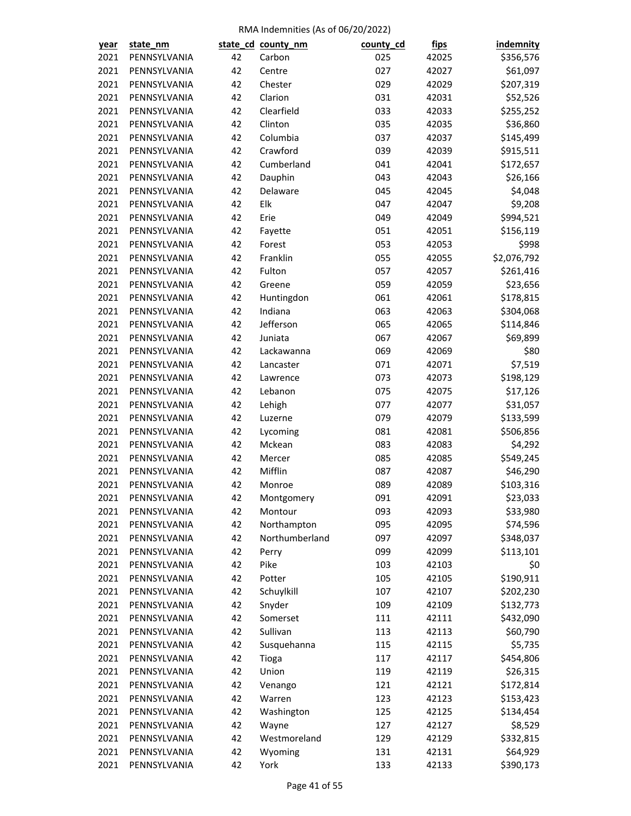| <u>year</u> | state_nm                     |    | state_cd_county_nm    | county_cd  | <u>fips</u> | <b>indemnity</b> |
|-------------|------------------------------|----|-----------------------|------------|-------------|------------------|
| 2021        | PENNSYLVANIA                 | 42 | Carbon                | 025        | 42025       | \$356,576        |
| 2021        | PENNSYLVANIA                 | 42 | Centre                | 027        | 42027       | \$61,097         |
| 2021        | PENNSYLVANIA                 | 42 | Chester               | 029        | 42029       | \$207,319        |
| 2021        | PENNSYLVANIA                 | 42 | Clarion               | 031        | 42031       | \$52,526         |
| 2021        | PENNSYLVANIA                 | 42 | Clearfield            | 033        | 42033       | \$255,252        |
| 2021        | PENNSYLVANIA                 | 42 | Clinton               | 035        | 42035       | \$36,860         |
| 2021        | PENNSYLVANIA                 | 42 | Columbia              | 037        | 42037       | \$145,499        |
| 2021        | PENNSYLVANIA                 | 42 | Crawford              | 039        | 42039       | \$915,511        |
| 2021        | PENNSYLVANIA                 | 42 | Cumberland            | 041        | 42041       | \$172,657        |
| 2021        | PENNSYLVANIA                 | 42 | Dauphin               | 043        | 42043       | \$26,166         |
| 2021        | PENNSYLVANIA                 | 42 | Delaware              | 045        | 42045       | \$4,048          |
| 2021        | PENNSYLVANIA                 | 42 | Elk                   | 047        | 42047       | \$9,208          |
| 2021        | PENNSYLVANIA                 | 42 | Erie                  | 049        | 42049       | \$994,521        |
| 2021        | PENNSYLVANIA                 | 42 | Fayette               | 051        | 42051       | \$156,119        |
| 2021        | PENNSYLVANIA                 | 42 | Forest                | 053        | 42053       | \$998            |
| 2021        | PENNSYLVANIA                 | 42 | Franklin              | 055        | 42055       | \$2,076,792      |
| 2021        | PENNSYLVANIA                 | 42 | Fulton                | 057        | 42057       | \$261,416        |
| 2021        | PENNSYLVANIA                 | 42 | Greene                | 059        | 42059       | \$23,656         |
| 2021        | PENNSYLVANIA                 | 42 | Huntingdon            | 061        | 42061       | \$178,815        |
| 2021        | PENNSYLVANIA                 | 42 | Indiana               | 063        | 42063       | \$304,068        |
| 2021        | PENNSYLVANIA                 | 42 | Jefferson             | 065        | 42065       | \$114,846        |
| 2021        | PENNSYLVANIA                 | 42 | Juniata               | 067        | 42067       | \$69,899         |
| 2021        | PENNSYLVANIA                 | 42 | Lackawanna            | 069        | 42069       | \$80             |
| 2021        | PENNSYLVANIA                 | 42 | Lancaster             | 071        | 42071       | \$7,519          |
| 2021        | PENNSYLVANIA                 | 42 | Lawrence              | 073        | 42073       | \$198,129        |
| 2021        | PENNSYLVANIA                 | 42 | Lebanon               | 075        | 42075       | \$17,126         |
| 2021        | PENNSYLVANIA                 | 42 | Lehigh                | 077        | 42077       | \$31,057         |
| 2021        | PENNSYLVANIA                 | 42 | Luzerne               | 079        | 42079       | \$133,599        |
| 2021        | PENNSYLVANIA                 | 42 | Lycoming              | 081        | 42081       | \$506,856        |
| 2021        | PENNSYLVANIA                 | 42 | Mckean                | 083        | 42083       | \$4,292          |
| 2021        | PENNSYLVANIA                 | 42 | Mercer                | 085        | 42085       | \$549,245        |
| 2021        | PENNSYLVANIA                 | 42 | Mifflin               | 087        | 42087       | \$46,290         |
| 2021        | PENNSYLVANIA                 | 42 | Monroe                | 089        | 42089       | \$103,316        |
| 2021        | PENNSYLVANIA                 | 42 | Montgomery            | 091        | 42091       | \$23,033         |
| 2021        | PENNSYLVANIA                 | 42 | Montour               | 093        | 42093       | \$33,980         |
| 2021        | PENNSYLVANIA                 | 42 | Northampton           | 095        | 42095       | \$74,596         |
| 2021        | PENNSYLVANIA                 | 42 | Northumberland        | 097        | 42097       | \$348,037        |
| 2021        | PENNSYLVANIA                 | 42 | Perry                 | 099        | 42099       | \$113,101        |
| 2021        | PENNSYLVANIA                 | 42 | Pike                  | 103        | 42103       | \$0              |
| 2021        | PENNSYLVANIA                 | 42 | Potter                | 105        | 42105       | \$190,911        |
| 2021        | PENNSYLVANIA                 | 42 | Schuylkill            | 107        | 42107       | \$202,230        |
| 2021        | PENNSYLVANIA                 | 42 | Snyder                | 109        | 42109       | \$132,773        |
| 2021        | PENNSYLVANIA                 | 42 | Somerset              | 111        | 42111       | \$432,090        |
| 2021        | PENNSYLVANIA                 | 42 | Sullivan              | 113        | 42113       | \$60,790         |
| 2021        | PENNSYLVANIA                 | 42 | Susquehanna           | 115        | 42115       | \$5,735          |
| 2021        | PENNSYLVANIA                 | 42 | Tioga                 | 117        | 42117       | \$454,806        |
| 2021        | PENNSYLVANIA                 | 42 | Union                 | 119        | 42119       | \$26,315         |
| 2021        | PENNSYLVANIA                 | 42 | Venango               | 121        | 42121       | \$172,814        |
| 2021        | PENNSYLVANIA                 | 42 | Warren                | 123        | 42123       | \$153,423        |
| 2021        | PENNSYLVANIA                 | 42 | Washington            | 125        | 42125       | \$134,454        |
| 2021        | PENNSYLVANIA                 | 42 |                       | 127        | 42127       | \$8,529          |
| 2021        |                              | 42 | Wayne<br>Westmoreland |            | 42129       | \$332,815        |
| 2021        | PENNSYLVANIA<br>PENNSYLVANIA | 42 | Wyoming               | 129<br>131 | 42131       | \$64,929         |
| 2021        | PENNSYLVANIA                 | 42 | York                  | 133        |             |                  |
|             |                              |    |                       |            | 42133       | \$390,173        |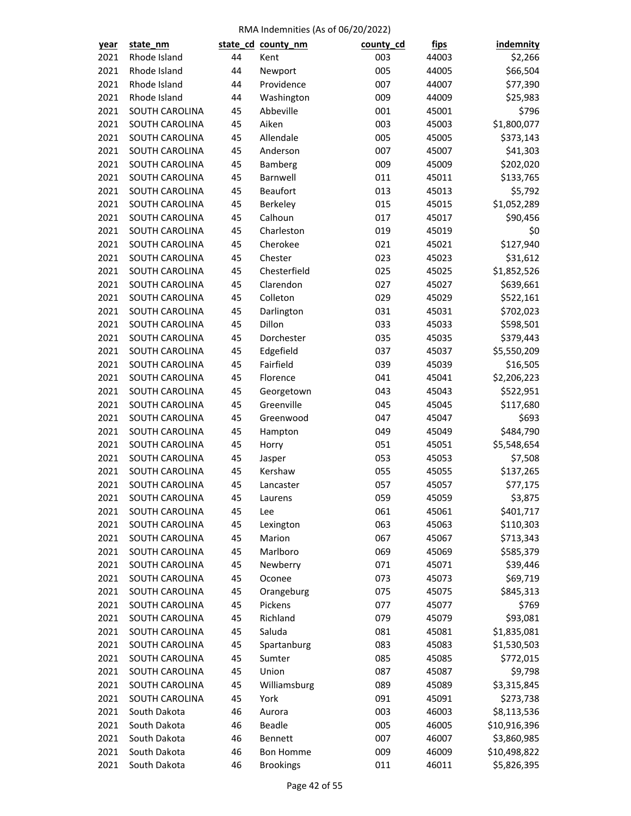| year | state_nm                         |    | state_cd_county_nm  | county_cd  | <u>fips</u>    | <b>indemnity</b> |
|------|----------------------------------|----|---------------------|------------|----------------|------------------|
| 2021 | Rhode Island                     | 44 | Kent                | 003        | 44003          | \$2,266          |
| 2021 | Rhode Island                     | 44 | Newport             | 005        | 44005          | \$66,504         |
| 2021 | Rhode Island                     | 44 | Providence          | 007        | 44007          | \$77,390         |
| 2021 | Rhode Island                     | 44 | Washington          | 009        | 44009          | \$25,983         |
| 2021 | SOUTH CAROLINA                   | 45 | Abbeville           | 001        | 45001          | \$796            |
| 2021 | SOUTH CAROLINA                   | 45 | Aiken               | 003        | 45003          | \$1,800,077      |
| 2021 | SOUTH CAROLINA                   | 45 | Allendale           | 005        | 45005          | \$373,143        |
| 2021 | SOUTH CAROLINA                   | 45 | Anderson            | 007        | 45007          | \$41,303         |
| 2021 | SOUTH CAROLINA                   | 45 | Bamberg             | 009        | 45009          | \$202,020        |
| 2021 | SOUTH CAROLINA                   | 45 | Barnwell            | 011        | 45011          | \$133,765        |
| 2021 | SOUTH CAROLINA                   | 45 | <b>Beaufort</b>     | 013        | 45013          | \$5,792          |
| 2021 | SOUTH CAROLINA                   | 45 | Berkeley            | 015        | 45015          | \$1,052,289      |
| 2021 | SOUTH CAROLINA                   | 45 | Calhoun             | 017        | 45017          | \$90,456         |
| 2021 | SOUTH CAROLINA                   | 45 | Charleston          | 019        | 45019          | \$0              |
| 2021 | SOUTH CAROLINA                   | 45 | Cherokee            | 021        | 45021          | \$127,940        |
| 2021 | SOUTH CAROLINA                   | 45 | Chester             | 023        | 45023          | \$31,612         |
| 2021 | SOUTH CAROLINA                   | 45 | Chesterfield        | 025        | 45025          | \$1,852,526      |
| 2021 | <b>SOUTH CAROLINA</b>            | 45 | Clarendon           | 027        | 45027          | \$639,661        |
| 2021 | SOUTH CAROLINA                   | 45 | Colleton            | 029        | 45029          | \$522,161        |
| 2021 | SOUTH CAROLINA                   | 45 | Darlington          | 031        | 45031          | \$702,023        |
| 2021 | SOUTH CAROLINA                   | 45 | Dillon              | 033        | 45033          | \$598,501        |
| 2021 | SOUTH CAROLINA                   | 45 | Dorchester          | 035        | 45035          | \$379,443        |
| 2021 | SOUTH CAROLINA                   | 45 | Edgefield           | 037        | 45037          | \$5,550,209      |
| 2021 | SOUTH CAROLINA                   | 45 | Fairfield           | 039        | 45039          | \$16,505         |
| 2021 | SOUTH CAROLINA                   | 45 | Florence            | 041        | 45041          | \$2,206,223      |
| 2021 | SOUTH CAROLINA                   | 45 | Georgetown          | 043        | 45043          | \$522,951        |
| 2021 | SOUTH CAROLINA                   | 45 | Greenville          | 045        | 45045          | \$117,680        |
| 2021 | SOUTH CAROLINA                   | 45 | Greenwood           | 047        | 45047          | \$693            |
| 2021 | SOUTH CAROLINA                   | 45 | Hampton             | 049        | 45049          | \$484,790        |
| 2021 | SOUTH CAROLINA                   | 45 | Horry               | 051        | 45051          | \$5,548,654      |
| 2021 | SOUTH CAROLINA                   | 45 | Jasper              | 053        | 45053          | \$7,508          |
| 2021 | SOUTH CAROLINA                   | 45 | Kershaw             | 055        | 45055          | \$137,265        |
| 2021 | SOUTH CAROLINA                   | 45 | Lancaster           | 057        | 45057          | \$77,175         |
| 2021 | SOUTH CAROLINA                   | 45 | Laurens             | 059        | 45059          | \$3,875          |
| 2021 | SOUTH CAROLINA                   | 45 | Lee                 | 061        | 45061          | \$401,717        |
| 2021 | SOUTH CAROLINA                   | 45 | Lexington           | 063        | 45063          | \$110,303        |
| 2021 | SOUTH CAROLINA                   | 45 | Marion              | 067        | 45067          | \$713,343        |
| 2021 | SOUTH CAROLINA                   | 45 | Marlboro            | 069        | 45069          | \$585,379        |
| 2021 |                                  | 45 |                     |            |                |                  |
| 2021 | SOUTH CAROLINA                   | 45 | Newberry            | 071        | 45071          | \$39,446         |
| 2021 | SOUTH CAROLINA<br>SOUTH CAROLINA | 45 | Oconee              | 073<br>075 | 45073<br>45075 | \$69,719         |
|      |                                  |    | Orangeburg          |            |                | \$845,313        |
| 2021 | SOUTH CAROLINA                   | 45 | Pickens<br>Richland | 077        | 45077          | \$769            |
| 2021 | SOUTH CAROLINA                   | 45 |                     | 079        | 45079          | \$93,081         |
| 2021 | SOUTH CAROLINA                   | 45 | Saluda              | 081        | 45081          | \$1,835,081      |
| 2021 | SOUTH CAROLINA                   | 45 | Spartanburg         | 083        | 45083          | \$1,530,503      |
| 2021 | SOUTH CAROLINA                   | 45 | Sumter              | 085        | 45085          | \$772,015        |
| 2021 | SOUTH CAROLINA                   | 45 | Union               | 087        | 45087          | \$9,798          |
| 2021 | SOUTH CAROLINA                   | 45 | Williamsburg        | 089        | 45089          | \$3,315,845      |
| 2021 | SOUTH CAROLINA                   | 45 | York                | 091        | 45091          | \$273,738        |
| 2021 | South Dakota                     | 46 | Aurora              | 003        | 46003          | \$8,113,536      |
| 2021 | South Dakota                     | 46 | Beadle              | 005        | 46005          | \$10,916,396     |
| 2021 | South Dakota                     | 46 | Bennett             | 007        | 46007          | \$3,860,985      |
| 2021 | South Dakota                     | 46 | <b>Bon Homme</b>    | 009        | 46009          | \$10,498,822     |
| 2021 | South Dakota                     | 46 | <b>Brookings</b>    | 011        | 46011          | \$5,826,395      |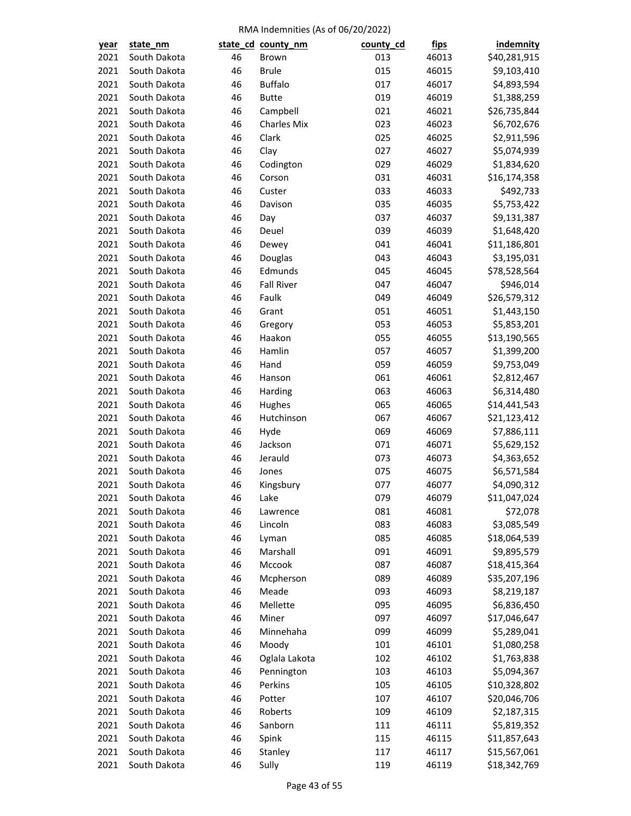| <u>year</u> | state_nm     |    | state_cd_county_nm | county_cd | <u>fips</u> | indemnity    |
|-------------|--------------|----|--------------------|-----------|-------------|--------------|
| 2021        | South Dakota | 46 | Brown              | 013       | 46013       | \$40,281,915 |
| 2021        | South Dakota | 46 | <b>Brule</b>       | 015       | 46015       | \$9,103,410  |
| 2021        | South Dakota | 46 | <b>Buffalo</b>     | 017       | 46017       | \$4,893,594  |
| 2021        | South Dakota | 46 | <b>Butte</b>       | 019       | 46019       | \$1,388,259  |
| 2021        | South Dakota | 46 | Campbell           | 021       | 46021       | \$26,735,844 |
| 2021        | South Dakota | 46 | <b>Charles Mix</b> | 023       | 46023       | \$6,702,676  |
| 2021        | South Dakota | 46 | Clark              | 025       | 46025       | \$2,911,596  |
| 2021        | South Dakota | 46 | Clay               | 027       | 46027       | \$5,074,939  |
| 2021        | South Dakota | 46 | Codington          | 029       | 46029       | \$1,834,620  |
| 2021        | South Dakota | 46 | Corson             | 031       | 46031       | \$16,174,358 |
| 2021        | South Dakota | 46 | Custer             | 033       | 46033       | \$492,733    |
| 2021        | South Dakota | 46 | Davison            | 035       | 46035       | \$5,753,422  |
| 2021        | South Dakota | 46 | Day                | 037       | 46037       | \$9,131,387  |
| 2021        | South Dakota | 46 | Deuel              | 039       | 46039       | \$1,648,420  |
| 2021        | South Dakota | 46 | Dewey              | 041       | 46041       | \$11,186,801 |
| 2021        | South Dakota | 46 | Douglas            | 043       | 46043       | \$3,195,031  |
| 2021        | South Dakota | 46 | Edmunds            | 045       | 46045       | \$78,528,564 |
| 2021        | South Dakota | 46 | <b>Fall River</b>  | 047       | 46047       | \$946,014    |
| 2021        | South Dakota | 46 | Faulk              | 049       | 46049       | \$26,579,312 |
| 2021        | South Dakota | 46 | Grant              | 051       | 46051       | \$1,443,150  |
| 2021        | South Dakota | 46 | Gregory            | 053       | 46053       | \$5,853,201  |
| 2021        | South Dakota | 46 | Haakon             | 055       | 46055       | \$13,190,565 |
| 2021        | South Dakota | 46 | Hamlin             | 057       | 46057       | \$1,399,200  |
| 2021        | South Dakota | 46 | Hand               | 059       | 46059       | \$9,753,049  |
| 2021        | South Dakota | 46 | Hanson             | 061       | 46061       | \$2,812,467  |
| 2021        | South Dakota | 46 | Harding            | 063       | 46063       | \$6,314,480  |
| 2021        | South Dakota | 46 | Hughes             | 065       | 46065       | \$14,441,543 |
| 2021        | South Dakota | 46 | Hutchinson         | 067       | 46067       | \$21,123,412 |
| 2021        | South Dakota | 46 | Hyde               | 069       | 46069       | \$7,886,111  |
| 2021        | South Dakota | 46 | Jackson            | 071       | 46071       | \$5,629,152  |
| 2021        | South Dakota | 46 | Jerauld            | 073       | 46073       | \$4,363,652  |
| 2021        | South Dakota | 46 | Jones              | 075       | 46075       | \$6,571,584  |
| 2021        | South Dakota | 46 | Kingsbury          | 077       | 46077       | \$4,090,312  |
| 2021        | South Dakota | 46 | Lake               | 079       | 46079       | \$11,047,024 |
| 2021        | South Dakota | 46 | Lawrence           | 081       | 46081       | \$72,078     |
| 2021        | South Dakota | 46 | Lincoln            | 083       | 46083       | \$3,085,549  |
| 2021        | South Dakota | 46 | Lyman              | 085       | 46085       | \$18,064,539 |
| 2021        | South Dakota | 46 | Marshall           | 091       | 46091       | \$9,895,579  |
| 2021        | South Dakota | 46 | Mccook             | 087       | 46087       | \$18,415,364 |
| 2021        | South Dakota | 46 | Mcpherson          | 089       | 46089       | \$35,207,196 |
| 2021        | South Dakota | 46 | Meade              | 093       | 46093       | \$8,219,187  |
| 2021        | South Dakota | 46 | Mellette           | 095       | 46095       | \$6,836,450  |
| 2021        | South Dakota | 46 | Miner              | 097       | 46097       | \$17,046,647 |
| 2021        | South Dakota | 46 | Minnehaha          | 099       | 46099       | \$5,289,041  |
| 2021        | South Dakota | 46 | Moody              | 101       | 46101       | \$1,080,258  |
| 2021        | South Dakota | 46 | Oglala Lakota      | 102       | 46102       | \$1,763,838  |
| 2021        | South Dakota | 46 | Pennington         | 103       | 46103       | \$5,094,367  |
| 2021        | South Dakota | 46 | Perkins            | 105       |             |              |
| 2021        | South Dakota | 46 |                    | 107       | 46105       | \$10,328,802 |
|             | South Dakota | 46 | Potter<br>Roberts  | 109       | 46107       | \$20,046,706 |
| 2021        | South Dakota | 46 | Sanborn            | 111       | 46109       | \$2,187,315  |
| 2021        |              |    |                    |           | 46111       | \$5,819,352  |
| 2021        | South Dakota | 46 | Spink              | 115       | 46115       | \$11,857,643 |
| 2021        | South Dakota | 46 | Stanley            | 117       | 46117       | \$15,567,061 |
| 2021        | South Dakota | 46 | Sully              | 119       | 46119       | \$18,342,769 |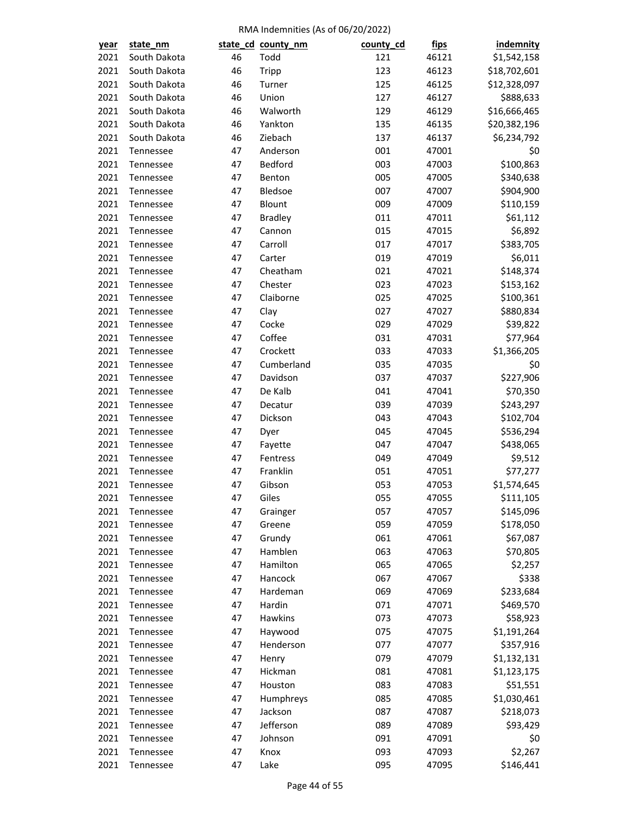| <u>year</u> | state_nm               |    | state_cd_county_nm | county_cd | <u>fips</u>    | indemnity    |
|-------------|------------------------|----|--------------------|-----------|----------------|--------------|
| 2021        | South Dakota           | 46 | Todd               | 121       | 46121          | \$1,542,158  |
| 2021        | South Dakota           | 46 | <b>Tripp</b>       | 123       | 46123          | \$18,702,601 |
| 2021        | South Dakota           | 46 | Turner             | 125       | 46125          | \$12,328,097 |
| 2021        | South Dakota           | 46 | Union              | 127       | 46127          | \$888,633    |
| 2021        | South Dakota           | 46 | Walworth           | 129       | 46129          | \$16,666,465 |
| 2021        | South Dakota           | 46 | Yankton            | 135       | 46135          | \$20,382,196 |
| 2021        | South Dakota           | 46 | Ziebach            | 137       | 46137          | \$6,234,792  |
| 2021        | Tennessee              | 47 | Anderson           | 001       | 47001          | \$0          |
| 2021        | Tennessee              | 47 | Bedford            | 003       | 47003          | \$100,863    |
| 2021        | Tennessee              | 47 | Benton             | 005       | 47005          | \$340,638    |
| 2021        | Tennessee              | 47 | Bledsoe            | 007       | 47007          | \$904,900    |
| 2021        | Tennessee              | 47 | Blount             | 009       | 47009          | \$110,159    |
| 2021        | Tennessee              | 47 | <b>Bradley</b>     | 011       | 47011          | \$61,112     |
| 2021        | Tennessee              | 47 | Cannon             | 015       | 47015          | \$6,892      |
| 2021        | Tennessee              | 47 | Carroll            | 017       | 47017          | \$383,705    |
| 2021        | Tennessee              | 47 | Carter             | 019       | 47019          | \$6,011      |
| 2021        | Tennessee              | 47 | Cheatham           | 021       | 47021          | \$148,374    |
| 2021        | Tennessee              | 47 | Chester            | 023       | 47023          | \$153,162    |
| 2021        | Tennessee              | 47 | Claiborne          | 025       | 47025          | \$100,361    |
| 2021        | Tennessee              | 47 | Clay               | 027       | 47027          | \$880,834    |
| 2021        | Tennessee              | 47 | Cocke              | 029       | 47029          | \$39,822     |
| 2021        | Tennessee              | 47 | Coffee             | 031       | 47031          | \$77,964     |
| 2021        | Tennessee              | 47 | Crockett           | 033       | 47033          | \$1,366,205  |
| 2021        | Tennessee              | 47 | Cumberland         | 035       | 47035          | \$0          |
| 2021        | Tennessee              | 47 | Davidson           | 037       | 47037          | \$227,906    |
| 2021        | Tennessee              | 47 | De Kalb            | 041       | 47041          | \$70,350     |
| 2021        | Tennessee              | 47 | Decatur            | 039       | 47039          | \$243,297    |
| 2021        | Tennessee              | 47 | Dickson            | 043       | 47043          | \$102,704    |
| 2021        | Tennessee              | 47 | Dyer               | 045       | 47045          | \$536,294    |
| 2021        | Tennessee              | 47 | Fayette            | 047       | 47047          | \$438,065    |
| 2021        | Tennessee              | 47 | Fentress           | 049       | 47049          | \$9,512      |
| 2021        |                        | 47 | Franklin           | 051       |                | \$77,277     |
| 2021        | Tennessee<br>Tennessee | 47 | Gibson             | 053       | 47051<br>47053 | \$1,574,645  |
|             |                        | 47 |                    |           |                |              |
| 2021        | Tennessee              |    | Giles              | 055       | 47055          | \$111,105    |
| 2021        | Tennessee              | 47 | Grainger           | 057       | 47057          | \$145,096    |
| 2021        | Tennessee              | 47 | Greene             | 059       | 47059          | \$178,050    |
| 2021        | Tennessee              | 47 | Grundy             | 061       | 47061          | \$67,087     |
| 2021        | Tennessee              | 47 | Hamblen            | 063       | 47063          | \$70,805     |
| 2021        | Tennessee              | 47 | Hamilton           | 065       | 47065          | \$2,257      |
| 2021        | Tennessee              | 47 | Hancock            | 067       | 47067          | \$338        |
| 2021        | Tennessee              | 47 | Hardeman           | 069       | 47069          | \$233,684    |
| 2021        | Tennessee              | 47 | Hardin             | 071       | 47071          | \$469,570    |
| 2021        | Tennessee              | 47 | Hawkins            | 073       | 47073          | \$58,923     |
| 2021        | Tennessee              | 47 | Haywood            | 075       | 47075          | \$1,191,264  |
| 2021        | Tennessee              | 47 | Henderson          | 077       | 47077          | \$357,916    |
| 2021        | Tennessee              | 47 | Henry              | 079       | 47079          | \$1,132,131  |
| 2021        | Tennessee              | 47 | Hickman            | 081       | 47081          | \$1,123,175  |
| 2021        | Tennessee              | 47 | Houston            | 083       | 47083          | \$51,551     |
| 2021        | Tennessee              | 47 | Humphreys          | 085       | 47085          | \$1,030,461  |
| 2021        | Tennessee              | 47 | Jackson            | 087       | 47087          | \$218,073    |
| 2021        | Tennessee              | 47 | Jefferson          | 089       | 47089          | \$93,429     |
| 2021        | Tennessee              | 47 | Johnson            | 091       | 47091          | \$0          |
| 2021        | Tennessee              | 47 | Knox               | 093       | 47093          | \$2,267      |
| 2021        | Tennessee              | 47 | Lake               | 095       | 47095          | \$146,441    |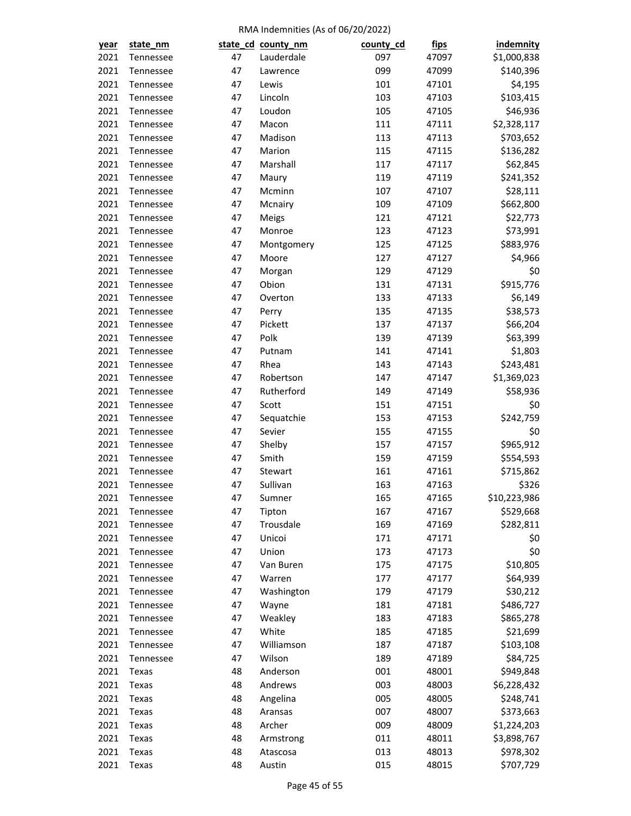| <u>year</u> | state_nm  |    | state_cd_county_nm | county_cd  | <u>fips</u> | indemnity    |
|-------------|-----------|----|--------------------|------------|-------------|--------------|
| 2021        | Tennessee | 47 | Lauderdale         | 097        | 47097       | \$1,000,838  |
| 2021        | Tennessee | 47 | Lawrence           | 099        | 47099       | \$140,396    |
| 2021        | Tennessee | 47 | Lewis              | 101        | 47101       | \$4,195      |
| 2021        | Tennessee | 47 | Lincoln            | 103        | 47103       | \$103,415    |
| 2021        | Tennessee | 47 | Loudon             | 105        | 47105       | \$46,936     |
| 2021        | Tennessee | 47 | Macon              | 111        | 47111       | \$2,328,117  |
| 2021        | Tennessee | 47 | Madison            | 113        | 47113       | \$703,652    |
| 2021        | Tennessee | 47 | Marion             | 115        | 47115       | \$136,282    |
| 2021        | Tennessee | 47 | Marshall           | 117        | 47117       | \$62,845     |
| 2021        | Tennessee | 47 | Maury              | 119        | 47119       | \$241,352    |
| 2021        | Tennessee | 47 | Mcminn             | 107        | 47107       | \$28,111     |
| 2021        | Tennessee | 47 | Mcnairy            | 109        | 47109       | \$662,800    |
| 2021        | Tennessee | 47 | Meigs              | 121        | 47121       | \$22,773     |
| 2021        | Tennessee | 47 | Monroe             | 123        | 47123       | \$73,991     |
| 2021        | Tennessee | 47 | Montgomery         | 125        | 47125       | \$883,976    |
| 2021        | Tennessee | 47 | Moore              | 127        | 47127       | \$4,966      |
| 2021        | Tennessee | 47 | Morgan             | 129        | 47129       | \$0          |
| 2021        | Tennessee | 47 | Obion              | 131        | 47131       | \$915,776    |
| 2021        | Tennessee | 47 | Overton            | 133        | 47133       | \$6,149      |
| 2021        | Tennessee | 47 | Perry              | 135        | 47135       | \$38,573     |
| 2021        | Tennessee | 47 | Pickett            | 137        | 47137       | \$66,204     |
| 2021        | Tennessee | 47 | Polk               | 139        | 47139       | \$63,399     |
| 2021        | Tennessee | 47 | Putnam             | 141        | 47141       | \$1,803      |
| 2021        | Tennessee | 47 | Rhea               | 143        | 47143       | \$243,481    |
| 2021        | Tennessee | 47 | Robertson          | 147        | 47147       | \$1,369,023  |
| 2021        | Tennessee | 47 | Rutherford         | 149        | 47149       | \$58,936     |
| 2021        | Tennessee | 47 | Scott              | 151        | 47151       | \$0          |
| 2021        | Tennessee | 47 | Sequatchie         | 153        | 47153       | \$242,759    |
| 2021        | Tennessee | 47 | Sevier             | 155        | 47155       | \$0          |
| 2021        | Tennessee | 47 | Shelby             | 157        | 47157       | \$965,912    |
| 2021        | Tennessee | 47 | Smith              | 159        | 47159       | \$554,593    |
| 2021        | Tennessee | 47 | Stewart            | 161        | 47161       | \$715,862    |
| 2021        | Tennessee | 47 | Sullivan           | 163        | 47163       | \$326        |
| 2021        | Tennessee | 47 | Sumner             | 165        | 47165       | \$10,223,986 |
| 2021        | Tennessee | 47 | Tipton             | 167        | 47167       | \$529,668    |
| 2021        | Tennessee | 47 | Trousdale          | 169        | 47169       | \$282,811    |
| 2021        | Tennessee | 47 | Unicoi             | 171        | 47171       | \$0          |
| 2021        | Tennessee | 47 | Union              | 173        | 47173       | \$0          |
| 2021        | Tennessee | 47 | Van Buren          | 175        | 47175       | \$10,805     |
| 2021        | Tennessee | 47 | Warren             | 177        | 47177       | \$64,939     |
| 2021        | Tennessee | 47 | Washington         | 179        | 47179       | \$30,212     |
| 2021        | Tennessee | 47 | Wayne              | 181        | 47181       | \$486,727    |
| 2021        | Tennessee | 47 | Weakley            | 183        | 47183       | \$865,278    |
| 2021        | Tennessee | 47 | White              | 185        | 47185       | \$21,699     |
| 2021        | Tennessee | 47 | Williamson         | 187        | 47187       | \$103,108    |
| 2021        | Tennessee | 47 | Wilson             | 189        | 47189       | \$84,725     |
| 2021        | Texas     | 48 | Anderson           | 001        | 48001       | \$949,848    |
| 2021        |           | 48 | Andrews            | 003        |             |              |
|             | Texas     |    |                    |            | 48003       | \$6,228,432  |
| 2021        | Texas     | 48 | Angelina           | 005<br>007 | 48005       | \$248,741    |
| 2021        | Texas     | 48 | Aransas            |            | 48007       | \$373,663    |
| 2021        | Texas     | 48 | Archer             | 009        | 48009       | \$1,224,203  |
| 2021        | Texas     | 48 | Armstrong          | 011        | 48011       | \$3,898,767  |
| 2021        | Texas     | 48 | Atascosa           | 013        | 48013       | \$978,302    |
| 2021        | Texas     | 48 | Austin             | 015        | 48015       | \$707,729    |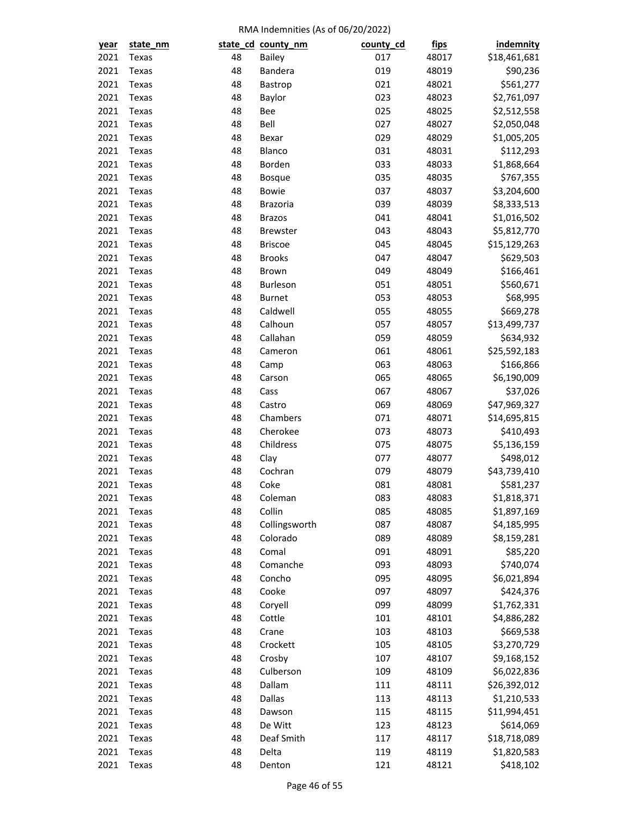| year | state_nm |    | state_cd_county_nm | county_cd | <u>fips</u> | <b>indemnity</b> |
|------|----------|----|--------------------|-----------|-------------|------------------|
| 2021 | Texas    | 48 | <b>Bailey</b>      | 017       | 48017       | \$18,461,681     |
| 2021 | Texas    | 48 | Bandera            | 019       | 48019       | \$90,236         |
| 2021 | Texas    | 48 | Bastrop            | 021       | 48021       | \$561,277        |
| 2021 | Texas    | 48 | Baylor             | 023       | 48023       | \$2,761,097      |
| 2021 | Texas    | 48 | Bee                | 025       | 48025       | \$2,512,558      |
| 2021 | Texas    | 48 | Bell               | 027       | 48027       | \$2,050,048      |
| 2021 | Texas    | 48 | Bexar              | 029       | 48029       | \$1,005,205      |
| 2021 | Texas    | 48 | Blanco             | 031       | 48031       | \$112,293        |
| 2021 | Texas    | 48 | Borden             | 033       | 48033       | \$1,868,664      |
| 2021 | Texas    | 48 | <b>Bosque</b>      | 035       | 48035       | \$767,355        |
| 2021 | Texas    | 48 | Bowie              | 037       | 48037       | \$3,204,600      |
| 2021 | Texas    | 48 | <b>Brazoria</b>    | 039       | 48039       | \$8,333,513      |
| 2021 | Texas    | 48 | <b>Brazos</b>      | 041       | 48041       | \$1,016,502      |
| 2021 | Texas    | 48 | <b>Brewster</b>    | 043       | 48043       | \$5,812,770      |
| 2021 | Texas    | 48 | <b>Briscoe</b>     | 045       | 48045       | \$15,129,263     |
| 2021 | Texas    | 48 | <b>Brooks</b>      | 047       | 48047       | \$629,503        |
| 2021 | Texas    | 48 | Brown              | 049       | 48049       | \$166,461        |
| 2021 | Texas    | 48 | Burleson           | 051       | 48051       | \$560,671        |
| 2021 | Texas    | 48 | Burnet             | 053       | 48053       | \$68,995         |
| 2021 | Texas    | 48 | Caldwell           | 055       | 48055       | \$669,278        |
| 2021 | Texas    | 48 | Calhoun            | 057       | 48057       | \$13,499,737     |
| 2021 | Texas    | 48 | Callahan           | 059       | 48059       | \$634,932        |
| 2021 | Texas    | 48 | Cameron            | 061       | 48061       | \$25,592,183     |
| 2021 | Texas    | 48 | Camp               | 063       | 48063       | \$166,866        |
| 2021 | Texas    | 48 | Carson             | 065       | 48065       | \$6,190,009      |
| 2021 | Texas    | 48 | Cass               | 067       | 48067       | \$37,026         |
| 2021 | Texas    | 48 | Castro             | 069       | 48069       | \$47,969,327     |
| 2021 | Texas    | 48 | Chambers           | 071       | 48071       | \$14,695,815     |
| 2021 | Texas    | 48 | Cherokee           | 073       | 48073       | \$410,493        |
| 2021 | Texas    | 48 | Childress          | 075       | 48075       | \$5,136,159      |
| 2021 | Texas    | 48 | Clay               | 077       | 48077       | \$498,012        |
| 2021 | Texas    | 48 | Cochran            | 079       | 48079       | \$43,739,410     |
| 2021 | Texas    | 48 | Coke               | 081       | 48081       | \$581,237        |
| 2021 | Texas    | 48 | Coleman            | 083       | 48083       | \$1,818,371      |
| 2021 | Texas    | 48 | Collin             | 085       | 48085       | \$1,897,169      |
| 2021 | Texas    | 48 | Collingsworth      | 087       | 48087       | \$4,185,995      |
| 2021 | Texas    | 48 | Colorado           | 089       | 48089       | \$8,159,281      |
| 2021 | Texas    | 48 | Comal              | 091       | 48091       | \$85,220         |
| 2021 | Texas    | 48 | Comanche           | 093       | 48093       | \$740,074        |
| 2021 | Texas    | 48 | Concho             | 095       | 48095       | \$6,021,894      |
| 2021 | Texas    | 48 | Cooke              | 097       | 48097       | \$424,376        |
| 2021 | Texas    | 48 | Coryell            | 099       | 48099       | \$1,762,331      |
| 2021 | Texas    | 48 | Cottle             | 101       | 48101       | \$4,886,282      |
| 2021 | Texas    | 48 | Crane              | 103       | 48103       | \$669,538        |
| 2021 | Texas    | 48 | Crockett           | 105       | 48105       | \$3,270,729      |
| 2021 | Texas    | 48 | Crosby             | 107       | 48107       | \$9,168,152      |
| 2021 | Texas    | 48 | Culberson          | 109       | 48109       | \$6,022,836      |
| 2021 | Texas    | 48 | Dallam             | 111       | 48111       | \$26,392,012     |
| 2021 | Texas    | 48 | Dallas             | 113       | 48113       | \$1,210,533      |
| 2021 | Texas    | 48 | Dawson             | 115       | 48115       | \$11,994,451     |
| 2021 | Texas    | 48 | De Witt            | 123       | 48123       | \$614,069        |
| 2021 | Texas    | 48 | Deaf Smith         | 117       | 48117       | \$18,718,089     |
| 2021 | Texas    | 48 | Delta              | 119       | 48119       | \$1,820,583      |
| 2021 | Texas    | 48 | Denton             | 121       | 48121       | \$418,102        |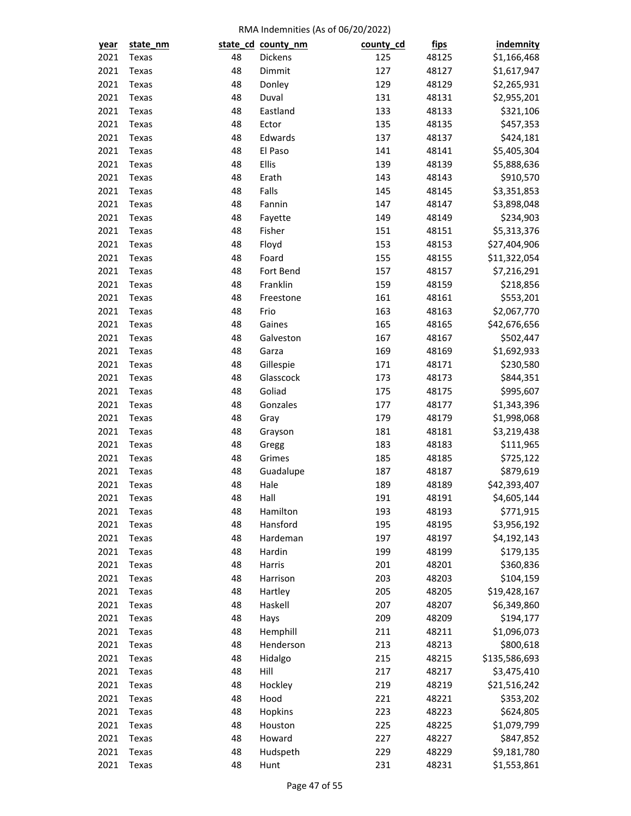| year | state_nm |          | state_cd_county_nm | county_cd  | <u>fips</u> | indemnity                 |
|------|----------|----------|--------------------|------------|-------------|---------------------------|
| 2021 | Texas    | 48       | Dickens            | 125        | 48125       | \$1,166,468               |
| 2021 | Texas    | 48       | Dimmit             | 127        | 48127       | \$1,617,947               |
| 2021 | Texas    | 48       | Donley             | 129        | 48129       | \$2,265,931               |
| 2021 | Texas    | 48       | Duval              | 131        | 48131       | \$2,955,201               |
| 2021 | Texas    | 48       | Eastland           | 133        | 48133       | \$321,106                 |
| 2021 | Texas    | 48       | Ector              | 135        | 48135       | \$457,353                 |
| 2021 | Texas    | 48       | Edwards            | 137        | 48137       | \$424,181                 |
| 2021 | Texas    | 48       | El Paso            | 141        | 48141       | \$5,405,304               |
| 2021 | Texas    | 48       | Ellis              | 139        | 48139       | \$5,888,636               |
| 2021 | Texas    | 48       | Erath              | 143        | 48143       | \$910,570                 |
| 2021 | Texas    | 48       | Falls              | 145        | 48145       | \$3,351,853               |
| 2021 | Texas    | 48       | Fannin             | 147        | 48147       | \$3,898,048               |
| 2021 | Texas    | 48       | Fayette            | 149        | 48149       | \$234,903                 |
| 2021 | Texas    | 48       | Fisher             | 151        | 48151       | \$5,313,376               |
| 2021 | Texas    | 48       | Floyd              | 153        | 48153       | \$27,404,906              |
| 2021 | Texas    | 48       | Foard              | 155        | 48155       | \$11,322,054              |
| 2021 | Texas    | 48       | Fort Bend          | 157        | 48157       | \$7,216,291               |
| 2021 | Texas    | 48       | Franklin           | 159        | 48159       | \$218,856                 |
| 2021 | Texas    | 48       | Freestone          | 161        | 48161       | \$553,201                 |
| 2021 | Texas    | 48       | Frio               | 163        | 48163       | \$2,067,770               |
| 2021 | Texas    | 48       | Gaines             | 165        | 48165       | \$42,676,656              |
| 2021 | Texas    | 48       | Galveston          | 167        | 48167       | \$502,447                 |
| 2021 | Texas    | 48       | Garza              | 169        | 48169       | \$1,692,933               |
| 2021 | Texas    | 48       | Gillespie          | 171        | 48171       | \$230,580                 |
| 2021 | Texas    | 48       | Glasscock          | 173        | 48173       | \$844,351                 |
| 2021 | Texas    |          | Goliad             |            |             |                           |
| 2021 | Texas    | 48<br>48 | Gonzales           | 175<br>177 | 48175       | \$995,607                 |
| 2021 |          |          |                    | 179        | 48177       | \$1,343,396               |
| 2021 | Texas    | 48<br>48 | Gray               | 181        | 48179       | \$1,998,068               |
|      | Texas    | 48       | Grayson            |            | 48181       | \$3,219,438               |
| 2021 | Texas    |          | Gregg              | 183        | 48183       | \$111,965                 |
| 2021 | Texas    | 48       | Grimes             | 185        | 48185       | \$725,122                 |
| 2021 | Texas    | 48       | Guadalupe          | 187        | 48187       | \$879,619<br>\$42,393,407 |
| 2021 | Texas    | 48       | Hale               | 189        | 48189       |                           |
| 2021 | Texas    | 48       | Hall               | 191        | 48191       | \$4,605,144               |
| 2021 | Texas    | 48       | Hamilton           | 193        | 48193       | \$771,915                 |
| 2021 | Texas    | 48       | Hansford           | 195        | 48195       | \$3,956,192               |
| 2021 | Texas    | 48       | Hardeman           | 197        | 48197       | \$4,192,143               |
| 2021 | Texas    | 48       | Hardin             | 199        | 48199       | \$179,135                 |
| 2021 | Texas    | 48       | Harris             | 201        | 48201       | \$360,836                 |
| 2021 | Texas    | 48       | Harrison           | 203        | 48203       | \$104,159                 |
| 2021 | Texas    | 48       | Hartley            | 205        | 48205       | \$19,428,167              |
| 2021 | Texas    | 48       | Haskell            | 207        | 48207       | \$6,349,860               |
| 2021 | Texas    | 48       | Hays               | 209        | 48209       | \$194,177                 |
| 2021 | Texas    | 48       | Hemphill           | 211        | 48211       | \$1,096,073               |
| 2021 | Texas    | 48       | Henderson          | 213        | 48213       | \$800,618                 |
| 2021 | Texas    | 48       | Hidalgo            | 215        | 48215       | \$135,586,693             |
| 2021 | Texas    | 48       | Hill               | 217        | 48217       | \$3,475,410               |
| 2021 | Texas    | 48       | Hockley            | 219        | 48219       | \$21,516,242              |
| 2021 | Texas    | 48       | Hood               | 221        | 48221       | \$353,202                 |
| 2021 | Texas    | 48       | Hopkins            | 223        | 48223       | \$624,805                 |
| 2021 | Texas    | 48       | Houston            | 225        | 48225       | \$1,079,799               |
| 2021 | Texas    | 48       | Howard             | 227        | 48227       | \$847,852                 |
| 2021 | Texas    | 48       | Hudspeth           | 229        | 48229       | \$9,181,780               |
| 2021 | Texas    | 48       | Hunt               | 231        | 48231       | \$1,553,861               |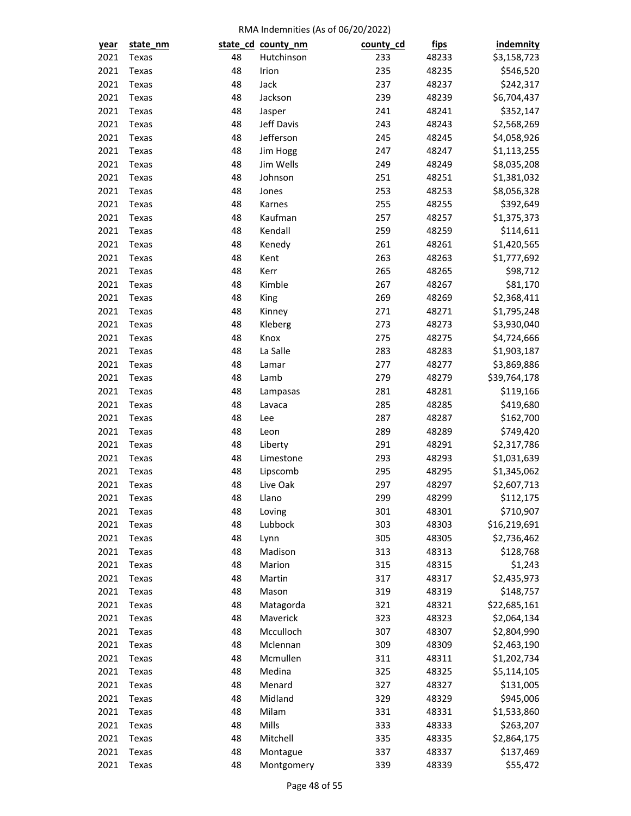| year         | state_nm |    | state_cd_county_nm | county_cd | <u>fips</u> | indemnity    |
|--------------|----------|----|--------------------|-----------|-------------|--------------|
| 2021         | Texas    | 48 | Hutchinson         | 233       | 48233       | \$3,158,723  |
| 2021         | Texas    | 48 | Irion              | 235       | 48235       | \$546,520    |
| 2021         | Texas    | 48 | Jack               | 237       | 48237       | \$242,317    |
| 2021         | Texas    | 48 | Jackson            | 239       | 48239       | \$6,704,437  |
| 2021         | Texas    | 48 | Jasper             | 241       | 48241       | \$352,147    |
| 2021         | Texas    | 48 | Jeff Davis         | 243       | 48243       | \$2,568,269  |
| 2021         | Texas    | 48 | Jefferson          | 245       | 48245       | \$4,058,926  |
| 2021         | Texas    | 48 | Jim Hogg           | 247       | 48247       | \$1,113,255  |
| 2021         | Texas    | 48 | Jim Wells          | 249       | 48249       | \$8,035,208  |
| 2021         | Texas    | 48 | Johnson            | 251       | 48251       | \$1,381,032  |
| 2021         | Texas    | 48 | Jones              | 253       | 48253       | \$8,056,328  |
| 2021         | Texas    | 48 | Karnes             | 255       | 48255       | \$392,649    |
| 2021         | Texas    | 48 | Kaufman            | 257       | 48257       | \$1,375,373  |
| 2021         | Texas    | 48 | Kendall            | 259       | 48259       | \$114,611    |
| 2021         | Texas    | 48 | Kenedy             | 261       | 48261       | \$1,420,565  |
| 2021         | Texas    | 48 | Kent               | 263       | 48263       | \$1,777,692  |
| 2021         | Texas    | 48 | Kerr               | 265       | 48265       | \$98,712     |
| 2021         | Texas    | 48 | Kimble             | 267       | 48267       | \$81,170     |
| 2021         | Texas    | 48 | King               | 269       | 48269       | \$2,368,411  |
| 2021         | Texas    | 48 | Kinney             | 271       | 48271       | \$1,795,248  |
| 2021         | Texas    | 48 | Kleberg            | 273       | 48273       | \$3,930,040  |
| 2021         | Texas    | 48 | Knox               | 275       | 48275       | \$4,724,666  |
| 2021         | Texas    | 48 | La Salle           | 283       | 48283       | \$1,903,187  |
| 2021         | Texas    | 48 | Lamar              | 277       | 48277       | \$3,869,886  |
| 2021         | Texas    | 48 | Lamb               | 279       | 48279       | \$39,764,178 |
| 2021         | Texas    | 48 | Lampasas           | 281       | 48281       | \$119,166    |
| 2021         | Texas    | 48 | Lavaca             | 285       | 48285       | \$419,680    |
| 2021         | Texas    | 48 | Lee                | 287       | 48287       | \$162,700    |
| 2021         | Texas    | 48 | Leon               | 289       | 48289       | \$749,420    |
| 2021         | Texas    | 48 | Liberty            | 291       | 48291       | \$2,317,786  |
| 2021         | Texas    | 48 | Limestone          | 293       | 48293       | \$1,031,639  |
| 2021         | Texas    | 48 | Lipscomb           | 295       | 48295       | \$1,345,062  |
| 2021         | Texas    | 48 | Live Oak           | 297       | 48297       | \$2,607,713  |
| 2021         |          | 48 | Llano              | 299       | 48299       | \$112,175    |
|              | Texas    | 48 |                    | 301       | 48301       |              |
| 2021<br>2021 | Texas    | 48 | Loving<br>Lubbock  | 303       |             | \$710,907    |
|              | Texas    |    |                    |           | 48303       | \$16,219,691 |
| 2021         | Texas    | 48 | Lynn               | 305       | 48305       | \$2,736,462  |
| 2021         | Texas    | 48 | Madison            | 313       | 48313       | \$128,768    |
| 2021         | Texas    | 48 | Marion             | 315       | 48315       | \$1,243      |
| 2021         | Texas    | 48 | Martin             | 317       | 48317       | \$2,435,973  |
| 2021         | Texas    | 48 | Mason              | 319       | 48319       | \$148,757    |
| 2021         | Texas    | 48 | Matagorda          | 321       | 48321       | \$22,685,161 |
| 2021         | Texas    | 48 | Maverick           | 323       | 48323       | \$2,064,134  |
| 2021         | Texas    | 48 | Mcculloch          | 307       | 48307       | \$2,804,990  |
| 2021         | Texas    | 48 | Mclennan           | 309       | 48309       | \$2,463,190  |
| 2021         | Texas    | 48 | Mcmullen           | 311       | 48311       | \$1,202,734  |
| 2021         | Texas    | 48 | Medina             | 325       | 48325       | \$5,114,105  |
| 2021         | Texas    | 48 | Menard             | 327       | 48327       | \$131,005    |
| 2021         | Texas    | 48 | Midland            | 329       | 48329       | \$945,006    |
| 2021         | Texas    | 48 | Milam              | 331       | 48331       | \$1,533,860  |
| 2021         | Texas    | 48 | Mills              | 333       | 48333       | \$263,207    |
| 2021         | Texas    | 48 | Mitchell           | 335       | 48335       | \$2,864,175  |
| 2021         | Texas    | 48 | Montague           | 337       | 48337       | \$137,469    |
| 2021         | Texas    | 48 | Montgomery         | 339       | 48339       | \$55,472     |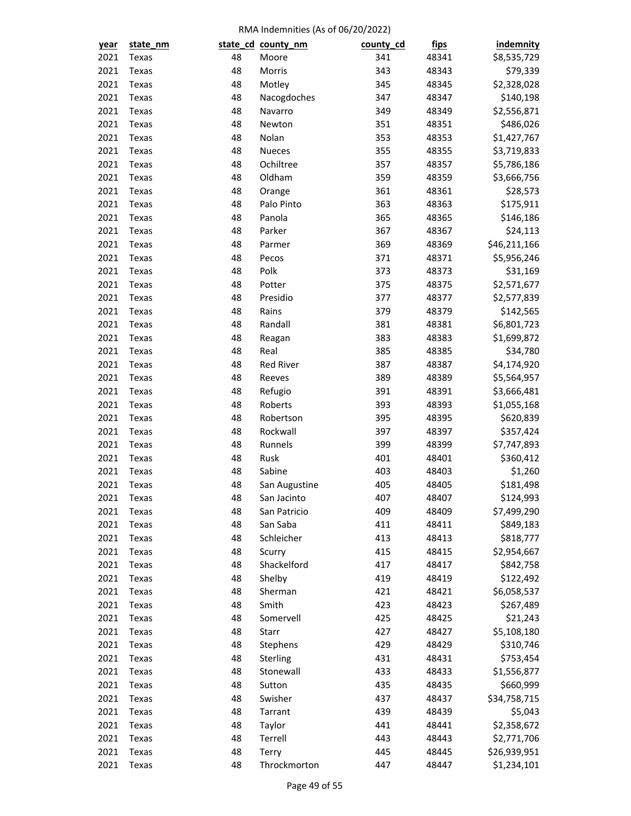| year | state_nm       |    | state_cd_county_nm | county_cd | <u>fips</u>    | indemnity                |
|------|----------------|----|--------------------|-----------|----------------|--------------------------|
| 2021 | Texas          | 48 | Moore              | 341       | 48341          | \$8,535,729              |
| 2021 | Texas          | 48 | Morris             | 343       | 48343          | \$79,339                 |
| 2021 | Texas          | 48 | Motley             | 345       | 48345          | \$2,328,028              |
| 2021 | Texas          | 48 | Nacogdoches        | 347       | 48347          | \$140,198                |
| 2021 | Texas          | 48 | Navarro            | 349       | 48349          | \$2,556,871              |
| 2021 | Texas          | 48 | Newton             | 351       | 48351          | \$486,026                |
| 2021 | Texas          | 48 | Nolan              | 353       | 48353          | \$1,427,767              |
| 2021 | Texas          | 48 | <b>Nueces</b>      | 355       | 48355          | \$3,719,833              |
| 2021 | Texas          | 48 | Ochiltree          | 357       | 48357          | \$5,786,186              |
| 2021 | Texas          | 48 | Oldham             | 359       | 48359          | \$3,666,756              |
| 2021 | Texas          | 48 | Orange             | 361       | 48361          | \$28,573                 |
| 2021 | Texas          | 48 | Palo Pinto         | 363       | 48363          | \$175,911                |
| 2021 | Texas          | 48 | Panola             | 365       | 48365          | \$146,186                |
| 2021 | Texas          | 48 | Parker             | 367       | 48367          | \$24,113                 |
| 2021 | Texas          | 48 | Parmer             | 369       | 48369          | \$46,211,166             |
| 2021 | Texas          | 48 | Pecos              | 371       | 48371          | \$5,956,246              |
| 2021 | Texas          | 48 | Polk               | 373       | 48373          | \$31,169                 |
| 2021 | Texas          | 48 | Potter             | 375       | 48375          | \$2,571,677              |
| 2021 | Texas          | 48 | Presidio           | 377       | 48377          | \$2,577,839              |
| 2021 | Texas          | 48 | Rains              | 379       | 48379          | \$142,565                |
| 2021 | Texas          | 48 | Randall            | 381       | 48381          | \$6,801,723              |
| 2021 | Texas          | 48 | Reagan             | 383       | 48383          | \$1,699,872              |
| 2021 | Texas          | 48 | Real               | 385       | 48385          | \$34,780                 |
| 2021 | Texas          | 48 | <b>Red River</b>   | 387       | 48387          | \$4,174,920              |
| 2021 | Texas          | 48 | Reeves             | 389       | 48389          | \$5,564,957              |
| 2021 | Texas          | 48 | Refugio            | 391       | 48391          | \$3,666,481              |
| 2021 | Texas          | 48 | Roberts            | 393       | 48393          | \$1,055,168              |
| 2021 | Texas          | 48 | Robertson          | 395       | 48395          | \$620,839                |
| 2021 | Texas          | 48 | Rockwall           | 397       | 48397          | \$357,424                |
| 2021 |                | 48 | Runnels            | 399       | 48399          |                          |
| 2021 | Texas          | 48 | Rusk               | 401       | 48401          | \$7,747,893<br>\$360,412 |
| 2021 | Texas          | 48 | Sabine             | 403       |                |                          |
| 2021 | Texas<br>Texas | 48 | San Augustine      | 405       | 48403<br>48405 | \$1,260<br>\$181,498     |
|      |                |    |                    |           |                |                          |
| 2021 | Texas          | 48 | San Jacinto        | 407       | 48407          | \$124,993                |
| 2021 | Texas          | 48 | San Patricio       | 409       | 48409          | \$7,499,290              |
| 2021 | Texas          | 48 | San Saba           | 411       | 48411          | \$849,183                |
| 2021 | Texas          | 48 | Schleicher         | 413       | 48413          | \$818,777                |
| 2021 | Texas          | 48 | Scurry             | 415       | 48415          | \$2,954,667              |
| 2021 | Texas          | 48 | Shackelford        | 417       | 48417          | \$842,758                |
| 2021 | Texas          | 48 | Shelby             | 419       | 48419          | \$122,492                |
| 2021 | Texas          | 48 | Sherman            | 421       | 48421          | \$6,058,537              |
| 2021 | Texas          | 48 | Smith              | 423       | 48423          | \$267,489                |
| 2021 | Texas          | 48 | Somervell          | 425       | 48425          | \$21,243                 |
| 2021 | Texas          | 48 | Starr              | 427       | 48427          | \$5,108,180              |
| 2021 | Texas          | 48 | Stephens           | 429       | 48429          | \$310,746                |
| 2021 | Texas          | 48 | Sterling           | 431       | 48431          | \$753,454                |
| 2021 | Texas          | 48 | Stonewall          | 433       | 48433          | \$1,556,877              |
| 2021 | Texas          | 48 | Sutton             | 435       | 48435          | \$660,999                |
| 2021 | Texas          | 48 | Swisher            | 437       | 48437          | \$34,758,715             |
| 2021 | Texas          | 48 | Tarrant            | 439       | 48439          | \$5,043                  |
| 2021 | Texas          | 48 | Taylor             | 441       | 48441          | \$2,358,672              |
| 2021 | Texas          | 48 | Terrell            | 443       | 48443          | \$2,771,706              |
| 2021 | Texas          | 48 | Terry              | 445       | 48445          | \$26,939,951             |
| 2021 | Texas          | 48 | Throckmorton       | 447       | 48447          | \$1,234,101              |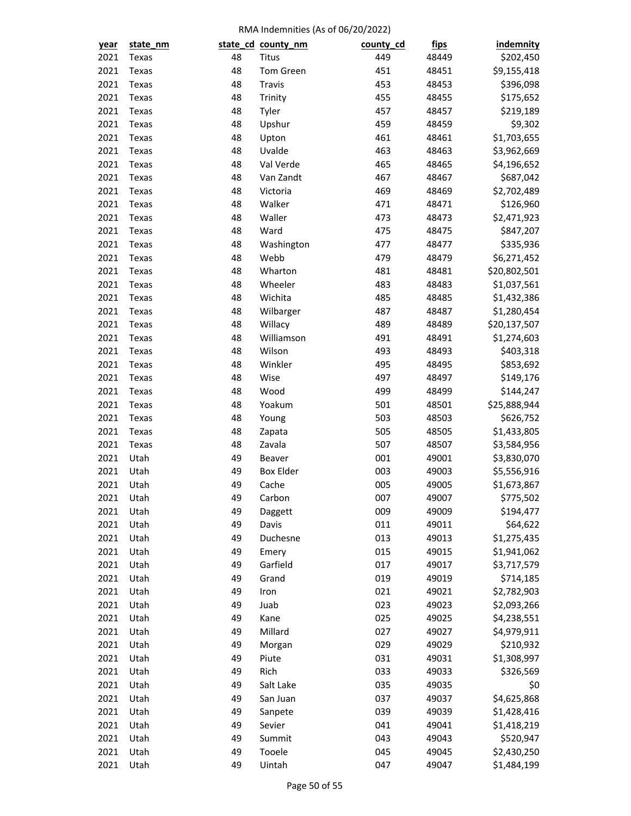| year         | state_nm |    | state_cd_county_nm | county_cd | <u>fips</u>    | indemnity    |
|--------------|----------|----|--------------------|-----------|----------------|--------------|
| 2021         | Texas    | 48 | <b>Titus</b>       | 449       | 48449          | \$202,450    |
| 2021         | Texas    | 48 | Tom Green          | 451       | 48451          | \$9,155,418  |
| 2021         | Texas    | 48 | Travis             | 453       | 48453          | \$396,098    |
| 2021         | Texas    | 48 | Trinity            | 455       | 48455          | \$175,652    |
| 2021         | Texas    | 48 | Tyler              | 457       | 48457          | \$219,189    |
| 2021         | Texas    | 48 | Upshur             | 459       | 48459          | \$9,302      |
| 2021         | Texas    | 48 | Upton              | 461       | 48461          | \$1,703,655  |
| 2021         | Texas    | 48 | Uvalde             | 463       | 48463          | \$3,962,669  |
| 2021         | Texas    | 48 | Val Verde          | 465       | 48465          | \$4,196,652  |
| 2021         | Texas    | 48 | Van Zandt          | 467       | 48467          | \$687,042    |
| 2021         | Texas    | 48 | Victoria           | 469       | 48469          | \$2,702,489  |
| 2021         | Texas    | 48 | Walker             | 471       | 48471          | \$126,960    |
| 2021         | Texas    | 48 | Waller             | 473       | 48473          | \$2,471,923  |
| 2021         | Texas    | 48 | Ward               | 475       | 48475          | \$847,207    |
| 2021         | Texas    | 48 | Washington         | 477       | 48477          | \$335,936    |
| 2021         | Texas    | 48 | Webb               | 479       | 48479          | \$6,271,452  |
| 2021         | Texas    | 48 | Wharton            | 481       | 48481          | \$20,802,501 |
| 2021         | Texas    | 48 | Wheeler            | 483       | 48483          | \$1,037,561  |
| 2021         | Texas    | 48 | Wichita            | 485       | 48485          | \$1,432,386  |
| 2021         | Texas    | 48 | Wilbarger          | 487       | 48487          | \$1,280,454  |
| 2021         | Texas    | 48 | Willacy            | 489       | 48489          | \$20,137,507 |
| 2021         | Texas    | 48 | Williamson         | 491       | 48491          | \$1,274,603  |
| 2021         | Texas    | 48 | Wilson             | 493       | 48493          | \$403,318    |
| 2021         | Texas    | 48 | Winkler            | 495       | 48495          | \$853,692    |
| 2021         | Texas    | 48 | Wise               | 497       | 48497          | \$149,176    |
| 2021         | Texas    | 48 | Wood               | 499       |                | \$144,247    |
| 2021         | Texas    | 48 | Yoakum             | 501       | 48499<br>48501 | \$25,888,944 |
| 2021         |          | 48 |                    | 503       |                |              |
| 2021         | Texas    | 48 | Young              | 505       | 48503<br>48505 | \$626,752    |
|              | Texas    | 48 | Zapata             | 507       |                | \$1,433,805  |
| 2021         | Texas    |    | Zavala             |           | 48507          | \$3,584,956  |
| 2021         | Utah     | 49 | Beaver             | 001       | 49001          | \$3,830,070  |
| 2021<br>2021 | Utah     | 49 | <b>Box Elder</b>   | 003       | 49003<br>49005 | \$5,556,916  |
|              | Utah     | 49 | Cache              | 005       |                | \$1,673,867  |
| 2021         | Utah     | 49 | Carbon             | 007       | 49007          | \$775,502    |
| 2021         | Utah     | 49 | Daggett            | 009       | 49009          | \$194,477    |
| 2021         | Utah     | 49 | Davis              | 011       | 49011          | \$64,622     |
| 2021         | Utah     | 49 | Duchesne           | 013       | 49013          | \$1,275,435  |
| 2021         | Utah     | 49 | Emery              | 015       | 49015          | \$1,941,062  |
| 2021         | Utah     | 49 | Garfield           | 017       | 49017          | \$3,717,579  |
| 2021         | Utah     | 49 | Grand              | 019       | 49019          | \$714,185    |
| 2021         | Utah     | 49 | Iron               | 021       | 49021          | \$2,782,903  |
| 2021         | Utah     | 49 | Juab               | 023       | 49023          | \$2,093,266  |
| 2021         | Utah     | 49 | Kane               | 025       | 49025          | \$4,238,551  |
| 2021         | Utah     | 49 | Millard            | 027       | 49027          | \$4,979,911  |
| 2021         | Utah     | 49 | Morgan             | 029       | 49029          | \$210,932    |
| 2021         | Utah     | 49 | Piute              | 031       | 49031          | \$1,308,997  |
| 2021         | Utah     | 49 | Rich               | 033       | 49033          | \$326,569    |
| 2021         | Utah     | 49 | Salt Lake          | 035       | 49035          | \$0          |
| 2021         | Utah     | 49 | San Juan           | 037       | 49037          | \$4,625,868  |
| 2021         | Utah     | 49 | Sanpete            | 039       | 49039          | \$1,428,416  |
| 2021         | Utah     | 49 | Sevier             | 041       | 49041          | \$1,418,219  |
| 2021         | Utah     | 49 | Summit             | 043       | 49043          | \$520,947    |
| 2021         | Utah     | 49 | Tooele             | 045       | 49045          | \$2,430,250  |
| 2021         | Utah     | 49 | Uintah             | 047       | 49047          | \$1,484,199  |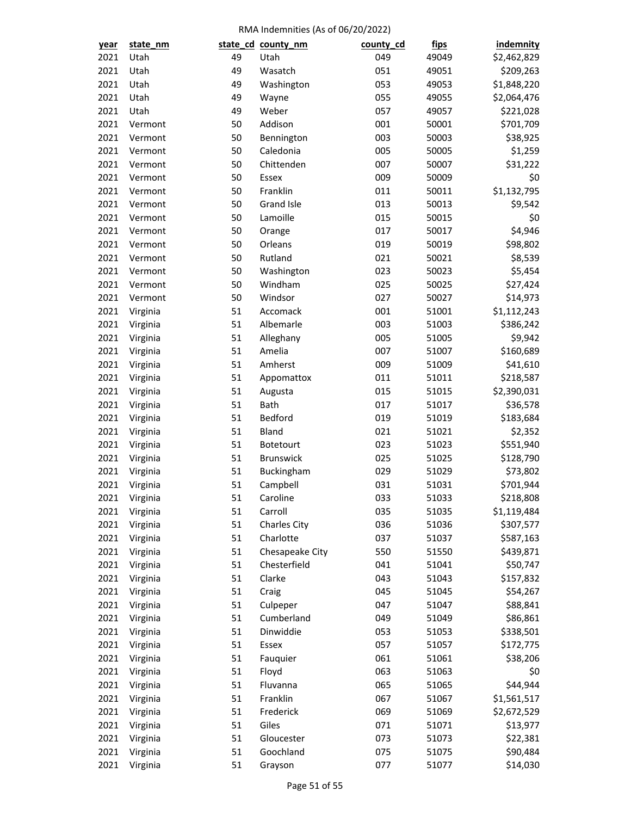| year         | state_nm             |    | state_cd_county_nm  | county_cd  | <u>fips</u>    | indemnity             |
|--------------|----------------------|----|---------------------|------------|----------------|-----------------------|
| 2021         | Utah                 | 49 | Utah                | 049        | 49049          | \$2,462,829           |
| 2021         | Utah                 | 49 | Wasatch             | 051        | 49051          | \$209,263             |
| 2021         | Utah                 | 49 | Washington          | 053        | 49053          | \$1,848,220           |
| 2021         | Utah                 | 49 | Wayne               | 055        | 49055          | \$2,064,476           |
| 2021         | Utah                 | 49 | Weber               | 057        | 49057          | \$221,028             |
| 2021         | Vermont              | 50 | Addison             | 001        | 50001          | \$701,709             |
| 2021         | Vermont              | 50 | Bennington          | 003        | 50003          | \$38,925              |
| 2021         | Vermont              | 50 | Caledonia           | 005        | 50005          | \$1,259               |
| 2021         | Vermont              | 50 | Chittenden          | 007        | 50007          | \$31,222              |
| 2021         | Vermont              | 50 | Essex               | 009        | 50009          | \$0                   |
| 2021         | Vermont              | 50 | Franklin            | 011        | 50011          | \$1,132,795           |
| 2021         | Vermont              | 50 | <b>Grand Isle</b>   | 013        | 50013          | \$9,542               |
| 2021         | Vermont              | 50 | Lamoille            | 015        | 50015          | \$0                   |
| 2021         | Vermont              | 50 | Orange              | 017        | 50017          | \$4,946               |
| 2021         | Vermont              | 50 | Orleans             | 019        | 50019          | \$98,802              |
| 2021         | Vermont              | 50 | Rutland             | 021        | 50021          | \$8,539               |
| 2021         | Vermont              | 50 | Washington          | 023        | 50023          | \$5,454               |
| 2021         | Vermont              | 50 | Windham             | 025        | 50025          | \$27,424              |
| 2021         | Vermont              | 50 | Windsor             | 027        | 50027          | \$14,973              |
| 2021         | Virginia             | 51 | Accomack            | 001        | 51001          | \$1,112,243           |
| 2021         | Virginia             | 51 | Albemarle           | 003        | 51003          | \$386,242             |
| 2021         | Virginia             | 51 | Alleghany           | 005        | 51005          | \$9,942               |
| 2021         | Virginia             | 51 | Amelia              | 007        | 51007          | \$160,689             |
| 2021         | Virginia             | 51 | Amherst             | 009        | 51009          | \$41,610              |
| 2021         | Virginia             | 51 | Appomattox          | 011        | 51011          | \$218,587             |
| 2021         | Virginia             | 51 | Augusta             | 015        | 51015          | \$2,390,031           |
| 2021         | Virginia             | 51 | Bath                | 017        | 51017          | \$36,578              |
| 2021         | Virginia             | 51 | Bedford             | 019        | 51019          | \$183,684             |
| 2021         |                      | 51 | Bland               | 021        | 51021          | \$2,352               |
| 2021         | Virginia             | 51 | <b>Botetourt</b>    | 023        | 51023          | \$551,940             |
| 2021         | Virginia             | 51 | <b>Brunswick</b>    | 025        |                |                       |
|              | Virginia             | 51 |                     |            | 51025          | \$128,790             |
| 2021<br>2021 | Virginia<br>Virginia | 51 | Buckingham          | 029<br>031 | 51029<br>51031 | \$73,802<br>\$701,944 |
|              |                      |    | Campbell            |            |                |                       |
| 2021         | Virginia             | 51 | Caroline<br>Carroll | 033        | 51033          | \$218,808             |
| 2021         | Virginia             | 51 |                     | 035        | 51035          | \$1,119,484           |
| 2021         | Virginia             | 51 | <b>Charles City</b> | 036        | 51036          | \$307,577             |
| 2021         | Virginia             | 51 | Charlotte           | 037        | 51037          | \$587,163             |
| 2021         | Virginia             | 51 | Chesapeake City     | 550        | 51550          | \$439,871             |
| 2021         | Virginia             | 51 | Chesterfield        | 041        | 51041          | \$50,747              |
| 2021         | Virginia             | 51 | Clarke              | 043        | 51043          | \$157,832             |
| 2021         | Virginia             | 51 | Craig               | 045        | 51045          | \$54,267              |
| 2021         | Virginia             | 51 | Culpeper            | 047        | 51047          | \$88,841              |
| 2021         | Virginia             | 51 | Cumberland          | 049        | 51049          | \$86,861              |
| 2021         | Virginia             | 51 | Dinwiddie           | 053        | 51053          | \$338,501             |
| 2021         | Virginia             | 51 | Essex               | 057        | 51057          | \$172,775             |
| 2021         | Virginia             | 51 | Fauquier            | 061        | 51061          | \$38,206              |
| 2021         | Virginia             | 51 | Floyd               | 063        | 51063          | \$0                   |
| 2021         | Virginia             | 51 | Fluvanna            | 065        | 51065          | \$44,944              |
| 2021         | Virginia             | 51 | Franklin            | 067        | 51067          | \$1,561,517           |
| 2021         | Virginia             | 51 | Frederick           | 069        | 51069          | \$2,672,529           |
| 2021         | Virginia             | 51 | Giles               | 071        | 51071          | \$13,977              |
| 2021         | Virginia             | 51 | Gloucester          | 073        | 51073          | \$22,381              |
| 2021         | Virginia             | 51 | Goochland           | 075        | 51075          | \$90,484              |
| 2021         | Virginia             | 51 | Grayson             | 077        | 51077          | \$14,030              |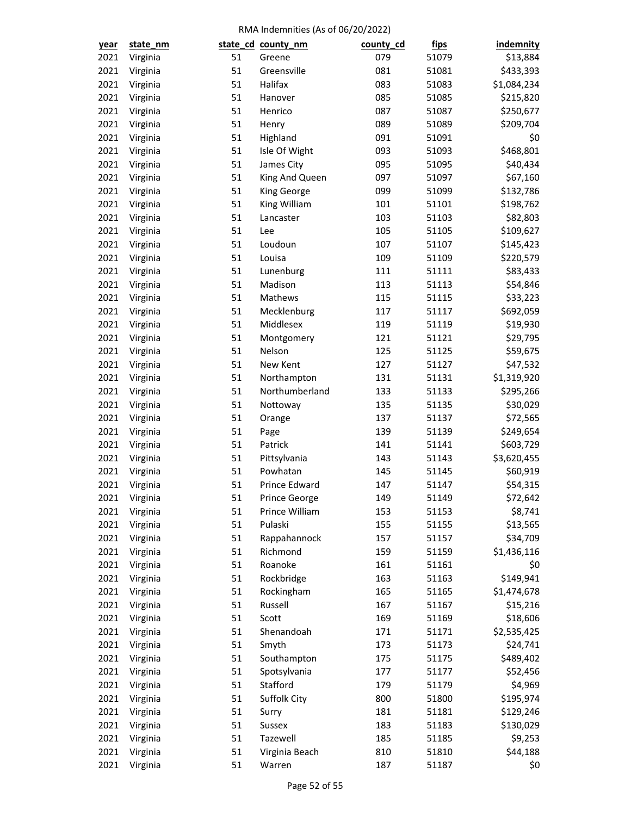| <u>year</u> | state_nm |    | state_cd_county_nm   | county_cd | <u>fips</u> | <b>indemnity</b> |
|-------------|----------|----|----------------------|-----------|-------------|------------------|
| 2021        | Virginia | 51 | Greene               | 079       | 51079       | \$13,884         |
| 2021        | Virginia | 51 | Greensville          | 081       | 51081       | \$433,393        |
| 2021        | Virginia | 51 | Halifax              | 083       | 51083       | \$1,084,234      |
| 2021        | Virginia | 51 | Hanover              | 085       | 51085       | \$215,820        |
| 2021        | Virginia | 51 | Henrico              | 087       | 51087       | \$250,677        |
| 2021        | Virginia | 51 | Henry                | 089       | 51089       | \$209,704        |
| 2021        | Virginia | 51 | Highland             | 091       | 51091       | \$0              |
| 2021        | Virginia | 51 | Isle Of Wight        | 093       | 51093       | \$468,801        |
| 2021        | Virginia | 51 | James City           | 095       | 51095       | \$40,434         |
| 2021        | Virginia | 51 | King And Queen       | 097       | 51097       | \$67,160         |
| 2021        | Virginia | 51 | King George          | 099       | 51099       | \$132,786        |
| 2021        | Virginia | 51 | King William         | 101       | 51101       | \$198,762        |
| 2021        | Virginia | 51 | Lancaster            | 103       | 51103       | \$82,803         |
| 2021        | Virginia | 51 | Lee                  | 105       | 51105       | \$109,627        |
| 2021        | Virginia | 51 | Loudoun              | 107       | 51107       | \$145,423        |
| 2021        | Virginia | 51 | Louisa               | 109       | 51109       | \$220,579        |
| 2021        | Virginia | 51 | Lunenburg            | 111       | 51111       | \$83,433         |
| 2021        | Virginia | 51 | Madison              | 113       | 51113       | \$54,846         |
| 2021        | Virginia | 51 | Mathews              | 115       | 51115       | \$33,223         |
| 2021        | Virginia | 51 | Mecklenburg          | 117       | 51117       | \$692,059        |
| 2021        | Virginia | 51 | Middlesex            | 119       | 51119       | \$19,930         |
| 2021        | Virginia | 51 | Montgomery           | 121       | 51121       | \$29,795         |
| 2021        | Virginia | 51 | Nelson               | 125       | 51125       | \$59,675         |
| 2021        | Virginia | 51 | New Kent             | 127       | 51127       | \$47,532         |
| 2021        | Virginia | 51 | Northampton          | 131       | 51131       | \$1,319,920      |
| 2021        | Virginia | 51 | Northumberland       | 133       | 51133       | \$295,266        |
| 2021        | Virginia | 51 | Nottoway             | 135       | 51135       | \$30,029         |
| 2021        | Virginia | 51 | Orange               | 137       | 51137       | \$72,565         |
| 2021        | Virginia | 51 | Page                 | 139       | 51139       | \$249,654        |
| 2021        | Virginia | 51 | Patrick              | 141       | 51141       | \$603,729        |
| 2021        | Virginia | 51 | Pittsylvania         | 143       | 51143       | \$3,620,455      |
| 2021        | Virginia | 51 | Powhatan             | 145       | 51145       | \$60,919         |
| 2021        | Virginia | 51 | Prince Edward        | 147       | 51147       | \$54,315         |
| 2021        | Virginia | 51 | <b>Prince George</b> | 149       | 51149       | \$72,642         |
| 2021        | Virginia | 51 | Prince William       | 153       | 51153       | \$8,741          |
| 2021        | Virginia | 51 | Pulaski              | 155       | 51155       | \$13,565         |
| 2021        | Virginia | 51 | Rappahannock         | 157       | 51157       | \$34,709         |
| 2021        | Virginia | 51 | Richmond             | 159       | 51159       | \$1,436,116      |
| 2021        | Virginia | 51 | Roanoke              | 161       | 51161       | \$0              |
| 2021        | Virginia | 51 | Rockbridge           | 163       | 51163       | \$149,941        |
| 2021        | Virginia | 51 | Rockingham           | 165       | 51165       | \$1,474,678      |
| 2021        | Virginia | 51 | Russell              | 167       | 51167       | \$15,216         |
| 2021        | Virginia | 51 | Scott                | 169       | 51169       | \$18,606         |
| 2021        | Virginia | 51 | Shenandoah           | 171       | 51171       | \$2,535,425      |
| 2021        | Virginia | 51 | Smyth                | 173       | 51173       | \$24,741         |
| 2021        | Virginia | 51 | Southampton          | 175       | 51175       | \$489,402        |
| 2021        | Virginia | 51 | Spotsylvania         | 177       | 51177       | \$52,456         |
| 2021        | Virginia | 51 | Stafford             | 179       | 51179       | \$4,969          |
| 2021        | Virginia | 51 | Suffolk City         | 800       | 51800       | \$195,974        |
| 2021        | Virginia | 51 | Surry                | 181       | 51181       | \$129,246        |
| 2021        | Virginia | 51 | Sussex               | 183       | 51183       | \$130,029        |
| 2021        | Virginia | 51 | Tazewell             | 185       | 51185       | \$9,253          |
| 2021        | Virginia | 51 | Virginia Beach       | 810       | 51810       | \$44,188         |
| 2021        | Virginia | 51 | Warren               | 187       | 51187       | \$0              |
|             |          |    |                      |           |             |                  |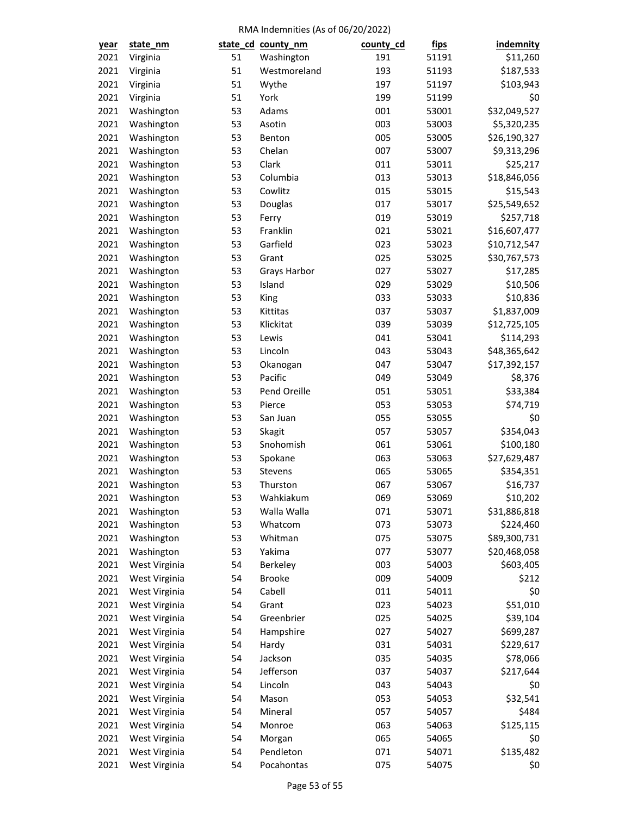| year | state_nm      |    | state_cd_county_nm | county_cd | <u>fips</u>    | indemnity            |
|------|---------------|----|--------------------|-----------|----------------|----------------------|
| 2021 | Virginia      | 51 | Washington         | 191       | 51191          | \$11,260             |
| 2021 | Virginia      | 51 | Westmoreland       | 193       | 51193          | \$187,533            |
| 2021 | Virginia      | 51 | Wythe              | 197       | 51197          | \$103,943            |
| 2021 | Virginia      | 51 | York               | 199       | 51199          | \$0                  |
| 2021 | Washington    | 53 | Adams              | 001       | 53001          | \$32,049,527         |
| 2021 | Washington    | 53 | Asotin             | 003       | 53003          | \$5,320,235          |
| 2021 | Washington    | 53 | Benton             | 005       | 53005          | \$26,190,327         |
| 2021 | Washington    | 53 | Chelan             | 007       | 53007          | \$9,313,296          |
| 2021 | Washington    | 53 | Clark              | 011       | 53011          | \$25,217             |
| 2021 | Washington    | 53 | Columbia           | 013       | 53013          | \$18,846,056         |
| 2021 | Washington    | 53 | Cowlitz            | 015       | 53015          | \$15,543             |
| 2021 | Washington    | 53 | Douglas            | 017       | 53017          | \$25,549,652         |
| 2021 | Washington    | 53 | Ferry              | 019       | 53019          | \$257,718            |
| 2021 | Washington    | 53 | Franklin           | 021       | 53021          | \$16,607,477         |
| 2021 | Washington    | 53 | Garfield           | 023       | 53023          | \$10,712,547         |
| 2021 | Washington    | 53 | Grant              | 025       | 53025          | \$30,767,573         |
| 2021 | Washington    | 53 | Grays Harbor       | 027       | 53027          | \$17,285             |
| 2021 | Washington    | 53 | Island             | 029       | 53029          | \$10,506             |
| 2021 | Washington    | 53 | King               | 033       | 53033          | \$10,836             |
| 2021 | Washington    | 53 | Kittitas           | 037       | 53037          | \$1,837,009          |
| 2021 | Washington    | 53 | Klickitat          | 039       | 53039          | \$12,725,105         |
| 2021 | Washington    | 53 | Lewis              | 041       | 53041          | \$114,293            |
| 2021 | Washington    | 53 | Lincoln            | 043       | 53043          | \$48,365,642         |
| 2021 | Washington    | 53 | Okanogan           | 047       | 53047          | \$17,392,157         |
| 2021 | Washington    | 53 | Pacific            | 049       | 53049          | \$8,376              |
| 2021 | Washington    | 53 | Pend Oreille       | 051       |                |                      |
| 2021 | Washington    | 53 | Pierce             | 053       | 53051<br>53053 | \$33,384<br>\$74,719 |
| 2021 |               | 53 | San Juan           | 055       | 53055          |                      |
| 2021 | Washington    | 53 |                    | 057       | 53057          | \$0<br>\$354,043     |
|      | Washington    |    | Skagit             |           |                |                      |
| 2021 | Washington    | 53 | Snohomish          | 061       | 53061          | \$100,180            |
| 2021 | Washington    | 53 | Spokane            | 063       | 53063          | \$27,629,487         |
| 2021 | Washington    | 53 | Stevens            | 065       | 53065          | \$354,351            |
| 2021 | Washington    | 53 | Thurston           | 067       | 53067          | \$16,737             |
| 2021 | Washington    | 53 | Wahkiakum          | 069       | 53069          | \$10,202             |
| 2021 | Washington    | 53 | Walla Walla        | 071       | 53071          | \$31,886,818         |
| 2021 | Washington    | 53 | Whatcom            | 073       | 53073          | \$224,460            |
| 2021 | Washington    | 53 | Whitman            | 075       | 53075          | \$89,300,731         |
| 2021 | Washington    | 53 | Yakima             | 077       | 53077          | \$20,468,058         |
| 2021 | West Virginia | 54 | Berkeley           | 003       | 54003          | \$603,405            |
| 2021 | West Virginia | 54 | <b>Brooke</b>      | 009       | 54009          | \$212                |
| 2021 | West Virginia | 54 | Cabell             | 011       | 54011          | \$0                  |
| 2021 | West Virginia | 54 | Grant              | 023       | 54023          | \$51,010             |
| 2021 | West Virginia | 54 | Greenbrier         | 025       | 54025          | \$39,104             |
| 2021 | West Virginia | 54 | Hampshire          | 027       | 54027          | \$699,287            |
| 2021 | West Virginia | 54 | Hardy              | 031       | 54031          | \$229,617            |
| 2021 | West Virginia | 54 | Jackson            | 035       | 54035          | \$78,066             |
| 2021 | West Virginia | 54 | Jefferson          | 037       | 54037          | \$217,644            |
| 2021 | West Virginia | 54 | Lincoln            | 043       | 54043          | \$0                  |
| 2021 | West Virginia | 54 | Mason              | 053       | 54053          | \$32,541             |
| 2021 | West Virginia | 54 | Mineral            | 057       | 54057          | \$484                |
| 2021 | West Virginia | 54 | Monroe             | 063       | 54063          | \$125,115            |
| 2021 | West Virginia | 54 | Morgan             | 065       | 54065          | \$0                  |
| 2021 | West Virginia | 54 | Pendleton          | 071       | 54071          | \$135,482            |
| 2021 | West Virginia | 54 | Pocahontas         | 075       | 54075          | \$0                  |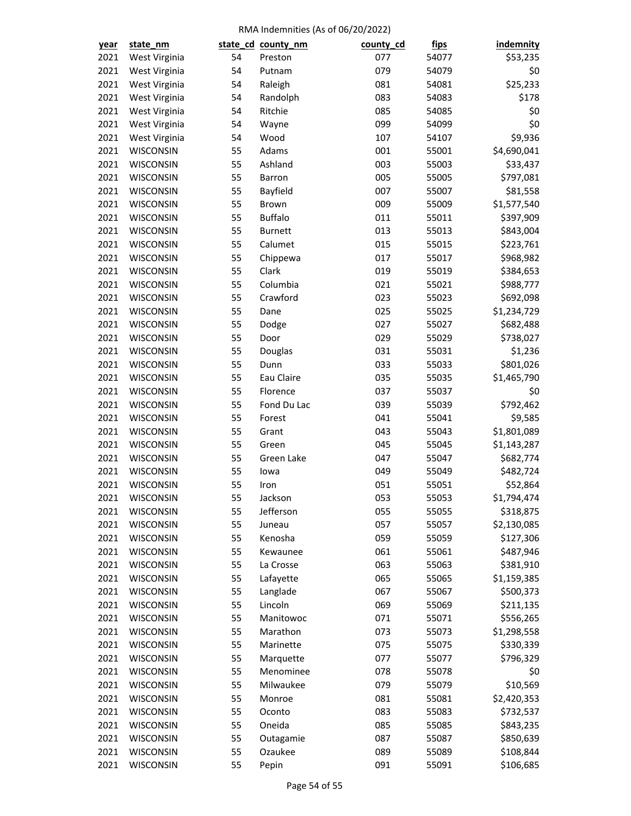| <u>year</u> | state_nm                      |    | state_cd_county_nm | county_cd | <u>fips</u> | indemnity   |
|-------------|-------------------------------|----|--------------------|-----------|-------------|-------------|
| 2021        | West Virginia                 | 54 | Preston            | 077       | 54077       | \$53,235    |
| 2021        | West Virginia                 | 54 | Putnam             | 079       | 54079       | \$0         |
| 2021        | West Virginia                 | 54 | Raleigh            | 081       | 54081       | \$25,233    |
| 2021        | West Virginia                 | 54 | Randolph           | 083       | 54083       | \$178       |
| 2021        | West Virginia                 | 54 | Ritchie            | 085       | 54085       | \$0         |
| 2021        | West Virginia                 | 54 | Wayne              | 099       | 54099       | \$0         |
| 2021        | West Virginia                 | 54 | Wood               | 107       | 54107       | \$9,936     |
| 2021        | WISCONSIN                     | 55 | Adams              | 001       | 55001       | \$4,690,041 |
| 2021        | WISCONSIN                     | 55 | Ashland            | 003       | 55003       | \$33,437    |
| 2021        | WISCONSIN                     | 55 | Barron             | 005       | 55005       | \$797,081   |
| 2021        | WISCONSIN                     | 55 | Bayfield           | 007       | 55007       | \$81,558    |
| 2021        | WISCONSIN                     | 55 | Brown              | 009       | 55009       | \$1,577,540 |
| 2021        | WISCONSIN                     | 55 | <b>Buffalo</b>     | 011       | 55011       | \$397,909   |
| 2021        | WISCONSIN                     | 55 | <b>Burnett</b>     | 013       | 55013       | \$843,004   |
| 2021        | WISCONSIN                     | 55 | Calumet            | 015       | 55015       | \$223,761   |
| 2021        | WISCONSIN                     | 55 | Chippewa           | 017       | 55017       | \$968,982   |
| 2021        | WISCONSIN                     | 55 | Clark              | 019       | 55019       | \$384,653   |
| 2021        | WISCONSIN                     | 55 | Columbia           | 021       | 55021       | \$988,777   |
| 2021        | WISCONSIN                     | 55 | Crawford           | 023       | 55023       | \$692,098   |
| 2021        | WISCONSIN                     | 55 | Dane               | 025       | 55025       | \$1,234,729 |
| 2021        | WISCONSIN                     | 55 | Dodge              | 027       | 55027       | \$682,488   |
| 2021        | WISCONSIN                     | 55 | Door               | 029       | 55029       | \$738,027   |
| 2021        | WISCONSIN                     | 55 | Douglas            | 031       | 55031       | \$1,236     |
| 2021        | WISCONSIN                     | 55 | Dunn               | 033       | 55033       | \$801,026   |
| 2021        | WISCONSIN                     | 55 | Eau Claire         | 035       | 55035       | \$1,465,790 |
| 2021        | WISCONSIN                     | 55 | Florence           | 037       | 55037       | \$0         |
| 2021        | WISCONSIN                     | 55 | Fond Du Lac        | 039       | 55039       | \$792,462   |
| 2021        | WISCONSIN                     | 55 | Forest             | 041       | 55041       | \$9,585     |
| 2021        | WISCONSIN                     | 55 | Grant              | 043       | 55043       | \$1,801,089 |
| 2021        | WISCONSIN                     | 55 | Green              | 045       | 55045       | \$1,143,287 |
| 2021        | WISCONSIN                     | 55 | Green Lake         | 047       | 55047       | \$682,774   |
| 2021        | WISCONSIN                     | 55 | lowa               | 049       | 55049       | \$482,724   |
| 2021        | WISCONSIN                     | 55 | Iron               | 051       | 55051       | \$52,864    |
| 2021        | WISCONSIN                     | 55 | Jackson            | 053       | 55053       | \$1,794,474 |
| 2021        | WISCONSIN                     | 55 | Jefferson          | 055       | 55055       | \$318,875   |
| 2021        | WISCONSIN                     | 55 | Juneau             | 057       | 55057       | \$2,130,085 |
| 2021        | WISCONSIN                     | 55 | Kenosha            | 059       |             | \$127,306   |
| 2021        |                               | 55 | Kewaunee           | 061       | 55059       | \$487,946   |
|             | WISCONSIN                     |    |                    |           | 55061       |             |
| 2021        | WISCONSIN<br><b>WISCONSIN</b> | 55 | La Crosse          | 063       | 55063       | \$381,910   |
| 2021        |                               | 55 | Lafayette          | 065       | 55065       | \$1,159,385 |
| 2021        | WISCONSIN                     | 55 | Langlade           | 067       | 55067       | \$500,373   |
| 2021        | WISCONSIN                     | 55 | Lincoln            | 069       | 55069       | \$211,135   |
| 2021        | WISCONSIN                     | 55 | Manitowoc          | 071       | 55071       | \$556,265   |
| 2021        | WISCONSIN                     | 55 | Marathon           | 073       | 55073       | \$1,298,558 |
| 2021        | WISCONSIN                     | 55 | Marinette          | 075       | 55075       | \$330,339   |
| 2021        | WISCONSIN                     | 55 | Marquette          | 077       | 55077       | \$796,329   |
| 2021        | WISCONSIN                     | 55 | Menominee          | 078       | 55078       | \$0         |
| 2021        | WISCONSIN                     | 55 | Milwaukee          | 079       | 55079       | \$10,569    |
| 2021        | WISCONSIN                     | 55 | Monroe             | 081       | 55081       | \$2,420,353 |
| 2021        | WISCONSIN                     | 55 | Oconto             | 083       | 55083       | \$732,537   |
| 2021        | WISCONSIN                     | 55 | Oneida             | 085       | 55085       | \$843,235   |
| 2021        | WISCONSIN                     | 55 | Outagamie          | 087       | 55087       | \$850,639   |
| 2021        | WISCONSIN                     | 55 | Ozaukee            | 089       | 55089       | \$108,844   |
| 2021        | WISCONSIN                     | 55 | Pepin              | 091       | 55091       | \$106,685   |